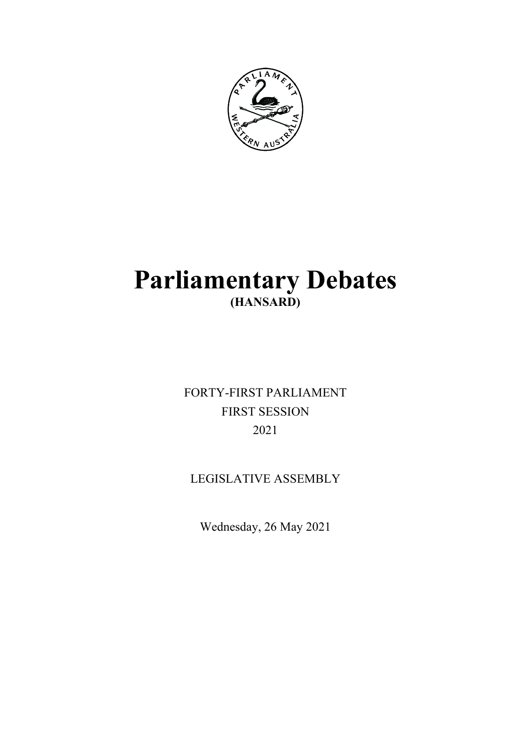

# **Parliamentary Debates (HANSARD)**

FORTY-FIRST PARLIAMENT FIRST SESSION 2021

LEGISLATIVE ASSEMBLY

Wednesday, 26 May 2021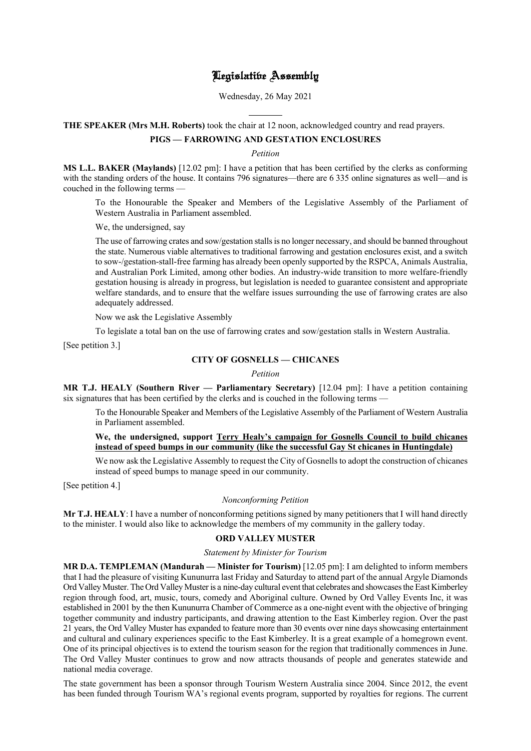# Legislative Assembly

Wednesday, 26 May 2021

l **THE SPEAKER (Mrs M.H. Roberts)** took the chair at 12 noon, acknowledged country and read prayers.

# **PIGS — FARROWING AND GESTATION ENCLOSURES**

*Petition*

**MS L.L. BAKER (Maylands)** [12.02 pm]: I have a petition that has been certified by the clerks as conforming with the standing orders of the house. It contains 796 signatures—there are 6 335 online signatures as well—and is couched in the following terms —

To the Honourable the Speaker and Members of the Legislative Assembly of the Parliament of Western Australia in Parliament assembled.

We, the undersigned, say

The use of farrowing crates and sow/gestation stalls is no longer necessary, and should be banned throughout the state. Numerous viable alternatives to traditional farrowing and gestation enclosures exist, and a switch to sow-/gestation-stall-free farming has already been openly supported by the RSPCA, Animals Australia, and Australian Pork Limited, among other bodies. An industry-wide transition to more welfare-friendly gestation housing is already in progress, but legislation is needed to guarantee consistent and appropriate welfare standards, and to ensure that the welfare issues surrounding the use of farrowing crates are also adequately addressed.

Now we ask the Legislative Assembly

To legislate a total ban on the use of farrowing crates and sow/gestation stalls in Western Australia.

[See petition 3.]

# **CITY OF GOSNELLS — CHICANES**

*Petition*

**MR T.J. HEALY (Southern River — Parliamentary Secretary)** [12.04 pm]: I have a petition containing six signatures that has been certified by the clerks and is couched in the following terms -

To the Honourable Speaker and Members of the Legislative Assembly of the Parliament of Western Australia in Parliament assembled.

# **We, the undersigned, support Terry Healy's campaign for Gosnells Council to build chicanes instead of speed bumps in our community (like the successful Gay St chicanes in Huntingdale)**

We now ask the Legislative Assembly to request the City of Gosnells to adopt the construction of chicanes instead of speed bumps to manage speed in our community.

[See petition 4.]

#### *Nonconforming Petition*

**Mr T.J. HEALY**: I have a number of nonconforming petitions signed by many petitioners that I will hand directly to the minister. I would also like to acknowledge the members of my community in the gallery today.

# **ORD VALLEY MUSTER**

*Statement by Minister for Tourism*

**MR D.A. TEMPLEMAN (Mandurah — Minister for Tourism)** [12.05 pm]: I am delighted to inform members that I had the pleasure of visiting Kununurra last Friday and Saturday to attend part of the annual Argyle Diamonds Ord Valley Muster. The Ord Valley Muster is a nine-day cultural event that celebrates and showcases the East Kimberley region through food, art, music, tours, comedy and Aboriginal culture. Owned by Ord Valley Events Inc, it was established in 2001 by the then Kununurra Chamber of Commerce as a one-night event with the objective of bringing together community and industry participants, and drawing attention to the East Kimberley region. Over the past 21 years, the Ord Valley Muster has expanded to feature more than 30 events over nine days showcasing entertainment and cultural and culinary experiences specific to the East Kimberley. It is a great example of a homegrown event. One of its principal objectives is to extend the tourism season for the region that traditionally commences in June. The Ord Valley Muster continues to grow and now attracts thousands of people and generates statewide and national media coverage.

The state government has been a sponsor through Tourism Western Australia since 2004. Since 2012, the event has been funded through Tourism WA's regional events program, supported by royalties for regions. The current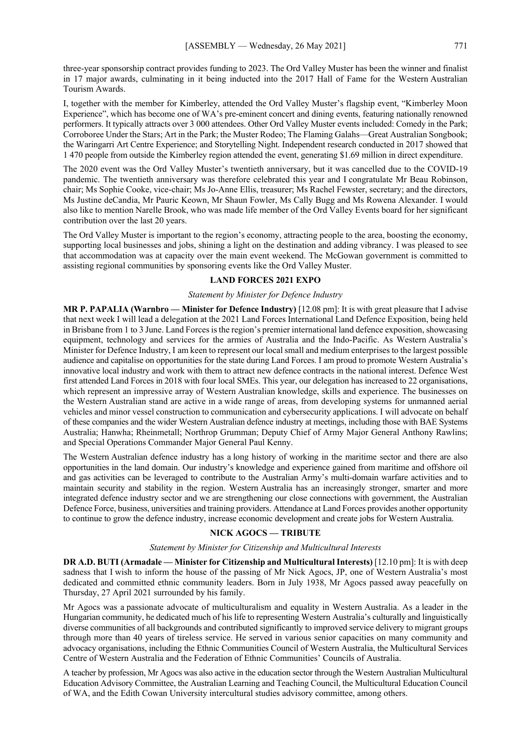three-year sponsorship contract provides funding to 2023. The Ord Valley Muster has been the winner and finalist in 17 major awards, culminating in it being inducted into the 2017 Hall of Fame for the Western Australian Tourism Awards.

I, together with the member for Kimberley, attended the Ord Valley Muster's flagship event, "Kimberley Moon Experience", which has become one of WA's pre-eminent concert and dining events, featuring nationally renowned performers. It typically attracts over 3 000 attendees. Other Ord Valley Muster events included: Comedy in the Park; Corroboree Under the Stars; Art in the Park; the Muster Rodeo; The Flaming Galahs—Great Australian Songbook; the Waringarri Art Centre Experience; and Storytelling Night. Independent research conducted in 2017 showed that 1 470 people from outside the Kimberley region attended the event, generating \$1.69 million in direct expenditure.

The 2020 event was the Ord Valley Muster's twentieth anniversary, but it was cancelled due to the COVID-19 pandemic. The twentieth anniversary was therefore celebrated this year and I congratulate Mr Beau Robinson, chair; Ms Sophie Cooke, vice-chair; Ms Jo-Anne Ellis, treasurer; Ms Rachel Fewster, secretary; and the directors, Ms Justine deCandia, Mr Pauric Keown, Mr Shaun Fowler, Ms Cally Bugg and Ms Rowena Alexander. I would also like to mention Narelle Brook, who was made life member of the Ord Valley Events board for her significant contribution over the last 20 years.

The Ord Valley Muster is important to the region's economy, attracting people to the area, boosting the economy, supporting local businesses and jobs, shining a light on the destination and adding vibrancy. I was pleased to see that accommodation was at capacity over the main event weekend. The McGowan government is committed to assisting regional communities by sponsoring events like the Ord Valley Muster.

## **LAND FORCES 2021 EXPO**

#### *Statement by Minister for Defence Industry*

**MR P. PAPALIA (Warnbro — Minister for Defence Industry)** [12.08 pm]: It is with great pleasure that I advise that next week I will lead a delegation at the 2021 Land Forces International Land Defence Exposition, being held in Brisbane from 1 to 3 June. Land Forces is the region's premier international land defence exposition, showcasing equipment, technology and services for the armies of Australia and the Indo-Pacific. As Western Australia's Minister for Defence Industry, I am keen to represent our local small and medium enterprises to the largest possible audience and capitalise on opportunities for the state during Land Forces. I am proud to promote Western Australia's innovative local industry and work with them to attract new defence contracts in the national interest. Defence West first attended Land Forces in 2018 with four local SMEs. This year, our delegation has increased to 22 organisations, which represent an impressive array of Western Australian knowledge, skills and experience. The businesses on the Western Australian stand are active in a wide range of areas, from developing systems for unmanned aerial vehicles and minor vessel construction to communication and cybersecurity applications. I will advocate on behalf of these companies and the wider Western Australian defence industry at meetings, including those with BAE Systems Australia; Hanwha; Rheinmetall; Northrop Grumman; Deputy Chief of Army Major General Anthony Rawlins; and Special Operations Commander Major General Paul Kenny.

The Western Australian defence industry has a long history of working in the maritime sector and there are also opportunities in the land domain. Our industry's knowledge and experience gained from maritime and offshore oil and gas activities can be leveraged to contribute to the Australian Army's multi-domain warfare activities and to maintain security and stability in the region. Western Australia has an increasingly stronger, smarter and more integrated defence industry sector and we are strengthening our close connections with government, the Australian Defence Force, business, universities and training providers. Attendance at Land Forces provides another opportunity to continue to grow the defence industry, increase economic development and create jobs for Western Australia.

# **NICK AGOCS — TRIBUTE**

#### *Statement by Minister for Citizenship and Multicultural Interests*

**DR A.D. BUTI (Armadale — Minister for Citizenship and Multicultural Interests)** [12.10 pm]: It is with deep sadness that I wish to inform the house of the passing of Mr Nick Agocs, JP, one of Western Australia's most dedicated and committed ethnic community leaders. Born in July 1938, Mr Agocs passed away peacefully on Thursday, 27 April 2021 surrounded by his family.

Mr Agocs was a passionate advocate of multiculturalism and equality in Western Australia. As a leader in the Hungarian community, he dedicated much of his life to representing Western Australia's culturally and linguistically diverse communities of all backgrounds and contributed significantly to improved service delivery to migrant groups through more than 40 years of tireless service. He served in various senior capacities on many community and advocacy organisations, including the Ethnic Communities Council of Western Australia, the Multicultural Services Centre of Western Australia and the Federation of Ethnic Communities' Councils of Australia.

A teacher by profession, Mr Agocs was also active in the education sector through the Western Australian Multicultural Education Advisory Committee, the Australian Learning and Teaching Council, the Multicultural Education Council of WA, and the Edith Cowan University intercultural studies advisory committee, among others.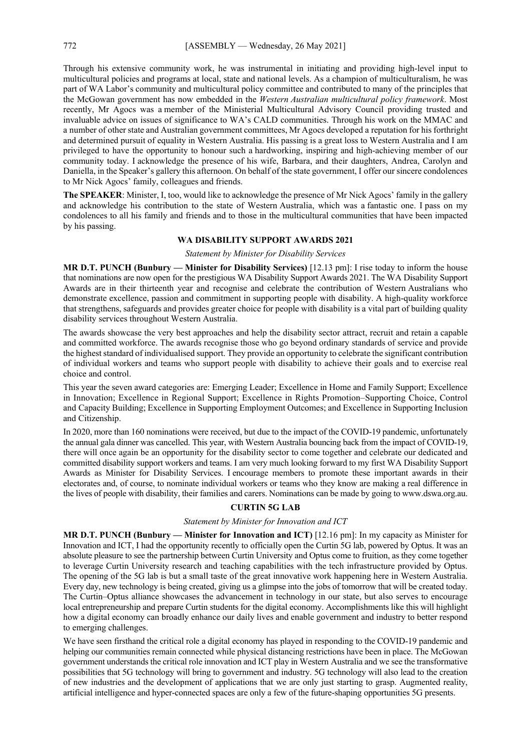Through his extensive community work, he was instrumental in initiating and providing high-level input to multicultural policies and programs at local, state and national levels. As a champion of multiculturalism, he was part of WA Labor's community and multicultural policy committee and contributed to many of the principles that the McGowan government has now embedded in the *Western Australian multicultural policy framework*. Most recently, Mr Agocs was a member of the Ministerial Multicultural Advisory Council providing trusted and invaluable advice on issues of significance to WA's CALD communities. Through his work on the MMAC and a number of other state and Australian government committees, Mr Agocs developed a reputation for his forthright and determined pursuit of equality in Western Australia. His passing is a great loss to Western Australia and I am privileged to have the opportunity to honour such a hardworking, inspiring and high-achieving member of our community today. I acknowledge the presence of his wife, Barbara, and their daughters, Andrea, Carolyn and Daniella, in the Speaker's gallery this afternoon. On behalf of the state government, I offer our sincere condolences to Mr Nick Agocs' family, colleagues and friends.

**The SPEAKER**: Minister, I, too, would like to acknowledge the presence of Mr Nick Agocs' family in the gallery and acknowledge his contribution to the state of Western Australia, which was a fantastic one. I pass on my condolences to all his family and friends and to those in the multicultural communities that have been impacted by his passing.

# **WA DISABILITY SUPPORT AWARDS 2021**

## *Statement by Minister for Disability Services*

**MR D.T. PUNCH (Bunbury — Minister for Disability Services)** [12.13 pm]: I rise today to inform the house that nominations are now open for the prestigious WA Disability Support Awards 2021. The WA Disability Support Awards are in their thirteenth year and recognise and celebrate the contribution of Western Australians who demonstrate excellence, passion and commitment in supporting people with disability. A high-quality workforce that strengthens, safeguards and provides greater choice for people with disability is a vital part of building quality disability services throughout Western Australia.

The awards showcase the very best approaches and help the disability sector attract, recruit and retain a capable and committed workforce. The awards recognise those who go beyond ordinary standards of service and provide the highest standard of individualised support. They provide an opportunity to celebrate the significant contribution of individual workers and teams who support people with disability to achieve their goals and to exercise real choice and control.

This year the seven award categories are: Emerging Leader; Excellence in Home and Family Support; Excellence in Innovation; Excellence in Regional Support; Excellence in Rights Promotion–Supporting Choice, Control and Capacity Building; Excellence in Supporting Employment Outcomes; and Excellence in Supporting Inclusion and Citizenship.

In 2020, more than 160 nominations were received, but due to the impact of the COVID-19 pandemic, unfortunately the annual gala dinner was cancelled. This year, with Western Australia bouncing back from the impact of COVID-19, there will once again be an opportunity for the disability sector to come together and celebrate our dedicated and committed disability support workers and teams. I am very much looking forward to my first WA Disability Support Awards as Minister for Disability Services. I encourage members to promote these important awards in their electorates and, of course, to nominate individual workers or teams who they know are making a real difference in the lives of people with disability, their families and carers. Nominations can be made by going to www.dswa.org.au.

# **CURTIN 5G LAB**

## *Statement by Minister for Innovation and ICT*

**MR D.T. PUNCH (Bunbury — Minister for Innovation and ICT)** [12.16 pm]: In my capacity as Minister for Innovation and ICT, I had the opportunity recently to officially open the Curtin 5G lab, powered by Optus. It was an absolute pleasure to see the partnership between Curtin University and Optus come to fruition, as they come together to leverage Curtin University research and teaching capabilities with the tech infrastructure provided by Optus. The opening of the 5G lab is but a small taste of the great innovative work happening here in Western Australia. Every day, new technology is being created, giving us a glimpse into the jobs of tomorrow that will be created today. The Curtin–Optus alliance showcases the advancement in technology in our state, but also serves to encourage local entrepreneurship and prepare Curtin students for the digital economy. Accomplishments like this will highlight how a digital economy can broadly enhance our daily lives and enable government and industry to better respond to emerging challenges.

We have seen firsthand the critical role a digital economy has played in responding to the COVID-19 pandemic and helping our communities remain connected while physical distancing restrictions have been in place. The McGowan government understands the critical role innovation and ICT play in Western Australia and we see the transformative possibilities that 5G technology will bring to government and industry. 5G technology will also lead to the creation of new industries and the development of applications that we are only just starting to grasp. Augmented reality, artificial intelligence and hyper-connected spaces are only a few of the future-shaping opportunities 5G presents.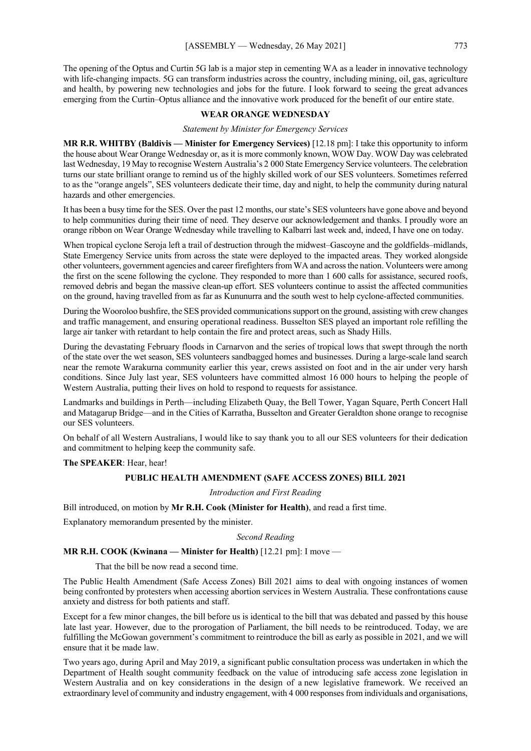The opening of the Optus and Curtin 5G lab is a major step in cementing WA as a leader in innovative technology with life-changing impacts. 5G can transform industries across the country, including mining, oil, gas, agriculture and health, by powering new technologies and jobs for the future. I look forward to seeing the great advances emerging from the Curtin–Optus alliance and the innovative work produced for the benefit of our entire state.

# **WEAR ORANGE WEDNESDAY**

*Statement by Minister for Emergency Services*

**MR R.R. WHITBY (Baldivis — Minister for Emergency Services)** [12.18 pm]: I take this opportunity to inform the house about Wear Orange Wednesday or, as it is more commonly known, WOW Day. WOW Day was celebrated last Wednesday, 19 May to recognise Western Australia's 2 000 State Emergency Service volunteers. The celebration turns our state brilliant orange to remind us of the highly skilled work of our SES volunteers. Sometimes referred to as the "orange angels", SES volunteers dedicate their time, day and night, to help the community during natural hazards and other emergencies.

It has been a busy time for the SES. Over the past 12 months, our state's SES volunteers have gone above and beyond to help communities during their time of need. They deserve our acknowledgement and thanks. I proudly wore an orange ribbon on Wear Orange Wednesday while travelling to Kalbarri last week and, indeed, I have one on today.

When tropical cyclone Seroja left a trail of destruction through the midwest–Gascoyne and the goldfields–midlands, State Emergency Service units from across the state were deployed to the impacted areas. They worked alongside other volunteers, government agencies and career firefighters from WA and across the nation. Volunteers were among the first on the scene following the cyclone. They responded to more than 1 600 calls for assistance, secured roofs, removed debris and began the massive clean-up effort. SES volunteers continue to assist the affected communities on the ground, having travelled from as far as Kununurra and the south west to help cyclone-affected communities.

During the Wooroloo bushfire, the SES provided communications support on the ground, assisting with crew changes and traffic management, and ensuring operational readiness. Busselton SES played an important role refilling the large air tanker with retardant to help contain the fire and protect areas, such as Shady Hills.

During the devastating February floods in Carnarvon and the series of tropical lows that swept through the north of the state over the wet season, SES volunteers sandbagged homes and businesses. During a large-scale land search near the remote Warakurna community earlier this year, crews assisted on foot and in the air under very harsh conditions. Since July last year, SES volunteers have committed almost 16 000 hours to helping the people of Western Australia, putting their lives on hold to respond to requests for assistance.

Landmarks and buildings in Perth—including Elizabeth Quay, the Bell Tower, Yagan Square, Perth Concert Hall and Matagarup Bridge—and in the Cities of Karratha, Busselton and Greater Geraldton shone orange to recognise our SES volunteers.

On behalf of all Western Australians, I would like to say thank you to all our SES volunteers for their dedication and commitment to helping keep the community safe.

**The SPEAKER**: Hear, hear!

#### **PUBLIC HEALTH AMENDMENT (SAFE ACCESS ZONES) BILL 2021**

*Introduction and First Reading*

Bill introduced, on motion by **Mr R.H. Cook (Minister for Health)**, and read a first time.

Explanatory memorandum presented by the minister.

*Second Reading*

**MR R.H. COOK (Kwinana — Minister for Health)** [12.21 pm]: I move —

That the bill be now read a second time.

The Public Health Amendment (Safe Access Zones) Bill 2021 aims to deal with ongoing instances of women being confronted by protesters when accessing abortion services in Western Australia. These confrontations cause anxiety and distress for both patients and staff.

Except for a few minor changes, the bill before us is identical to the bill that was debated and passed by this house late last year. However, due to the prorogation of Parliament, the bill needs to be reintroduced. Today, we are fulfilling the McGowan government's commitment to reintroduce the bill as early as possible in 2021, and we will ensure that it be made law.

Two years ago, during April and May 2019, a significant public consultation process was undertaken in which the Department of Health sought community feedback on the value of introducing safe access zone legislation in Western Australia and on key considerations in the design of a new legislative framework. We received an extraordinary level of community and industry engagement, with 4 000 responses from individuals and organisations,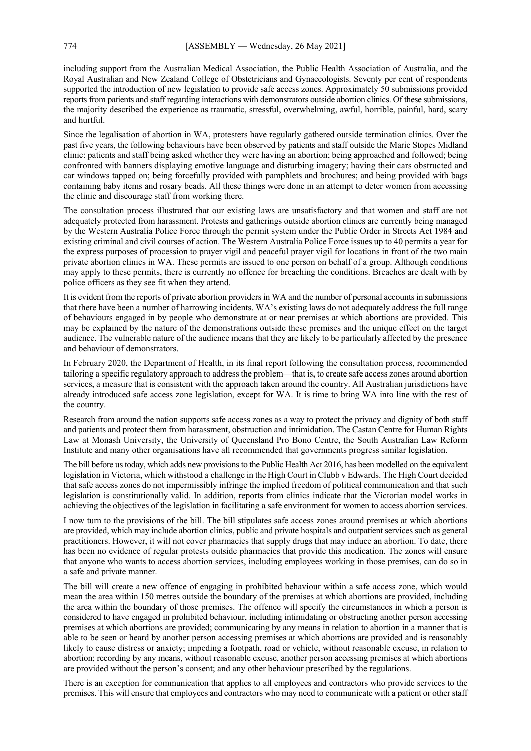including support from the Australian Medical Association, the Public Health Association of Australia, and the Royal Australian and New Zealand College of Obstetricians and Gynaecologists. Seventy per cent of respondents supported the introduction of new legislation to provide safe access zones. Approximately 50 submissions provided reports from patients and staff regarding interactions with demonstrators outside abortion clinics. Of these submissions, the majority described the experience as traumatic, stressful, overwhelming, awful, horrible, painful, hard, scary and hurtful.

Since the legalisation of abortion in WA, protesters have regularly gathered outside termination clinics. Over the past five years, the following behaviours have been observed by patients and staff outside the Marie Stopes Midland clinic: patients and staff being asked whether they were having an abortion; being approached and followed; being confronted with banners displaying emotive language and disturbing imagery; having their cars obstructed and car windows tapped on; being forcefully provided with pamphlets and brochures; and being provided with bags containing baby items and rosary beads. All these things were done in an attempt to deter women from accessing the clinic and discourage staff from working there.

The consultation process illustrated that our existing laws are unsatisfactory and that women and staff are not adequately protected from harassment. Protests and gatherings outside abortion clinics are currently being managed by the Western Australia Police Force through the permit system under the Public Order in Streets Act 1984 and existing criminal and civil courses of action. The Western Australia Police Force issues up to 40 permits a year for the express purposes of procession to prayer vigil and peaceful prayer vigil for locations in front of the two main private abortion clinics in WA. These permits are issued to one person on behalf of a group. Although conditions may apply to these permits, there is currently no offence for breaching the conditions. Breaches are dealt with by police officers as they see fit when they attend.

It is evident from the reports of private abortion providers in WA and the number of personal accounts in submissions that there have been a number of harrowing incidents. WA's existing laws do not adequately address the full range of behaviours engaged in by people who demonstrate at or near premises at which abortions are provided. This may be explained by the nature of the demonstrations outside these premises and the unique effect on the target audience. The vulnerable nature of the audience means that they are likely to be particularly affected by the presence and behaviour of demonstrators.

In February 2020, the Department of Health, in its final report following the consultation process, recommended tailoring a specific regulatory approach to address the problem—that is, to create safe access zones around abortion services, a measure that is consistent with the approach taken around the country. All Australian jurisdictions have already introduced safe access zone legislation, except for WA. It is time to bring WA into line with the rest of the country.

Research from around the nation supports safe access zones as a way to protect the privacy and dignity of both staff and patients and protect them from harassment, obstruction and intimidation. The Castan Centre for Human Rights Law at Monash University, the University of Queensland Pro Bono Centre, the South Australian Law Reform Institute and many other organisations have all recommended that governments progress similar legislation.

The bill before us today, which adds new provisions to the Public Health Act 2016, has been modelled on the equivalent legislation in Victoria, which withstood a challenge in the High Court in Clubb v Edwards. The High Court decided that safe access zones do not impermissibly infringe the implied freedom of political communication and that such legislation is constitutionally valid. In addition, reports from clinics indicate that the Victorian model works in achieving the objectives of the legislation in facilitating a safe environment for women to access abortion services.

I now turn to the provisions of the bill. The bill stipulates safe access zones around premises at which abortions are provided, which may include abortion clinics, public and private hospitals and outpatient services such as general practitioners. However, it will not cover pharmacies that supply drugs that may induce an abortion. To date, there has been no evidence of regular protests outside pharmacies that provide this medication. The zones will ensure that anyone who wants to access abortion services, including employees working in those premises, can do so in a safe and private manner.

The bill will create a new offence of engaging in prohibited behaviour within a safe access zone, which would mean the area within 150 metres outside the boundary of the premises at which abortions are provided, including the area within the boundary of those premises. The offence will specify the circumstances in which a person is considered to have engaged in prohibited behaviour, including intimidating or obstructing another person accessing premises at which abortions are provided; communicating by any means in relation to abortion in a manner that is able to be seen or heard by another person accessing premises at which abortions are provided and is reasonably likely to cause distress or anxiety; impeding a footpath, road or vehicle, without reasonable excuse, in relation to abortion; recording by any means, without reasonable excuse, another person accessing premises at which abortions are provided without the person's consent; and any other behaviour prescribed by the regulations.

There is an exception for communication that applies to all employees and contractors who provide services to the premises. This will ensure that employees and contractors who may need to communicate with a patient or other staff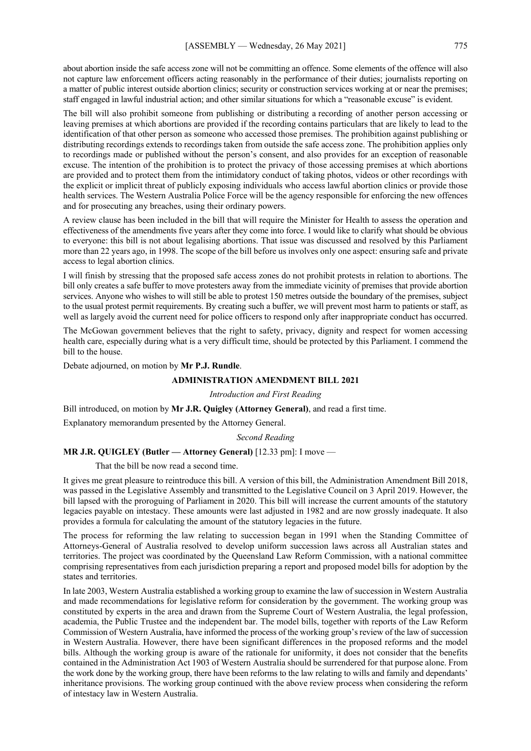about abortion inside the safe access zone will not be committing an offence. Some elements of the offence will also not capture law enforcement officers acting reasonably in the performance of their duties; journalists reporting on a matter of public interest outside abortion clinics; security or construction services working at or near the premises; staff engaged in lawful industrial action; and other similar situations for which a "reasonable excuse" is evident.

The bill will also prohibit someone from publishing or distributing a recording of another person accessing or leaving premises at which abortions are provided if the recording contains particulars that are likely to lead to the identification of that other person as someone who accessed those premises. The prohibition against publishing or distributing recordings extends to recordings taken from outside the safe access zone. The prohibition applies only to recordings made or published without the person's consent, and also provides for an exception of reasonable excuse. The intention of the prohibition is to protect the privacy of those accessing premises at which abortions are provided and to protect them from the intimidatory conduct of taking photos, videos or other recordings with the explicit or implicit threat of publicly exposing individuals who access lawful abortion clinics or provide those health services. The Western Australia Police Force will be the agency responsible for enforcing the new offences and for prosecuting any breaches, using their ordinary powers.

A review clause has been included in the bill that will require the Minister for Health to assess the operation and effectiveness of the amendments five years after they come into force. I would like to clarify what should be obvious to everyone: this bill is not about legalising abortions. That issue was discussed and resolved by this Parliament more than 22 years ago, in 1998. The scope of the bill before us involves only one aspect: ensuring safe and private access to legal abortion clinics.

I will finish by stressing that the proposed safe access zones do not prohibit protests in relation to abortions. The bill only creates a safe buffer to move protesters away from the immediate vicinity of premises that provide abortion services. Anyone who wishes to will still be able to protest 150 metres outside the boundary of the premises, subject to the usual protest permit requirements. By creating such a buffer, we will prevent most harm to patients or staff, as well as largely avoid the current need for police officers to respond only after inappropriate conduct has occurred.

The McGowan government believes that the right to safety, privacy, dignity and respect for women accessing health care, especially during what is a very difficult time, should be protected by this Parliament. I commend the bill to the house.

Debate adjourned, on motion by **Mr P.J. Rundle**.

## **ADMINISTRATION AMENDMENT BILL 2021**

*Introduction and First Reading*

Bill introduced, on motion by **Mr J.R. Quigley (Attorney General)**, and read a first time.

Explanatory memorandum presented by the Attorney General.

*Second Reading*

#### **MR J.R. QUIGLEY (Butler — Attorney General)** [12.33 pm]: I move —

That the bill be now read a second time.

It gives me great pleasure to reintroduce this bill. A version of this bill, the Administration Amendment Bill 2018, was passed in the Legislative Assembly and transmitted to the Legislative Council on 3 April 2019. However, the bill lapsed with the proroguing of Parliament in 2020. This bill will increase the current amounts of the statutory legacies payable on intestacy. These amounts were last adjusted in 1982 and are now grossly inadequate. It also provides a formula for calculating the amount of the statutory legacies in the future.

The process for reforming the law relating to succession began in 1991 when the Standing Committee of Attorneys-General of Australia resolved to develop uniform succession laws across all Australian states and territories. The project was coordinated by the Queensland Law Reform Commission, with a national committee comprising representatives from each jurisdiction preparing a report and proposed model bills for adoption by the states and territories.

In late 2003, Western Australia established a working group to examine the law of succession in Western Australia and made recommendations for legislative reform for consideration by the government. The working group was constituted by experts in the area and drawn from the Supreme Court of Western Australia, the legal profession, academia, the Public Trustee and the independent bar. The model bills, together with reports of the Law Reform Commission of Western Australia, have informed the process of the working group's review of the law of succession in Western Australia. However, there have been significant differences in the proposed reforms and the model bills. Although the working group is aware of the rationale for uniformity, it does not consider that the benefits contained in the Administration Act 1903 of Western Australia should be surrendered for that purpose alone. From the work done by the working group, there have been reforms to the law relating to wills and family and dependants' inheritance provisions. The working group continued with the above review process when considering the reform of intestacy law in Western Australia.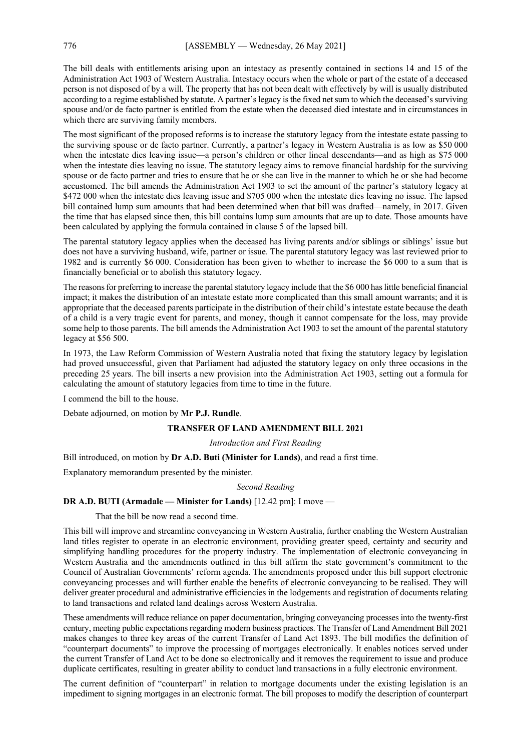The bill deals with entitlements arising upon an intestacy as presently contained in sections 14 and 15 of the Administration Act 1903 of Western Australia. Intestacy occurs when the whole or part of the estate of a deceased person is not disposed of by a will. The property that has not been dealt with effectively by will is usually distributed according to a regime established by statute. A partner's legacy is the fixed net sum to which the deceased's surviving spouse and/or de facto partner is entitled from the estate when the deceased died intestate and in circumstances in which there are surviving family members.

The most significant of the proposed reforms is to increase the statutory legacy from the intestate estate passing to the surviving spouse or de facto partner. Currently, a partner's legacy in Western Australia is as low as \$50 000 when the intestate dies leaving issue—a person's children or other lineal descendants—and as high as \$75 000 when the intestate dies leaving no issue. The statutory legacy aims to remove financial hardship for the surviving spouse or de facto partner and tries to ensure that he or she can live in the manner to which he or she had become accustomed. The bill amends the Administration Act 1903 to set the amount of the partner's statutory legacy at \$472 000 when the intestate dies leaving issue and \$705 000 when the intestate dies leaving no issue. The lapsed bill contained lump sum amounts that had been determined when that bill was drafted—namely, in 2017. Given the time that has elapsed since then, this bill contains lump sum amounts that are up to date. Those amounts have been calculated by applying the formula contained in clause 5 of the lapsed bill.

The parental statutory legacy applies when the deceased has living parents and/or siblings or siblings' issue but does not have a surviving husband, wife, partner or issue. The parental statutory legacy was last reviewed prior to 1982 and is currently \$6 000. Consideration has been given to whether to increase the \$6 000 to a sum that is financially beneficial or to abolish this statutory legacy.

The reasons for preferring to increase the parental statutory legacy include that the \$6 000 has little beneficial financial impact; it makes the distribution of an intestate estate more complicated than this small amount warrants; and it is appropriate that the deceased parents participate in the distribution of their child's intestate estate because the death of a child is a very tragic event for parents, and money, though it cannot compensate for the loss, may provide some help to those parents. The bill amends the Administration Act 1903 to set the amount of the parental statutory legacy at \$56 500.

In 1973, the Law Reform Commission of Western Australia noted that fixing the statutory legacy by legislation had proved unsuccessful, given that Parliament had adjusted the statutory legacy on only three occasions in the preceding 25 years. The bill inserts a new provision into the Administration Act 1903, setting out a formula for calculating the amount of statutory legacies from time to time in the future.

I commend the bill to the house.

Debate adjourned, on motion by **Mr P.J. Rundle**.

# **TRANSFER OF LAND AMENDMENT BILL 2021**

*Introduction and First Reading*

Bill introduced, on motion by **Dr A.D. Buti (Minister for Lands)**, and read a first time.

Explanatory memorandum presented by the minister.

#### *Second Reading*

# **DR A.D. BUTI (Armadale — Minister for Lands)** [12.42 pm]: I move —

That the bill be now read a second time.

This bill will improve and streamline conveyancing in Western Australia, further enabling the Western Australian land titles register to operate in an electronic environment, providing greater speed, certainty and security and simplifying handling procedures for the property industry. The implementation of electronic conveyancing in Western Australia and the amendments outlined in this bill affirm the state government's commitment to the Council of Australian Governments' reform agenda. The amendments proposed under this bill support electronic conveyancing processes and will further enable the benefits of electronic conveyancing to be realised. They will deliver greater procedural and administrative efficiencies in the lodgements and registration of documents relating to land transactions and related land dealings across Western Australia.

These amendments will reduce reliance on paper documentation, bringing conveyancing processes into the twenty-first century, meeting public expectations regarding modern business practices. The Transfer of Land Amendment Bill 2021 makes changes to three key areas of the current Transfer of Land Act 1893. The bill modifies the definition of "counterpart documents" to improve the processing of mortgages electronically. It enables notices served under the current Transfer of Land Act to be done so electronically and it removes the requirement to issue and produce duplicate certificates, resulting in greater ability to conduct land transactions in a fully electronic environment.

The current definition of "counterpart" in relation to mortgage documents under the existing legislation is an impediment to signing mortgages in an electronic format. The bill proposes to modify the description of counterpart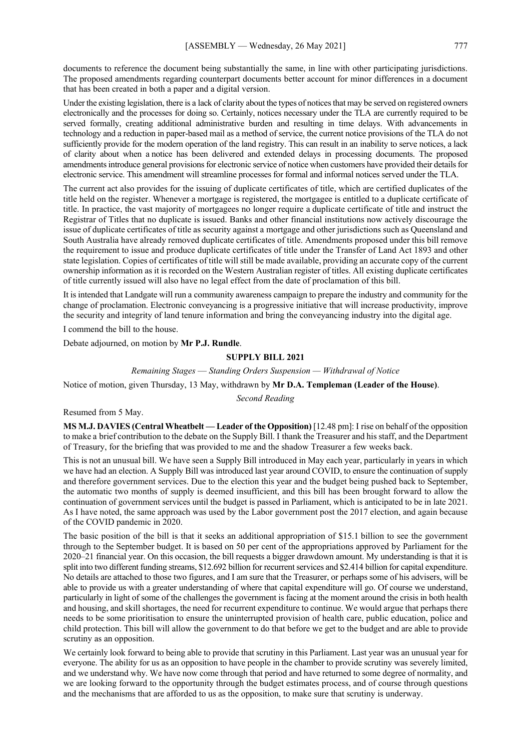documents to reference the document being substantially the same, in line with other participating jurisdictions. The proposed amendments regarding counterpart documents better account for minor differences in a document that has been created in both a paper and a digital version.

Under the existing legislation, there is a lack of clarity about the types of notices that may be served on registered owners electronically and the processes for doing so. Certainly, notices necessary under the TLA are currently required to be served formally, creating additional administrative burden and resulting in time delays. With advancements in technology and a reduction in paper-based mail as a method of service, the current notice provisions of the TLA do not sufficiently provide for the modern operation of the land registry. This can result in an inability to serve notices, a lack of clarity about when a notice has been delivered and extended delays in processing documents. The proposed amendments introduce general provisions for electronic service of notice when customers have provided their details for electronic service. This amendment will streamline processes for formal and informal notices served under the TLA.

The current act also provides for the issuing of duplicate certificates of title, which are certified duplicates of the title held on the register. Whenever a mortgage is registered, the mortgagee is entitled to a duplicate certificate of title. In practice, the vast majority of mortgagees no longer require a duplicate certificate of title and instruct the Registrar of Titles that no duplicate is issued. Banks and other financial institutions now actively discourage the issue of duplicate certificates of title as security against a mortgage and other jurisdictions such as Queensland and South Australia have already removed duplicate certificates of title. Amendments proposed under this bill remove the requirement to issue and produce duplicate certificates of title under the Transfer of Land Act 1893 and other state legislation. Copies of certificates of title will still be made available, providing an accurate copy of the current ownership information as it is recorded on the Western Australian register of titles. All existing duplicate certificates of title currently issued will also have no legal effect from the date of proclamation of this bill.

It is intended that Landgate will run a community awareness campaign to prepare the industry and community for the change of proclamation. Electronic conveyancing is a progressive initiative that will increase productivity, improve the security and integrity of land tenure information and bring the conveyancing industry into the digital age.

I commend the bill to the house.

Debate adjourned, on motion by **Mr P.J. Rundle**.

# **SUPPLY BILL 2021**

*Remaining Stages* — *Standing Orders Suspension — Withdrawal of Notice*

Notice of motion, given Thursday, 13 May, withdrawn by **Mr D.A. Templeman (Leader of the House)**.

*Second Reading*

Resumed from 5 May.

**MS M.J. DAVIES (Central Wheatbelt — Leader of the Opposition)** [12.48 pm]: I rise on behalf of the opposition to make a brief contribution to the debate on the Supply Bill. I thank the Treasurer and his staff, and the Department of Treasury, for the briefing that was provided to me and the shadow Treasurer a few weeks back.

This is not an unusual bill. We have seen a Supply Bill introduced in May each year, particularly in years in which we have had an election. A Supply Bill was introduced last year around COVID, to ensure the continuation of supply and therefore government services. Due to the election this year and the budget being pushed back to September, the automatic two months of supply is deemed insufficient, and this bill has been brought forward to allow the continuation of government services until the budget is passed in Parliament, which is anticipated to be in late 2021. As I have noted, the same approach was used by the Labor government post the 2017 election, and again because of the COVID pandemic in 2020.

The basic position of the bill is that it seeks an additional appropriation of \$15.1 billion to see the government through to the September budget. It is based on 50 per cent of the appropriations approved by Parliament for the 2020–21 financial year. On this occasion, the bill requests a bigger drawdown amount. My understanding is that it is split into two different funding streams, \$12.692 billion for recurrent services and \$2.414 billion for capital expenditure. No details are attached to those two figures, and I am sure that the Treasurer, or perhaps some of his advisers, will be able to provide us with a greater understanding of where that capital expenditure will go. Of course we understand, particularly in light of some of the challenges the government is facing at the moment around the crisis in both health and housing, and skill shortages, the need for recurrent expenditure to continue. We would argue that perhaps there needs to be some prioritisation to ensure the uninterrupted provision of health care, public education, police and child protection. This bill will allow the government to do that before we get to the budget and are able to provide scrutiny as an opposition.

We certainly look forward to being able to provide that scrutiny in this Parliament. Last year was an unusual year for everyone. The ability for us as an opposition to have people in the chamber to provide scrutiny was severely limited, and we understand why. We have now come through that period and have returned to some degree of normality, and we are looking forward to the opportunity through the budget estimates process, and of course through questions and the mechanisms that are afforded to us as the opposition, to make sure that scrutiny is underway.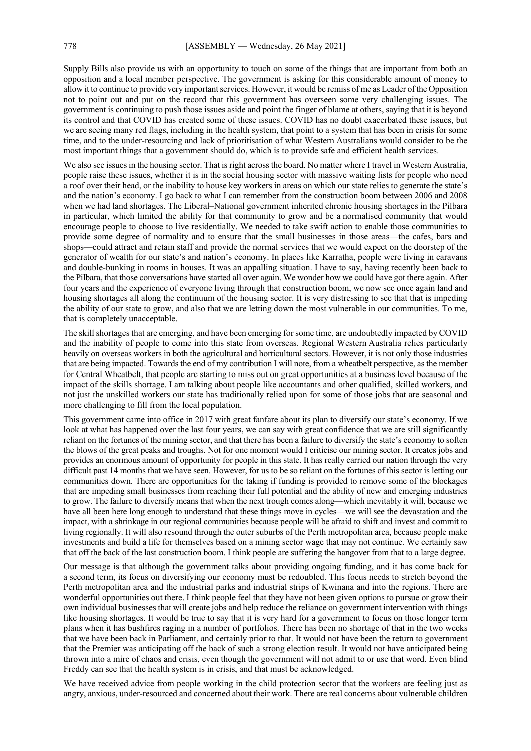Supply Bills also provide us with an opportunity to touch on some of the things that are important from both an opposition and a local member perspective. The government is asking for this considerable amount of money to allow it to continue to provide very important services. However, it would be remiss of me as Leader of the Opposition not to point out and put on the record that this government has overseen some very challenging issues. The government is continuing to push those issues aside and point the finger of blame at others, saying that it is beyond its control and that COVID has created some of these issues. COVID has no doubt exacerbated these issues, but we are seeing many red flags, including in the health system, that point to a system that has been in crisis for some time, and to the under-resourcing and lack of prioritisation of what Western Australians would consider to be the most important things that a government should do, which is to provide safe and efficient health services.

We also see issues in the housing sector. That is right across the board. No matter where I travel in Western Australia, people raise these issues, whether it is in the social housing sector with massive waiting lists for people who need a roof over their head, or the inability to house key workers in areas on which our state relies to generate the state's and the nation's economy. I go back to what I can remember from the construction boom between 2006 and 2008 when we had land shortages. The Liberal–National government inherited chronic housing shortages in the Pilbara in particular, which limited the ability for that community to grow and be a normalised community that would encourage people to choose to live residentially. We needed to take swift action to enable those communities to provide some degree of normality and to ensure that the small businesses in those areas—the cafes, bars and shops—could attract and retain staff and provide the normal services that we would expect on the doorstep of the generator of wealth for our state's and nation's economy. In places like Karratha, people were living in caravans and double-bunking in rooms in houses. It was an appalling situation. I have to say, having recently been back to the Pilbara, that those conversations have started all over again. We wonder how we could have got there again. After four years and the experience of everyone living through that construction boom, we now see once again land and housing shortages all along the continuum of the housing sector. It is very distressing to see that that is impeding the ability of our state to grow, and also that we are letting down the most vulnerable in our communities. To me, that is completely unacceptable.

The skill shortages that are emerging, and have been emerging forsome time, are undoubtedly impacted by COVID and the inability of people to come into this state from overseas. Regional Western Australia relies particularly heavily on overseas workers in both the agricultural and horticultural sectors. However, it is not only those industries that are being impacted. Towards the end of my contribution I will note, from a wheatbelt perspective, as the member for Central Wheatbelt, that people are starting to miss out on great opportunities at a business level because of the impact of the skills shortage. I am talking about people like accountants and other qualified, skilled workers, and not just the unskilled workers our state has traditionally relied upon for some of those jobs that are seasonal and more challenging to fill from the local population.

This government came into office in 2017 with great fanfare about its plan to diversify our state's economy. If we look at what has happened over the last four years, we can say with great confidence that we are still significantly reliant on the fortunes of the mining sector, and that there has been a failure to diversify the state's economy to soften the blows of the great peaks and troughs. Not for one moment would I criticise our mining sector. It creates jobs and provides an enormous amount of opportunity for people in this state. It has really carried our nation through the very difficult past 14 months that we have seen. However, for us to be so reliant on the fortunes of this sector is letting our communities down. There are opportunities for the taking if funding is provided to remove some of the blockages that are impeding small businesses from reaching their full potential and the ability of new and emerging industries to grow. The failure to diversify means that when the next trough comes along—which inevitably it will, because we have all been here long enough to understand that these things move in cycles—we will see the devastation and the impact, with a shrinkage in our regional communities because people will be afraid to shift and invest and commit to living regionally. It will also resound through the outer suburbs of the Perth metropolitan area, because people make investments and build a life for themselves based on a mining sector wage that may not continue. We certainly saw that off the back of the last construction boom. I think people are suffering the hangover from that to a large degree.

Our message is that although the government talks about providing ongoing funding, and it has come back for a second term, its focus on diversifying our economy must be redoubled. This focus needs to stretch beyond the Perth metropolitan area and the industrial parks and industrial strips of Kwinana and into the regions. There are wonderful opportunities out there. I think people feel that they have not been given options to pursue or grow their own individual businesses that will create jobs and help reduce the reliance on government intervention with things like housing shortages. It would be true to say that it is very hard for a government to focus on those longer term plans when it has bushfires raging in a number of portfolios. There has been no shortage of that in the two weeks that we have been back in Parliament, and certainly prior to that. It would not have been the return to government that the Premier was anticipating off the back of such a strong election result. It would not have anticipated being thrown into a mire of chaos and crisis, even though the government will not admit to or use that word. Even blind Freddy can see that the health system is in crisis, and that must be acknowledged.

We have received advice from people working in the child protection sector that the workers are feeling just as angry, anxious, under-resourced and concerned about their work. There are real concerns about vulnerable children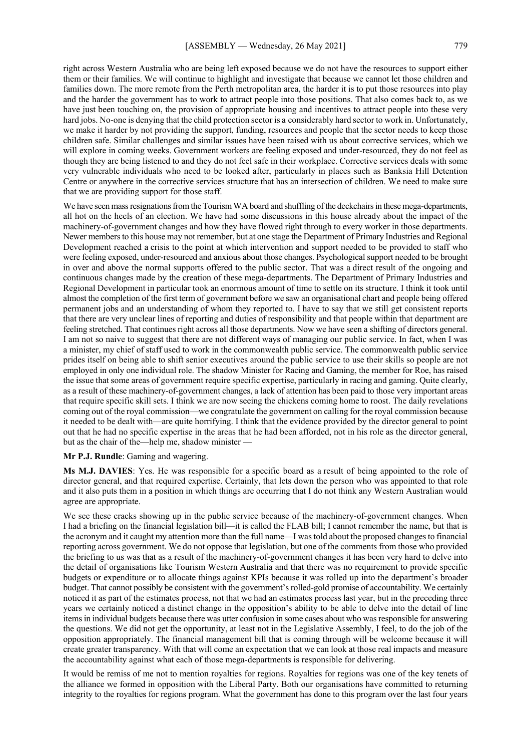right across Western Australia who are being left exposed because we do not have the resources to support either them or their families. We will continue to highlight and investigate that because we cannot let those children and families down. The more remote from the Perth metropolitan area, the harder it is to put those resources into play and the harder the government has to work to attract people into those positions. That also comes back to, as we have just been touching on, the provision of appropriate housing and incentives to attract people into these very hard jobs. No-one is denying that the child protection sector is a considerably hard sector to work in. Unfortunately, we make it harder by not providing the support, funding, resources and people that the sector needs to keep those children safe. Similar challenges and similar issues have been raised with us about corrective services, which we will explore in coming weeks. Government workers are feeling exposed and under-resourced, they do not feel as

though they are being listened to and they do not feel safe in their workplace. Corrective services deals with some very vulnerable individuals who need to be looked after, particularly in places such as Banksia Hill Detention Centre or anywhere in the corrective services structure that has an intersection of children. We need to make sure that we are providing support for those staff.

We have seen mass resignations from the Tourism WA board and shuffling of the deckchairs in these mega-departments, all hot on the heels of an election. We have had some discussions in this house already about the impact of the machinery-of-government changes and how they have flowed right through to every worker in those departments. Newer members to this house may not remember, but at one stage the Department of Primary Industries and Regional Development reached a crisis to the point at which intervention and support needed to be provided to staff who were feeling exposed, under-resourced and anxious about those changes. Psychological support needed to be brought in over and above the normal supports offered to the public sector. That was a direct result of the ongoing and continuous changes made by the creation of these mega-departments. The Department of Primary Industries and Regional Development in particular took an enormous amount of time to settle on its structure. I think it took until almost the completion of the first term of government before we saw an organisational chart and people being offered permanent jobs and an understanding of whom they reported to. I have to say that we still get consistent reports that there are very unclear lines of reporting and duties of responsibility and that people within that department are feeling stretched. That continues right across all those departments. Now we have seen a shifting of directors general. I am not so naive to suggest that there are not different ways of managing our public service. In fact, when I was a minister, my chief of staff used to work in the commonwealth public service. The commonwealth public service prides itself on being able to shift senior executives around the public service to use their skills so people are not employed in only one individual role. The shadow Minister for Racing and Gaming, the member for Roe, has raised the issue that some areas of government require specific expertise, particularly in racing and gaming. Quite clearly, as a result of these machinery-of-government changes, a lack of attention has been paid to those very important areas that require specific skill sets. I think we are now seeing the chickens coming home to roost. The daily revelations coming out of the royal commission—we congratulate the government on calling for the royal commission because it needed to be dealt with—are quite horrifying. I think that the evidence provided by the director general to point out that he had no specific expertise in the areas that he had been afforded, not in his role as the director general, but as the chair of the—help me, shadow minister —

## **Mr P.J. Rundle**: Gaming and wagering.

**Ms M.J. DAVIES**: Yes. He was responsible for a specific board as a result of being appointed to the role of director general, and that required expertise. Certainly, that lets down the person who was appointed to that role and it also puts them in a position in which things are occurring that I do not think any Western Australian would agree are appropriate.

We see these cracks showing up in the public service because of the machinery-of-government changes. When I had a briefing on the financial legislation bill—it is called the FLAB bill; I cannot remember the name, but that is the acronym and it caught my attention more than the full name—I was told about the proposed changes to financial reporting across government. We do not oppose that legislation, but one of the comments from those who provided the briefing to us was that as a result of the machinery-of-government changes it has been very hard to delve into the detail of organisations like Tourism Western Australia and that there was no requirement to provide specific budgets or expenditure or to allocate things against KPIs because it was rolled up into the department's broader budget. That cannot possibly be consistent with the government's rolled-gold promise of accountability. We certainly noticed it as part of the estimates process, not that we had an estimates process last year, but in the preceding three years we certainly noticed a distinct change in the opposition's ability to be able to delve into the detail of line items in individual budgets because there was utter confusion in some cases about who was responsible for answering the questions. We did not get the opportunity, at least not in the Legislative Assembly, I feel, to do the job of the opposition appropriately. The financial management bill that is coming through will be welcome because it will create greater transparency. With that will come an expectation that we can look at those real impacts and measure the accountability against what each of those mega-departments is responsible for delivering.

It would be remiss of me not to mention royalties for regions. Royalties for regions was one of the key tenets of the alliance we formed in opposition with the Liberal Party. Both our organisations have committed to returning integrity to the royalties for regions program. What the government has done to this program over the last four years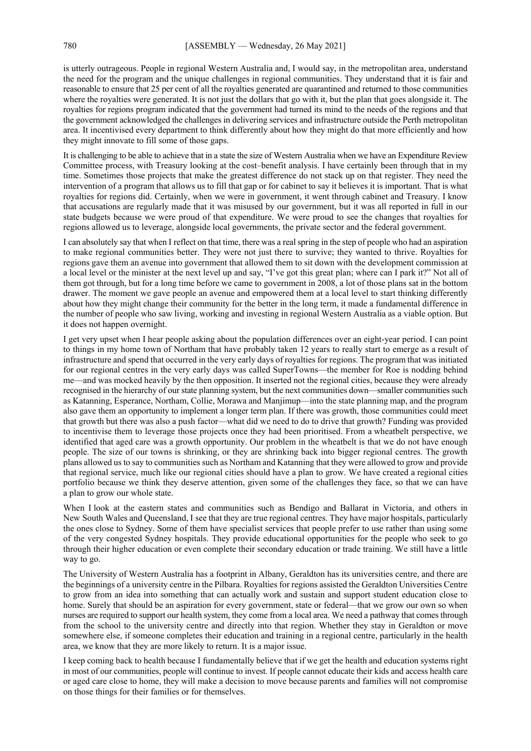is utterly outrageous. People in regional Western Australia and, I would say, in the metropolitan area, understand the need for the program and the unique challenges in regional communities. They understand that it is fair and reasonable to ensure that 25 per cent of all the royalties generated are quarantined and returned to those communities where the royalties were generated. It is not just the dollars that go with it, but the plan that goes alongside it. The royalties for regions program indicated that the government had turned its mind to the needs of the regions and that the government acknowledged the challenges in delivering services and infrastructure outside the Perth metropolitan area. It incentivised every department to think differently about how they might do that more efficiently and how they might innovate to fill some of those gaps.

It is challenging to be able to achieve that in a state the size of Western Australia when we have an Expenditure Review Committee process, with Treasury looking at the cost–benefit analysis. I have certainly been through that in my time. Sometimes those projects that make the greatest difference do not stack up on that register. They need the intervention of a program that allows us to fill that gap or for cabinet to say it believes it is important. That is what royalties for regions did. Certainly, when we were in government, it went through cabinet and Treasury. I know that accusations are regularly made that it was misused by our government, but it was all reported in full in our state budgets because we were proud of that expenditure. We were proud to see the changes that royalties for regions allowed us to leverage, alongside local governments, the private sector and the federal government.

I can absolutely say that when I reflect on that time, there was a real spring in the step of people who had an aspiration to make regional communities better. They were not just there to survive; they wanted to thrive. Royalties for regions gave them an avenue into government that allowed them to sit down with the development commission at a local level or the minister at the next level up and say, "I've got this great plan; where can I park it?" Not all of them got through, but for a long time before we came to government in 2008, a lot of those plans sat in the bottom drawer. The moment we gave people an avenue and empowered them at a local level to start thinking differently about how they might change their community for the better in the long term, it made a fundamental difference in the number of people who saw living, working and investing in regional Western Australia as a viable option. But it does not happen overnight.

I get very upset when I hear people asking about the population differences over an eight-year period. I can point to things in my home town of Northam that have probably taken 12 years to really start to emerge as a result of infrastructure and spend that occurred in the very early days of royalties for regions. The program that was initiated for our regional centres in the very early days was called SuperTowns—the member for Roe is nodding behind me—and was mocked heavily by the then opposition. It inserted not the regional cities, because they were already recognised in the hierarchy of our state planning system, but the next communities down—smaller communities such as Katanning, Esperance, Northam, Collie, Morawa and Manjimup—into the state planning map, and the program also gave them an opportunity to implement a longer term plan. If there was growth, those communities could meet that growth but there was also a push factor—what did we need to do to drive that growth? Funding was provided to incentivise them to leverage those projects once they had been prioritised. From a wheatbelt perspective, we identified that aged care was a growth opportunity. Our problem in the wheatbelt is that we do not have enough people. The size of our towns is shrinking, or they are shrinking back into bigger regional centres. The growth plans allowed us to say to communities such as Northam and Katanning that they were allowed to grow and provide that regional service, much like our regional cities should have a plan to grow. We have created a regional cities portfolio because we think they deserve attention, given some of the challenges they face, so that we can have a plan to grow our whole state.

When I look at the eastern states and communities such as Bendigo and Ballarat in Victoria, and others in New South Wales and Queensland, I see that they are true regional centres. They have major hospitals, particularly the ones close to Sydney. Some of them have specialist services that people prefer to use rather than using some of the very congested Sydney hospitals. They provide educational opportunities for the people who seek to go through their higher education or even complete their secondary education or trade training. We still have a little way to go.

The University of Western Australia has a footprint in Albany, Geraldton has its universities centre, and there are the beginnings of a university centre in the Pilbara. Royalties for regions assisted the Geraldton Universities Centre to grow from an idea into something that can actually work and sustain and support student education close to home. Surely that should be an aspiration for every government, state or federal—that we grow our own so when nurses are required to support our health system, they come from a local area. We need a pathway that comes through from the school to the university centre and directly into that region. Whether they stay in Geraldton or move somewhere else, if someone completes their education and training in a regional centre, particularly in the health area, we know that they are more likely to return. It is a major issue.

I keep coming back to health because I fundamentally believe that if we get the health and education systems right in most of our communities, people will continue to invest. If people cannot educate their kids and access health care or aged care close to home, they will make a decision to move because parents and families will not compromise on those things for their families or for themselves.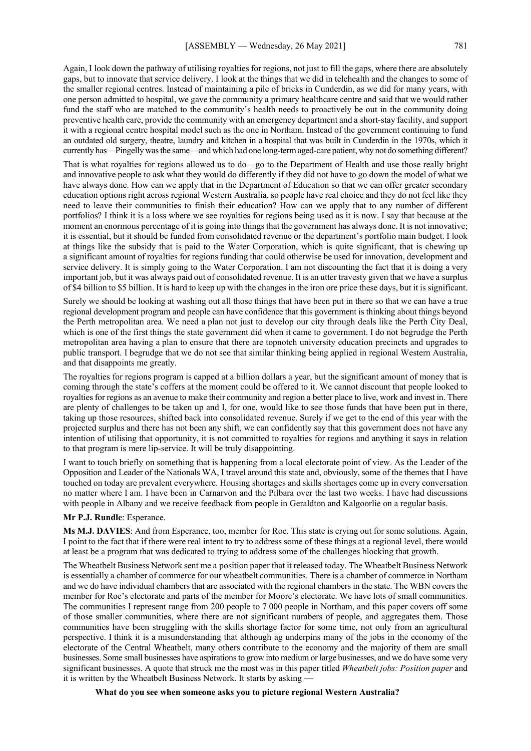Again, I look down the pathway of utilising royalties for regions, not just to fill the gaps, where there are absolutely gaps, but to innovate that service delivery. I look at the things that we did in telehealth and the changes to some of the smaller regional centres. Instead of maintaining a pile of bricks in Cunderdin, as we did for many years, with one person admitted to hospital, we gave the community a primary healthcare centre and said that we would rather fund the staff who are matched to the community's health needs to proactively be out in the community doing preventive health care, provide the community with an emergency department and a short-stay facility, and support it with a regional centre hospital model such as the one in Northam. Instead of the government continuing to fund an outdated old surgery, theatre, laundry and kitchen in a hospital that was built in Cunderdin in the 1970s, which it currently has—Pingelly was the same—and which had one long-term aged-care patient, why not do something different?

That is what royalties for regions allowed us to do—go to the Department of Health and use those really bright and innovative people to ask what they would do differently if they did not have to go down the model of what we have always done. How can we apply that in the Department of Education so that we can offer greater secondary education options right across regional Western Australia, so people have real choice and they do not feel like they need to leave their communities to finish their education? How can we apply that to any number of different portfolios? I think it is a loss where we see royalties for regions being used as it is now. I say that because at the moment an enormous percentage of it is going into things that the government has always done. It is not innovative; it is essential, but it should be funded from consolidated revenue or the department's portfolio main budget. I look at things like the subsidy that is paid to the Water Corporation, which is quite significant, that is chewing up a significant amount of royalties for regions funding that could otherwise be used for innovation, development and service delivery. It is simply going to the Water Corporation. I am not discounting the fact that it is doing a very important job, but it was always paid out of consolidated revenue. It is an utter travesty given that we have a surplus of \$4 billion to \$5 billion. It is hard to keep up with the changes in the iron ore price these days, but it is significant.

Surely we should be looking at washing out all those things that have been put in there so that we can have a true regional development program and people can have confidence that this government is thinking about things beyond the Perth metropolitan area. We need a plan not just to develop our city through deals like the Perth City Deal, which is one of the first things the state government did when it came to government. I do not begrudge the Perth metropolitan area having a plan to ensure that there are topnotch university education precincts and upgrades to public transport. I begrudge that we do not see that similar thinking being applied in regional Western Australia, and that disappoints me greatly.

The royalties for regions program is capped at a billion dollars a year, but the significant amount of money that is coming through the state's coffers at the moment could be offered to it. We cannot discount that people looked to royalties for regions as an avenue to make their community and region a better place to live, work and invest in. There are plenty of challenges to be taken up and I, for one, would like to see those funds that have been put in there, taking up those resources, shifted back into consolidated revenue. Surely if we get to the end of this year with the projected surplus and there has not been any shift, we can confidently say that this government does not have any intention of utilising that opportunity, it is not committed to royalties for regions and anything it says in relation to that program is mere lip-service. It will be truly disappointing.

I want to touch briefly on something that is happening from a local electorate point of view. As the Leader of the Opposition and Leader of the Nationals WA, I travel around this state and, obviously, some of the themes that I have touched on today are prevalent everywhere. Housing shortages and skills shortages come up in every conversation no matter where I am. I have been in Carnarvon and the Pilbara over the last two weeks. I have had discussions with people in Albany and we receive feedback from people in Geraldton and Kalgoorlie on a regular basis.

#### **Mr P.J. Rundle**: Esperance.

**Ms M.J. DAVIES**: And from Esperance, too, member for Roe. This state is crying out for some solutions. Again, I point to the fact that if there were real intent to try to address some of these things at a regional level, there would at least be a program that was dedicated to trying to address some of the challenges blocking that growth.

The Wheatbelt Business Network sent me a position paper that it released today. The Wheatbelt Business Network is essentially a chamber of commerce for our wheatbelt communities. There is a chamber of commerce in Northam and we do have individual chambers that are associated with the regional chambers in the state. The WBN covers the member for Roe's electorate and parts of the member for Moore's electorate. We have lots of small communities. The communities I represent range from 200 people to 7 000 people in Northam, and this paper covers off some of those smaller communities, where there are not significant numbers of people, and aggregates them. Those communities have been struggling with the skills shortage factor for some time, not only from an agricultural perspective. I think it is a misunderstanding that although ag underpins many of the jobs in the economy of the electorate of the Central Wheatbelt, many others contribute to the economy and the majority of them are small businesses. Some small businesses have aspirations to grow into medium or large businesses, and we do have some very significant businesses. A quote that struck me the most was in this paper titled *Wheatbelt jobs: Position paper* and it is written by the Wheatbelt Business Network. It starts by asking -

**What do you see when someone asks you to picture regional Western Australia?**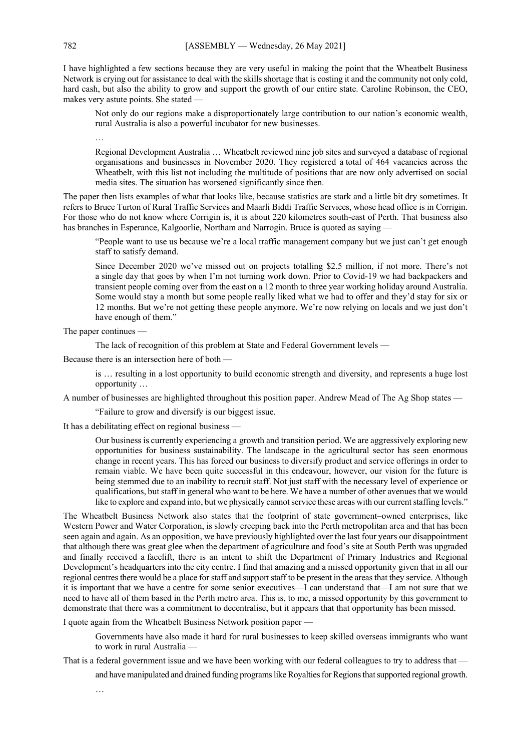I have highlighted a few sections because they are very useful in making the point that the Wheatbelt Business Network is crying out for assistance to deal with the skills shortage that is costing it and the community not only cold, hard cash, but also the ability to grow and support the growth of our entire state. Caroline Robinson, the CEO, makes very astute points. She stated —

Not only do our regions make a disproportionately large contribution to our nation's economic wealth, rural Australia is also a powerful incubator for new businesses.

Regional Development Australia … Wheatbelt reviewed nine job sites and surveyed a database of regional organisations and businesses in November 2020. They registered a total of 464 vacancies across the Wheatbelt, with this list not including the multitude of positions that are now only advertised on social media sites. The situation has worsened significantly since then.

The paper then lists examples of what that looks like, because statistics are stark and a little bit dry sometimes. It refers to Bruce Turton of Rural Traffic Services and Maarli Biddi Traffic Services, whose head office is in Corrigin. For those who do not know where Corrigin is, it is about 220 kilometres south-east of Perth. That business also has branches in Esperance, Kalgoorlie, Northam and Narrogin. Bruce is quoted as saying -

"People want to use us because we're a local traffic management company but we just can't get enough staff to satisfy demand.

Since December 2020 we've missed out on projects totalling \$2.5 million, if not more. There's not a single day that goes by when I'm not turning work down. Prior to Covid-19 we had backpackers and transient people coming over from the east on a 12 month to three year working holiday around Australia. Some would stay a month but some people really liked what we had to offer and they'd stay for six or 12 months. But we're not getting these people anymore. We're now relying on locals and we just don't have enough of them."

The paper continues —

…

The lack of recognition of this problem at State and Federal Government levels —

Because there is an intersection here of both —

is … resulting in a lost opportunity to build economic strength and diversity, and represents a huge lost opportunity …

A number of businesses are highlighted throughout this position paper. Andrew Mead of The Ag Shop states —

"Failure to grow and diversify is our biggest issue.

It has a debilitating effect on regional business —

Our business is currently experiencing a growth and transition period. We are aggressively exploring new opportunities for business sustainability. The landscape in the agricultural sector has seen enormous change in recent years. This has forced our business to diversify product and service offerings in order to remain viable. We have been quite successful in this endeavour, however, our vision for the future is being stemmed due to an inability to recruit staff. Not just staff with the necessary level of experience or qualifications, but staff in general who want to be here. We have a number of other avenues that we would like to explore and expand into, but we physically cannot service these areas with our current staffing levels."

The Wheatbelt Business Network also states that the footprint of state government–owned enterprises, like Western Power and Water Corporation, is slowly creeping back into the Perth metropolitan area and that has been seen again and again. As an opposition, we have previously highlighted over the last four years our disappointment that although there was great glee when the department of agriculture and food's site at South Perth was upgraded and finally received a facelift, there is an intent to shift the Department of Primary Industries and Regional Development's headquarters into the city centre. I find that amazing and a missed opportunity given that in all our regional centres there would be a place for staff and support staff to be present in the areas that they service. Although it is important that we have a centre for some senior executives—I can understand that—I am not sure that we need to have all of them based in the Perth metro area. This is, to me, a missed opportunity by this government to demonstrate that there was a commitment to decentralise, but it appears that that opportunity has been missed.

I quote again from the Wheatbelt Business Network position paper —

Governments have also made it hard for rural businesses to keep skilled overseas immigrants who want to work in rural Australia —

That is a federal government issue and we have been working with our federal colleagues to try to address that —

and have manipulated and drained funding programs like Royalties for Regions that supported regional growth.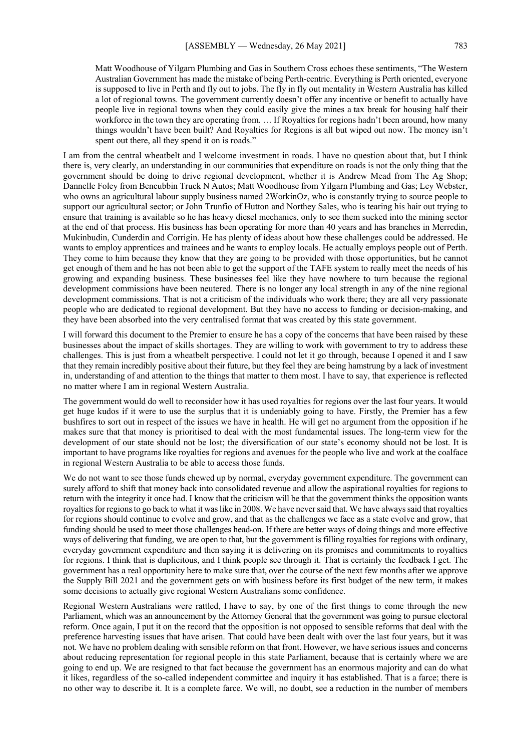Matt Woodhouse of Yilgarn Plumbing and Gas in Southern Cross echoes these sentiments, "The Western Australian Government has made the mistake of being Perth-centric. Everything is Perth oriented, everyone is supposed to live in Perth and fly out to jobs. The fly in fly out mentality in Western Australia has killed a lot of regional towns. The government currently doesn't offer any incentive or benefit to actually have people live in regional towns when they could easily give the mines a tax break for housing half their workforce in the town they are operating from. … If Royalties for regions hadn't been around, how many things wouldn't have been built? And Royalties for Regions is all but wiped out now. The money isn't spent out there, all they spend it on is roads."

I am from the central wheatbelt and I welcome investment in roads. I have no question about that, but I think there is, very clearly, an understanding in our communities that expenditure on roads is not the only thing that the government should be doing to drive regional development, whether it is Andrew Mead from The Ag Shop; Dannelle Foley from Bencubbin Truck N Autos; Matt Woodhouse from Yilgarn Plumbing and Gas; Ley Webster, who owns an agricultural labour supply business named 2WorkinOz, who is constantly trying to source people to support our agricultural sector; or John Trunfio of Hutton and Northey Sales, who is tearing his hair out trying to ensure that training is available so he has heavy diesel mechanics, only to see them sucked into the mining sector at the end of that process. His business has been operating for more than 40 years and has branches in Merredin, Mukinbudin, Cunderdin and Corrigin. He has plenty of ideas about how these challenges could be addressed. He wants to employ apprentices and trainees and he wants to employ locals. He actually employs people out of Perth. They come to him because they know that they are going to be provided with those opportunities, but he cannot get enough of them and he has not been able to get the support of the TAFE system to really meet the needs of his growing and expanding business. These businesses feel like they have nowhere to turn because the regional development commissions have been neutered. There is no longer any local strength in any of the nine regional development commissions. That is not a criticism of the individuals who work there; they are all very passionate people who are dedicated to regional development. But they have no access to funding or decision-making, and they have been absorbed into the very centralised format that was created by this state government.

I will forward this document to the Premier to ensure he has a copy of the concerns that have been raised by these businesses about the impact of skills shortages. They are willing to work with government to try to address these challenges. This is just from a wheatbelt perspective. I could not let it go through, because I opened it and I saw that they remain incredibly positive about their future, but they feel they are being hamstrung by a lack of investment in, understanding of and attention to the things that matter to them most. I have to say, that experience is reflected no matter where I am in regional Western Australia.

The government would do well to reconsider how it has used royalties for regions over the last four years. It would get huge kudos if it were to use the surplus that it is undeniably going to have. Firstly, the Premier has a few bushfires to sort out in respect of the issues we have in health. He will get no argument from the opposition if he makes sure that that money is prioritised to deal with the most fundamental issues. The long-term view for the development of our state should not be lost; the diversification of our state's economy should not be lost. It is important to have programs like royalties for regions and avenues for the people who live and work at the coalface in regional Western Australia to be able to access those funds.

We do not want to see those funds chewed up by normal, everyday government expenditure. The government can surely afford to shift that money back into consolidated revenue and allow the aspirational royalties for regions to return with the integrity it once had. I know that the criticism will be that the government thinks the opposition wants royalties for regions to go back to what it was like in 2008. We have never said that. We have always said that royalties for regions should continue to evolve and grow, and that as the challenges we face as a state evolve and grow, that funding should be used to meet those challenges head-on. If there are better ways of doing things and more effective ways of delivering that funding, we are open to that, but the government is filling royalties for regions with ordinary, everyday government expenditure and then saying it is delivering on its promises and commitments to royalties for regions. I think that is duplicitous, and I think people see through it. That is certainly the feedback I get. The government has a real opportunity here to make sure that, over the course of the next few months after we approve the Supply Bill 2021 and the government gets on with business before its first budget of the new term, it makes some decisions to actually give regional Western Australians some confidence.

Regional Western Australians were rattled, I have to say, by one of the first things to come through the new Parliament, which was an announcement by the Attorney General that the government was going to pursue electoral reform. Once again, I put it on the record that the opposition is not opposed to sensible reforms that deal with the preference harvesting issues that have arisen. That could have been dealt with over the last four years, but it was not. We have no problem dealing with sensible reform on that front. However, we have serious issues and concerns about reducing representation for regional people in this state Parliament, because that is certainly where we are going to end up. We are resigned to that fact because the government has an enormous majority and can do what it likes, regardless of the so-called independent committee and inquiry it has established. That is a farce; there is no other way to describe it. It is a complete farce. We will, no doubt, see a reduction in the number of members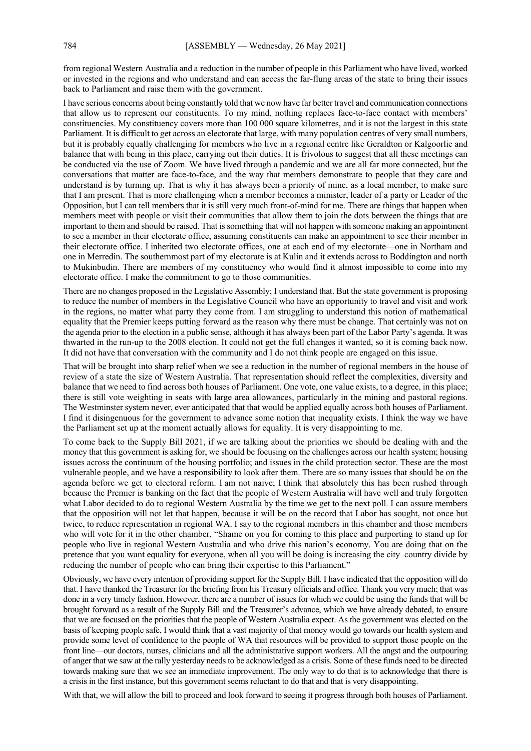from regional Western Australia and a reduction in the number of people in this Parliament who have lived, worked or invested in the regions and who understand and can access the far-flung areas of the state to bring their issues back to Parliament and raise them with the government.

I have serious concerns about being constantly told that we now have far better travel and communication connections that allow us to represent our constituents. To my mind, nothing replaces face-to-face contact with members' constituencies. My constituency covers more than 100 000 square kilometres, and it is not the largest in this state Parliament. It is difficult to get across an electorate that large, with many population centres of very small numbers, but it is probably equally challenging for members who live in a regional centre like Geraldton or Kalgoorlie and balance that with being in this place, carrying out their duties. It is frivolous to suggest that all these meetings can be conducted via the use of Zoom. We have lived through a pandemic and we are all far more connected, but the conversations that matter are face-to-face, and the way that members demonstrate to people that they care and understand is by turning up. That is why it has always been a priority of mine, as a local member, to make sure that I am present. That is more challenging when a member becomes a minister, leader of a party or Leader of the Opposition, but I can tell members that it is still very much front-of-mind for me. There are things that happen when members meet with people or visit their communities that allow them to join the dots between the things that are important to them and should be raised. That is something that will not happen with someone making an appointment to see a member in their electorate office, assuming constituents can make an appointment to see their member in their electorate office. I inherited two electorate offices, one at each end of my electorate—one in Northam and one in Merredin. The southernmost part of my electorate is at Kulin and it extends across to Boddington and north to Mukinbudin. There are members of my constituency who would find it almost impossible to come into my electorate office. I make the commitment to go to those communities.

There are no changes proposed in the Legislative Assembly; I understand that. But the state government is proposing to reduce the number of members in the Legislative Council who have an opportunity to travel and visit and work in the regions, no matter what party they come from. I am struggling to understand this notion of mathematical equality that the Premier keeps putting forward as the reason why there must be change. That certainly was not on the agenda prior to the election in a public sense, although it has always been part of the Labor Party's agenda. It was thwarted in the run-up to the 2008 election. It could not get the full changes it wanted, so it is coming back now. It did not have that conversation with the community and I do not think people are engaged on this issue.

That will be brought into sharp relief when we see a reduction in the number of regional members in the house of review of a state the size of Western Australia. That representation should reflect the complexities, diversity and balance that we need to find across both houses of Parliament. One vote, one value exists, to a degree, in this place; there is still vote weighting in seats with large area allowances, particularly in the mining and pastoral regions. The Westminster system never, ever anticipated that that would be applied equally across both houses of Parliament. I find it disingenuous for the government to advance some notion that inequality exists. I think the way we have the Parliament set up at the moment actually allows for equality. It is very disappointing to me.

To come back to the Supply Bill 2021, if we are talking about the priorities we should be dealing with and the money that this government is asking for, we should be focusing on the challenges across our health system; housing issues across the continuum of the housing portfolio; and issues in the child protection sector. These are the most vulnerable people, and we have a responsibility to look after them. There are so many issues that should be on the agenda before we get to electoral reform. I am not naive; I think that absolutely this has been rushed through because the Premier is banking on the fact that the people of Western Australia will have well and truly forgotten what Labor decided to do to regional Western Australia by the time we get to the next poll. I can assure members that the opposition will not let that happen, because it will be on the record that Labor has sought, not once but twice, to reduce representation in regional WA. I say to the regional members in this chamber and those members who will vote for it in the other chamber, "Shame on you for coming to this place and purporting to stand up for people who live in regional Western Australia and who drive this nation's economy. You are doing that on the pretence that you want equality for everyone, when all you will be doing is increasing the city–country divide by reducing the number of people who can bring their expertise to this Parliament."

Obviously, we have every intention of providing support for the Supply Bill. I have indicated that the opposition will do that. I have thanked the Treasurer for the briefing from his Treasury officials and office. Thank you very much; that was done in a very timely fashion. However, there are a number of issues for which we could be using the funds that will be brought forward as a result of the Supply Bill and the Treasurer's advance, which we have already debated, to ensure that we are focused on the priorities that the people of Western Australia expect. As the government was elected on the basis of keeping people safe, I would think that a vast majority of that money would go towards our health system and provide some level of confidence to the people of WA that resources will be provided to support those people on the front line—our doctors, nurses, clinicians and all the administrative support workers. All the angst and the outpouring of anger that we saw at the rally yesterday needs to be acknowledged as a crisis. Some of these funds need to be directed towards making sure that we see an immediate improvement. The only way to do that is to acknowledge that there is a crisis in the first instance, but this government seems reluctant to do that and that is very disappointing.

With that, we will allow the bill to proceed and look forward to seeing it progress through both houses of Parliament.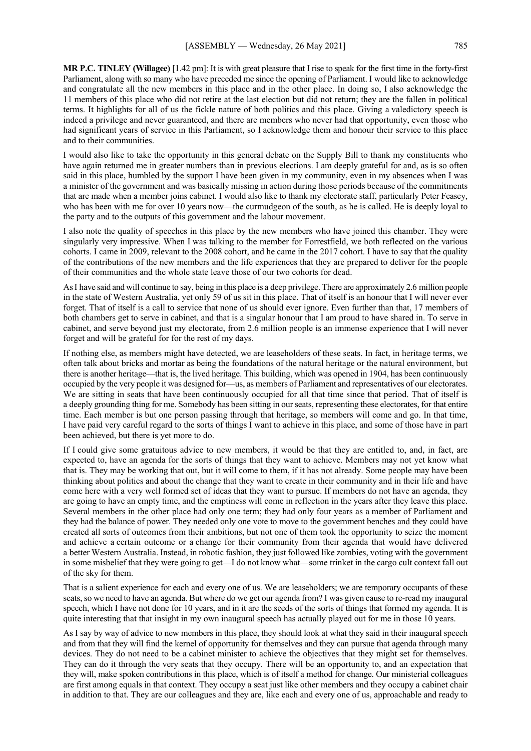**MR P.C. TINLEY (Willagee)** [1.42 pm]: It is with great pleasure that I rise to speak for the first time in the forty-first Parliament, along with so many who have preceded me since the opening of Parliament. I would like to acknowledge and congratulate all the new members in this place and in the other place. In doing so, I also acknowledge the 11 members of this place who did not retire at the last election but did not return; they are the fallen in political terms. It highlights for all of us the fickle nature of both politics and this place. Giving a valedictory speech is indeed a privilege and never guaranteed, and there are members who never had that opportunity, even those who had significant years of service in this Parliament, so I acknowledge them and honour their service to this place and to their communities.

I would also like to take the opportunity in this general debate on the Supply Bill to thank my constituents who have again returned me in greater numbers than in previous elections. I am deeply grateful for and, as is so often said in this place, humbled by the support I have been given in my community, even in my absences when I was a minister of the government and was basically missing in action during those periods because of the commitments that are made when a member joins cabinet. I would also like to thank my electorate staff, particularly Peter Feasey, who has been with me for over 10 years now—the curmudgeon of the south, as he is called. He is deeply loyal to the party and to the outputs of this government and the labour movement.

I also note the quality of speeches in this place by the new members who have joined this chamber. They were singularly very impressive. When I was talking to the member for Forrestfield, we both reflected on the various cohorts. I came in 2009, relevant to the 2008 cohort, and he came in the 2017 cohort. I have to say that the quality of the contributions of the new members and the life experiences that they are prepared to deliver for the people of their communities and the whole state leave those of our two cohorts for dead.

AsI have said and will continue to say, being in this place is a deep privilege. There are approximately 2.6 million people in the state of Western Australia, yet only 59 of us sit in this place. That of itself is an honour that I will never ever forget. That of itself is a call to service that none of us should ever ignore. Even further than that, 17 members of both chambers get to serve in cabinet, and that is a singular honour that I am proud to have shared in. To serve in cabinet, and serve beyond just my electorate, from 2.6 million people is an immense experience that I will never forget and will be grateful for for the rest of my days.

If nothing else, as members might have detected, we are leaseholders of these seats. In fact, in heritage terms, we often talk about bricks and mortar as being the foundations of the natural heritage or the natural environment, but there is another heritage—that is, the lived heritage. This building, which was opened in 1904, has been continuously occupied by the very people it was designed for—us, as members of Parliament and representatives of our electorates. We are sitting in seats that have been continuously occupied for all that time since that period. That of itself is a deeply grounding thing for me. Somebody has been sitting in our seats, representing these electorates, for that entire time. Each member is but one person passing through that heritage, so members will come and go. In that time, I have paid very careful regard to the sorts of things I want to achieve in this place, and some of those have in part been achieved, but there is yet more to do.

If I could give some gratuitous advice to new members, it would be that they are entitled to, and, in fact, are expected to, have an agenda for the sorts of things that they want to achieve. Members may not yet know what that is. They may be working that out, but it will come to them, if it has not already. Some people may have been thinking about politics and about the change that they want to create in their community and in their life and have come here with a very well formed set of ideas that they want to pursue. If members do not have an agenda, they are going to have an empty time, and the emptiness will come in reflection in the years after they leave this place. Several members in the other place had only one term; they had only four years as a member of Parliament and they had the balance of power. They needed only one vote to move to the government benches and they could have created all sorts of outcomes from their ambitions, but not one of them took the opportunity to seize the moment and achieve a certain outcome or a change for their community from their agenda that would have delivered a better Western Australia. Instead, in robotic fashion, they just followed like zombies, voting with the government in some misbelief that they were going to get—I do not know what—some trinket in the cargo cult context fall out of the sky for them.

That is a salient experience for each and every one of us. We are leaseholders; we are temporary occupants of these seats, so we need to have an agenda. But where do we get our agenda from? I was given cause to re-read my inaugural speech, which I have not done for 10 years, and in it are the seeds of the sorts of things that formed my agenda. It is quite interesting that that insight in my own inaugural speech has actually played out for me in those 10 years.

As I say by way of advice to new members in this place, they should look at what they said in their inaugural speech and from that they will find the kernel of opportunity for themselves and they can pursue that agenda through many devices. They do not need to be a cabinet minister to achieve the objectives that they might set for themselves. They can do it through the very seats that they occupy. There will be an opportunity to, and an expectation that they will, make spoken contributions in this place, which is of itself a method for change. Our ministerial colleagues are first among equals in that context. They occupy a seat just like other members and they occupy a cabinet chair in addition to that. They are our colleagues and they are, like each and every one of us, approachable and ready to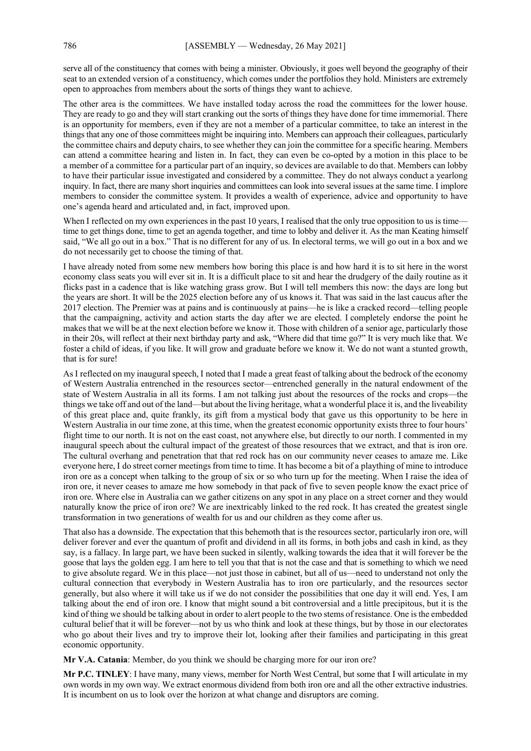serve all of the constituency that comes with being a minister. Obviously, it goes well beyond the geography of their seat to an extended version of a constituency, which comes under the portfolios they hold. Ministers are extremely open to approaches from members about the sorts of things they want to achieve.

The other area is the committees. We have installed today across the road the committees for the lower house. They are ready to go and they will start cranking out the sorts of things they have done for time immemorial. There is an opportunity for members, even if they are not a member of a particular committee, to take an interest in the things that any one of those committees might be inquiring into. Members can approach their colleagues, particularly the committee chairs and deputy chairs, to see whether they can join the committee for a specific hearing. Members can attend a committee hearing and listen in. In fact, they can even be co-opted by a motion in this place to be a member of a committee for a particular part of an inquiry, so devices are available to do that. Members can lobby to have their particular issue investigated and considered by a committee. They do not always conduct a yearlong inquiry. In fact, there are many short inquiries and committees can look into several issues at the same time. I implore members to consider the committee system. It provides a wealth of experience, advice and opportunity to have one's agenda heard and articulated and, in fact, improved upon.

When I reflected on my own experiences in the past 10 years, I realised that the only true opposition to us is time time to get things done, time to get an agenda together, and time to lobby and deliver it. As the man Keating himself said, "We all go out in a box." That is no different for any of us. In electoral terms, we will go out in a box and we do not necessarily get to choose the timing of that.

I have already noted from some new members how boring this place is and how hard it is to sit here in the worst economy class seats you will ever sit in. It is a difficult place to sit and hear the drudgery of the daily routine as it flicks past in a cadence that is like watching grass grow. But I will tell members this now: the days are long but the years are short. It will be the 2025 election before any of us knows it. That was said in the last caucus after the 2017 election. The Premier was at pains and is continuously at pains—he is like a cracked record—telling people that the campaigning, activity and action starts the day after we are elected. I completely endorse the point he makes that we will be at the next election before we know it. Those with children of a senior age, particularly those in their 20s, will reflect at their next birthday party and ask, "Where did that time go?" It is very much like that. We foster a child of ideas, if you like. It will grow and graduate before we know it. We do not want a stunted growth, that is for sure!

AsI reflected on my inaugural speech, I noted that I made a great feast of talking about the bedrock of the economy of Western Australia entrenched in the resources sector—entrenched generally in the natural endowment of the state of Western Australia in all its forms. I am not talking just about the resources of the rocks and crops—the things we take off and out of the land—but about the living heritage, what a wonderful place it is, and the liveability of this great place and, quite frankly, its gift from a mystical body that gave us this opportunity to be here in Western Australia in our time zone, at this time, when the greatest economic opportunity exists three to four hours' flight time to our north. It is not on the east coast, not anywhere else, but directly to our north. I commented in my inaugural speech about the cultural impact of the greatest of those resources that we extract, and that is iron ore. The cultural overhang and penetration that that red rock has on our community never ceases to amaze me. Like everyone here, I do street corner meetings from time to time. It has become a bit of a plaything of mine to introduce iron ore as a concept when talking to the group of six or so who turn up for the meeting. When I raise the idea of iron ore, it never ceases to amaze me how somebody in that pack of five to seven people know the exact price of iron ore. Where else in Australia can we gather citizens on any spot in any place on a street corner and they would naturally know the price of iron ore? We are inextricably linked to the red rock. It has created the greatest single transformation in two generations of wealth for us and our children as they come after us.

That also has a downside. The expectation that this behemoth that is the resources sector, particularly iron ore, will deliver forever and ever the quantum of profit and dividend in all its forms, in both jobs and cash in kind, as they say, is a fallacy. In large part, we have been sucked in silently, walking towards the idea that it will forever be the goose that lays the golden egg. I am here to tell you that that is not the case and that is something to which we need to give absolute regard. We in this place—not just those in cabinet, but all of us—need to understand not only the cultural connection that everybody in Western Australia has to iron ore particularly, and the resources sector generally, but also where it will take us if we do not consider the possibilities that one day it will end. Yes, I am talking about the end of iron ore. I know that might sound a bit controversial and a little precipitous, but it is the kind of thing we should be talking about in order to alert people to the two stems of resistance. One is the embedded cultural belief that it will be forever—not by us who think and look at these things, but by those in our electorates who go about their lives and try to improve their lot, looking after their families and participating in this great economic opportunity.

**Mr V.A. Catania**: Member, do you think we should be charging more for our iron ore?

**Mr P.C. TINLEY**: I have many, many views, member for North West Central, but some that I will articulate in my own words in my own way. We extract enormous dividend from both iron ore and all the other extractive industries. It is incumbent on us to look over the horizon at what change and disruptors are coming.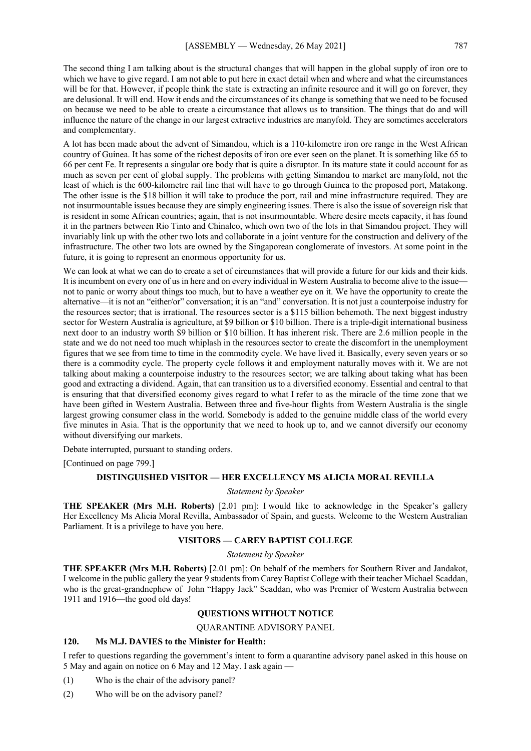The second thing I am talking about is the structural changes that will happen in the global supply of iron ore to which we have to give regard. I am not able to put here in exact detail when and where and what the circumstances will be for that. However, if people think the state is extracting an infinite resource and it will go on forever, they are delusional. It will end. How it ends and the circumstances of its change is something that we need to be focused on because we need to be able to create a circumstance that allows us to transition. The things that do and will influence the nature of the change in our largest extractive industries are manyfold. They are sometimes accelerators and complementary.

A lot has been made about the advent of Simandou, which is a 110-kilometre iron ore range in the West African country of Guinea. It has some of the richest deposits of iron ore ever seen on the planet. It is something like 65 to 66 per cent Fe. It represents a singular ore body that is quite a disruptor. In its mature state it could account for as much as seven per cent of global supply. The problems with getting Simandou to market are manyfold, not the least of which is the 600-kilometre rail line that will have to go through Guinea to the proposed port, Matakong. The other issue is the \$18 billion it will take to produce the port, rail and mine infrastructure required. They are not insurmountable issues because they are simply engineering issues. There is also the issue of sovereign risk that is resident in some African countries; again, that is not insurmountable. Where desire meets capacity, it has found it in the partners between Rio Tinto and Chinalco, which own two of the lots in that Simandou project. They will invariably link up with the other two lots and collaborate in a joint venture for the construction and delivery of the infrastructure. The other two lots are owned by the Singaporean conglomerate of investors. At some point in the future, it is going to represent an enormous opportunity for us.

We can look at what we can do to create a set of circumstances that will provide a future for our kids and their kids. It is incumbent on every one of us in here and on every individual in Western Australia to become alive to the issue not to panic or worry about things too much, but to have a weather eye on it. We have the opportunity to create the alternative—it is not an "either/or" conversation; it is an "and" conversation. It is not just a counterpoise industry for the resources sector; that is irrational. The resources sector is a \$115 billion behemoth. The next biggest industry sector for Western Australia is agriculture, at \$9 billion or \$10 billion. There is a triple-digit international business next door to an industry worth \$9 billion or \$10 billion. It has inherent risk. There are 2.6 million people in the state and we do not need too much whiplash in the resources sector to create the discomfort in the unemployment figures that we see from time to time in the commodity cycle. We have lived it. Basically, every seven years or so there is a commodity cycle. The property cycle follows it and employment naturally moves with it. We are not talking about making a counterpoise industry to the resources sector; we are talking about taking what has been good and extracting a dividend. Again, that can transition us to a diversified economy. Essential and central to that is ensuring that that diversified economy gives regard to what I refer to as the miracle of the time zone that we have been gifted in Western Australia. Between three and five-hour flights from Western Australia is the single largest growing consumer class in the world. Somebody is added to the genuine middle class of the world every five minutes in Asia. That is the opportunity that we need to hook up to, and we cannot diversify our economy without diversifying our markets.

Debate interrupted, pursuant to standing orders.

[Continued on page 799.]

#### **DISTINGUISHED VISITOR — HER EXCELLENCY MS ALICIA MORAL REVILLA**

## *Statement by Speaker*

**THE SPEAKER (Mrs M.H. Roberts)** [2.01 pm]: I would like to acknowledge in the Speaker's gallery Her Excellency Ms Alicia Moral Revilla, Ambassador of Spain, and guests. Welcome to the Western Australian Parliament. It is a privilege to have you here.

# **VISITORS — CAREY BAPTIST COLLEGE**

*Statement by Speaker*

**THE SPEAKER (Mrs M.H. Roberts)** [2.01 pm]: On behalf of the members for Southern River and Jandakot, I welcome in the public gallery the year 9 students from Carey Baptist College with their teacher Michael Scaddan, who is the great-grandnephew of John "Happy Jack" Scaddan, who was Premier of Western Australia between 1911 and 1916—the good old days!

# **QUESTIONS WITHOUT NOTICE**

QUARANTINE ADVISORY PANEL

## **120. Ms M.J. DAVIES to the Minister for Health:**

I refer to questions regarding the government's intent to form a quarantine advisory panel asked in this house on 5 May and again on notice on 6 May and 12 May. I ask again —

- (1) Who is the chair of the advisory panel?
- (2) Who will be on the advisory panel?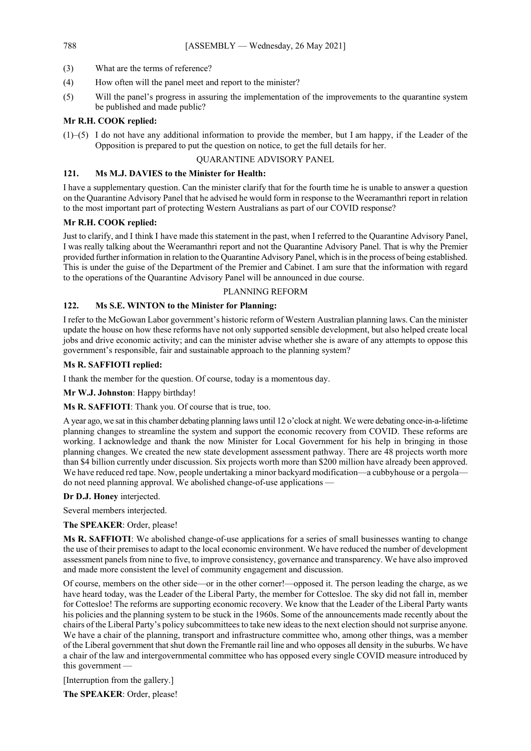- (3) What are the terms of reference?
- (4) How often will the panel meet and report to the minister?
- (5) Will the panel's progress in assuring the implementation of the improvements to the quarantine system be published and made public?

# **Mr R.H. COOK replied:**

(1)–(5) I do not have any additional information to provide the member, but I am happy, if the Leader of the Opposition is prepared to put the question on notice, to get the full details for her.

# QUARANTINE ADVISORY PANEL

# **121. Ms M.J. DAVIES to the Minister for Health:**

I have a supplementary question. Can the minister clarify that for the fourth time he is unable to answer a question on the Quarantine Advisory Panel that he advised he would form in response to the Weeramanthri report in relation to the most important part of protecting Western Australians as part of our COVID response?

# **Mr R.H. COOK replied:**

Just to clarify, and I think I have made this statement in the past, when I referred to the Quarantine Advisory Panel, I was really talking about the Weeramanthri report and not the Quarantine Advisory Panel. That is why the Premier provided further information in relation to the Quarantine Advisory Panel, which is in the process of being established. This is under the guise of the Department of the Premier and Cabinet. I am sure that the information with regard to the operations of the Quarantine Advisory Panel will be announced in due course.

# PLANNING REFORM

# **122. Ms S.E. WINTON to the Minister for Planning:**

I refer to the McGowan Labor government's historic reform of Western Australian planning laws. Can the minister update the house on how these reforms have not only supported sensible development, but also helped create local jobs and drive economic activity; and can the minister advise whether she is aware of any attempts to oppose this government's responsible, fair and sustainable approach to the planning system?

# **Ms R. SAFFIOTI replied:**

I thank the member for the question. Of course, today is a momentous day.

**Mr W.J. Johnston**: Happy birthday!

**Ms R. SAFFIOTI**: Thank you. Of course that is true, too.

A year ago, we sat in this chamber debating planning laws until 12 o'clock at night. We were debating once-in-a-lifetime planning changes to streamline the system and support the economic recovery from COVID. These reforms are working. I acknowledge and thank the now Minister for Local Government for his help in bringing in those planning changes. We created the new state development assessment pathway. There are 48 projects worth more than \$4 billion currently under discussion. Six projects worth more than \$200 million have already been approved. We have reduced red tape. Now, people undertaking a minor backyard modification—a cubbyhouse or a pergola do not need planning approval. We abolished change-of-use applications —

## **Dr D.J. Honey** interjected.

Several members interjected.

**The SPEAKER**: Order, please!

**Ms R. SAFFIOTI**: We abolished change-of-use applications for a series of small businesses wanting to change the use of their premises to adapt to the local economic environment. We have reduced the number of development assessment panels from nine to five, to improve consistency, governance and transparency. We have also improved and made more consistent the level of community engagement and discussion.

Of course, members on the other side—or in the other corner!—opposed it. The person leading the charge, as we have heard today, was the Leader of the Liberal Party, the member for Cottesloe. The sky did not fall in, member for Cottesloe! The reforms are supporting economic recovery. We know that the Leader of the Liberal Party wants his policies and the planning system to be stuck in the 1960s. Some of the announcements made recently about the chairs of the Liberal Party's policy subcommittees to take new ideas to the next election should not surprise anyone. We have a chair of the planning, transport and infrastructure committee who, among other things, was a member of the Liberal government that shut down the Fremantle rail line and who opposes all density in the suburbs. We have a chair of the law and intergovernmental committee who has opposed every single COVID measure introduced by this government —

[Interruption from the gallery.]

**The SPEAKER**: Order, please!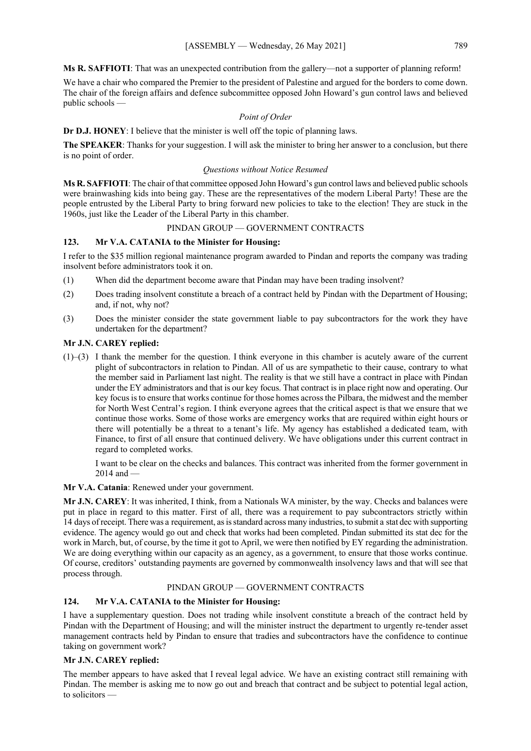**Ms R. SAFFIOTI**: That was an unexpected contribution from the gallery—not a supporter of planning reform!

We have a chair who compared the Premier to the president of Palestine and argued for the borders to come down. The chair of the foreign affairs and defence subcommittee opposed John Howard's gun control laws and believed public schools —

# *Point of Order*

**Dr D.J. HONEY**: I believe that the minister is well off the topic of planning laws.

**The SPEAKER**: Thanks for your suggestion. I will ask the minister to bring her answer to a conclusion, but there is no point of order.

# *Questions without Notice Resumed*

**Ms R. SAFFIOTI**: The chair of that committee opposed John Howard's gun control laws and believed public schools were brainwashing kids into being gay. These are the representatives of the modern Liberal Party! These are the people entrusted by the Liberal Party to bring forward new policies to take to the election! They are stuck in the 1960s, just like the Leader of the Liberal Party in this chamber.

# PINDAN GROUP — GOVERNMENT CONTRACTS

# **123. Mr V.A. CATANIA to the Minister for Housing:**

I refer to the \$35 million regional maintenance program awarded to Pindan and reports the company was trading insolvent before administrators took it on.

- (1) When did the department become aware that Pindan may have been trading insolvent?
- (2) Does trading insolvent constitute a breach of a contract held by Pindan with the Department of Housing; and, if not, why not?
- (3) Does the minister consider the state government liable to pay subcontractors for the work they have undertaken for the department?

# **Mr J.N. CAREY replied:**

(1)–(3) I thank the member for the question. I think everyone in this chamber is acutely aware of the current plight of subcontractors in relation to Pindan. All of us are sympathetic to their cause, contrary to what the member said in Parliament last night. The reality is that we still have a contract in place with Pindan under the EY administrators and that is our key focus. That contract is in place right now and operating. Our key focus is to ensure that works continue for those homes across the Pilbara, the midwest and the member for North West Central's region. I think everyone agrees that the critical aspect is that we ensure that we continue those works. Some of those works are emergency works that are required within eight hours or there will potentially be a threat to a tenant's life. My agency has established a dedicated team, with Finance, to first of all ensure that continued delivery. We have obligations under this current contract in regard to completed works.

I want to be clear on the checks and balances. This contract was inherited from the former government in 2014 and —

**Mr V.A. Catania**: Renewed under your government.

**Mr J.N. CAREY**: It was inherited, I think, from a Nationals WA minister, by the way. Checks and balances were put in place in regard to this matter. First of all, there was a requirement to pay subcontractors strictly within 14 days of receipt. There was a requirement, as is standard across many industries, to submit a stat dec with supporting evidence. The agency would go out and check that works had been completed. Pindan submitted its stat dec for the work in March, but, of course, by the time it got to April, we were then notified by EY regarding the administration. We are doing everything within our capacity as an agency, as a government, to ensure that those works continue. Of course, creditors' outstanding payments are governed by commonwealth insolvency laws and that will see that process through.

# PINDAN GROUP — GOVERNMENT CONTRACTS

# **124. Mr V.A. CATANIA to the Minister for Housing:**

I have a supplementary question. Does not trading while insolvent constitute a breach of the contract held by Pindan with the Department of Housing; and will the minister instruct the department to urgently re-tender asset management contracts held by Pindan to ensure that tradies and subcontractors have the confidence to continue taking on government work?

# **Mr J.N. CAREY replied:**

The member appears to have asked that I reveal legal advice. We have an existing contract still remaining with Pindan. The member is asking me to now go out and breach that contract and be subject to potential legal action, to solicitors —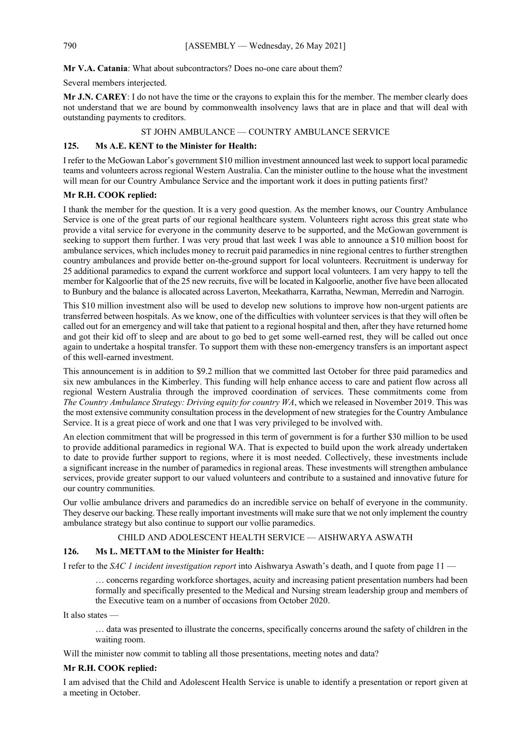# **Mr V.A. Catania**: What about subcontractors? Does no-one care about them?

Several members interjected.

**Mr J.N. CAREY**: I do not have the time or the crayons to explain this for the member. The member clearly does not understand that we are bound by commonwealth insolvency laws that are in place and that will deal with outstanding payments to creditors.

# ST JOHN AMBULANCE — COUNTRY AMBULANCE SERVICE

# **125. Ms A.E. KENT to the Minister for Health:**

I refer to the McGowan Labor's government \$10 million investment announced last week to support local paramedic teams and volunteers across regional Western Australia. Can the minister outline to the house what the investment will mean for our Country Ambulance Service and the important work it does in putting patients first?

# **Mr R.H. COOK replied:**

I thank the member for the question. It is a very good question. As the member knows, our Country Ambulance Service is one of the great parts of our regional healthcare system. Volunteers right across this great state who provide a vital service for everyone in the community deserve to be supported, and the McGowan government is seeking to support them further. I was very proud that last week I was able to announce a \$10 million boost for ambulance services, which includes money to recruit paid paramedics in nine regional centres to further strengthen country ambulances and provide better on-the-ground support for local volunteers. Recruitment is underway for 25 additional paramedics to expand the current workforce and support local volunteers. I am very happy to tell the member for Kalgoorlie that of the 25 new recruits, five will be located in Kalgoorlie, another five have been allocated to Bunbury and the balance is allocated across Laverton, Meekatharra, Karratha, Newman, Merredin and Narrogin.

This \$10 million investment also will be used to develop new solutions to improve how non-urgent patients are transferred between hospitals. As we know, one of the difficulties with volunteer services is that they will often be called out for an emergency and will take that patient to a regional hospital and then, after they have returned home and got their kid off to sleep and are about to go bed to get some well-earned rest, they will be called out once again to undertake a hospital transfer. To support them with these non-emergency transfers is an important aspect of this well-earned investment.

This announcement is in addition to \$9.2 million that we committed last October for three paid paramedics and six new ambulances in the Kimberley. This funding will help enhance access to care and patient flow across all regional Western Australia through the improved coordination of services. These commitments come from *The Country Ambulance Strategy: Driving equity for country WA*, which we released in November 2019. This was the most extensive community consultation process in the development of new strategies for the Country Ambulance Service. It is a great piece of work and one that I was very privileged to be involved with.

An election commitment that will be progressed in this term of government is for a further \$30 million to be used to provide additional paramedics in regional WA. That is expected to build upon the work already undertaken to date to provide further support to regions, where it is most needed. Collectively, these investments include a significant increase in the number of paramedics in regional areas. These investments will strengthen ambulance services, provide greater support to our valued volunteers and contribute to a sustained and innovative future for our country communities.

Our vollie ambulance drivers and paramedics do an incredible service on behalf of everyone in the community. They deserve our backing. These really important investments will make sure that we not only implement the country ambulance strategy but also continue to support our vollie paramedics.

## CHILD AND ADOLESCENT HEALTH SERVICE — AISHWARYA ASWATH

# **126. Ms L. METTAM to the Minister for Health:**

I refer to the *SAC 1 incident investigation report* into Aishwarya Aswath's death, and I quote from page 11 —

… concerns regarding workforce shortages, acuity and increasing patient presentation numbers had been formally and specifically presented to the Medical and Nursing stream leadership group and members of the Executive team on a number of occasions from October 2020.

It also states —

… data was presented to illustrate the concerns, specifically concerns around the safety of children in the waiting room.

Will the minister now commit to tabling all those presentations, meeting notes and data?

## **Mr R.H. COOK replied:**

I am advised that the Child and Adolescent Health Service is unable to identify a presentation or report given at a meeting in October.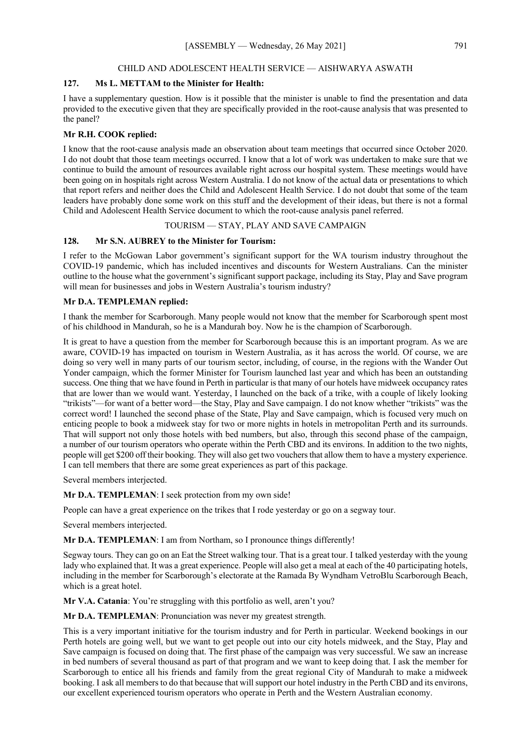# CHILD AND ADOLESCENT HEALTH SERVICE — AISHWARYA ASWATH

## **127. Ms L. METTAM to the Minister for Health:**

I have a supplementary question. How is it possible that the minister is unable to find the presentation and data provided to the executive given that they are specifically provided in the root-cause analysis that was presented to the panel?

# **Mr R.H. COOK replied:**

I know that the root-cause analysis made an observation about team meetings that occurred since October 2020. I do not doubt that those team meetings occurred. I know that a lot of work was undertaken to make sure that we continue to build the amount of resources available right across our hospital system. These meetings would have been going on in hospitals right across Western Australia. I do not know of the actual data or presentations to which that report refers and neither does the Child and Adolescent Health Service. I do not doubt that some of the team leaders have probably done some work on this stuff and the development of their ideas, but there is not a formal Child and Adolescent Health Service document to which the root-cause analysis panel referred.

## TOURISM — STAY, PLAY AND SAVE CAMPAIGN

# **128. Mr S.N. AUBREY to the Minister for Tourism:**

I refer to the McGowan Labor government's significant support for the WA tourism industry throughout the COVID-19 pandemic, which has included incentives and discounts for Western Australians. Can the minister outline to the house what the government's significant support package, including its Stay, Play and Save program will mean for businesses and jobs in Western Australia's tourism industry?

## **Mr D.A. TEMPLEMAN replied:**

I thank the member for Scarborough. Many people would not know that the member for Scarborough spent most of his childhood in Mandurah, so he is a Mandurah boy. Now he is the champion of Scarborough.

It is great to have a question from the member for Scarborough because this is an important program. As we are aware, COVID-19 has impacted on tourism in Western Australia, as it has across the world. Of course, we are doing so very well in many parts of our tourism sector, including, of course, in the regions with the Wander Out Yonder campaign, which the former Minister for Tourism launched last year and which has been an outstanding success. One thing that we have found in Perth in particular is that many of our hotels have midweek occupancy rates that are lower than we would want. Yesterday, I launched on the back of a trike, with a couple of likely looking "trikists"—for want of a better word—the Stay, Play and Save campaign. I do not know whether "trikists" was the correct word! I launched the second phase of the State, Play and Save campaign, which is focused very much on enticing people to book a midweek stay for two or more nights in hotels in metropolitan Perth and its surrounds. That will support not only those hotels with bed numbers, but also, through this second phase of the campaign, a number of our tourism operators who operate within the Perth CBD and its environs. In addition to the two nights, people will get \$200 off their booking. They will also get two vouchers that allow them to have a mystery experience. I can tell members that there are some great experiences as part of this package.

Several members interjected.

**Mr D.A. TEMPLEMAN**: I seek protection from my own side!

People can have a great experience on the trikes that I rode yesterday or go on a segway tour.

Several members interjected.

**Mr D.A. TEMPLEMAN**: I am from Northam, so I pronounce things differently!

Segway tours. They can go on an Eat the Street walking tour. That is a great tour. I talked yesterday with the young lady who explained that. It was a great experience. People will also get a meal at each of the 40 participating hotels, including in the member for Scarborough's electorate at the Ramada By Wyndham VetroBlu Scarborough Beach, which is a great hotel.

**Mr V.A. Catania**: You're struggling with this portfolio as well, aren't you?

**Mr D.A. TEMPLEMAN**: Pronunciation was never my greatest strength.

This is a very important initiative for the tourism industry and for Perth in particular. Weekend bookings in our Perth hotels are going well, but we want to get people out into our city hotels midweek, and the Stay, Play and Save campaign is focused on doing that. The first phase of the campaign was very successful. We saw an increase in bed numbers of several thousand as part of that program and we want to keep doing that. I ask the member for Scarborough to entice all his friends and family from the great regional City of Mandurah to make a midweek booking. I ask all members to do that because that will support our hotel industry in the Perth CBD and its environs, our excellent experienced tourism operators who operate in Perth and the Western Australian economy.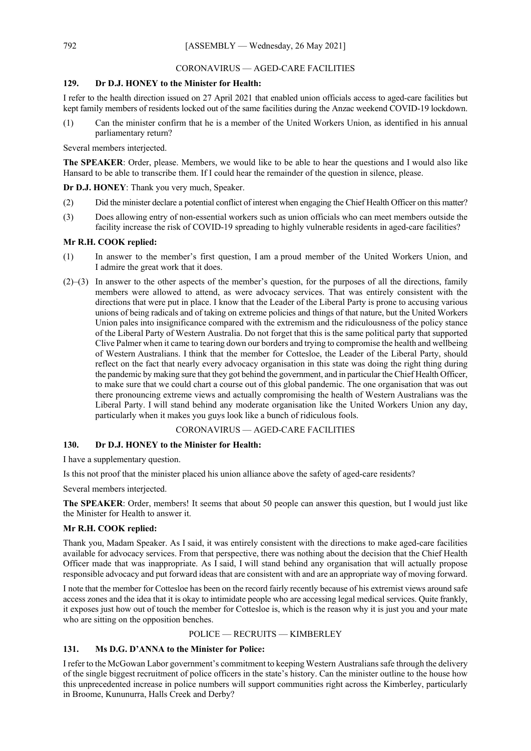# CORONAVIRUS — AGED-CARE FACILITIES

# **129. Dr D.J. HONEY to the Minister for Health:**

I refer to the health direction issued on 27 April 2021 that enabled union officials access to aged-care facilities but kept family members of residents locked out of the same facilities during the Anzac weekend COVID-19 lockdown.

(1) Can the minister confirm that he is a member of the United Workers Union, as identified in his annual parliamentary return?

Several members interjected.

**The SPEAKER**: Order, please. Members, we would like to be able to hear the questions and I would also like Hansard to be able to transcribe them. If I could hear the remainder of the question in silence, please.

**Dr D.J. HONEY**: Thank you very much, Speaker.

- (2) Did the minister declare a potential conflict of interest when engaging the Chief Health Officer on this matter?
- (3) Does allowing entry of non-essential workers such as union officials who can meet members outside the facility increase the risk of COVID-19 spreading to highly vulnerable residents in aged-care facilities?

# **Mr R.H. COOK replied:**

- (1) In answer to the member's first question, I am a proud member of the United Workers Union, and I admire the great work that it does.
- (2)–(3) In answer to the other aspects of the member's question, for the purposes of all the directions, family members were allowed to attend, as were advocacy services. That was entirely consistent with the directions that were put in place. I know that the Leader of the Liberal Party is prone to accusing various unions of being radicals and of taking on extreme policies and things of that nature, but the United Workers Union pales into insignificance compared with the extremism and the ridiculousness of the policy stance of the Liberal Party of Western Australia. Do not forget that this is the same political party that supported Clive Palmer when it came to tearing down our borders and trying to compromise the health and wellbeing of Western Australians. I think that the member for Cottesloe, the Leader of the Liberal Party, should reflect on the fact that nearly every advocacy organisation in this state was doing the right thing during the pandemic by making sure that they got behind the government, and in particular the Chief Health Officer, to make sure that we could chart a course out of this global pandemic. The one organisation that was out there pronouncing extreme views and actually compromising the health of Western Australians was the Liberal Party. I will stand behind any moderate organisation like the United Workers Union any day, particularly when it makes you guys look like a bunch of ridiculous fools.

## CORONAVIRUS — AGED-CARE FACILITIES

# **130. Dr D.J. HONEY to the Minister for Health:**

I have a supplementary question.

Is this not proof that the minister placed his union alliance above the safety of aged-care residents?

Several members interjected.

**The SPEAKER**: Order, members! It seems that about 50 people can answer this question, but I would just like the Minister for Health to answer it.

# **Mr R.H. COOK replied:**

Thank you, Madam Speaker. As I said, it was entirely consistent with the directions to make aged-care facilities available for advocacy services. From that perspective, there was nothing about the decision that the Chief Health Officer made that was inappropriate. As I said, I will stand behind any organisation that will actually propose responsible advocacy and put forward ideas that are consistent with and are an appropriate way of moving forward.

I note that the member for Cottesloe has been on the record fairly recently because of his extremist views around safe access zones and the idea that it is okay to intimidate people who are accessing legal medical services. Quite frankly, it exposes just how out of touch the member for Cottesloe is, which is the reason why it is just you and your mate who are sitting on the opposition benches.

## POLICE — RECRUITS — KIMBERLEY

# **131. Ms D.G. D'ANNA to the Minister for Police:**

I refer to the McGowan Labor government's commitment to keeping Western Australians safe through the delivery of the single biggest recruitment of police officers in the state's history. Can the minister outline to the house how this unprecedented increase in police numbers will support communities right across the Kimberley, particularly in Broome, Kununurra, Halls Creek and Derby?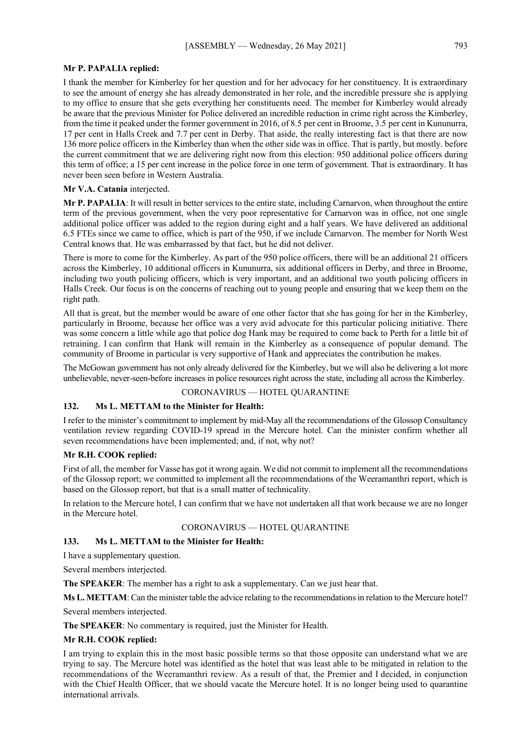## **Mr P. PAPALIA replied:**

I thank the member for Kimberley for her question and for her advocacy for her constituency. It is extraordinary to see the amount of energy she has already demonstrated in her role, and the incredible pressure she is applying to my office to ensure that she gets everything her constituents need. The member for Kimberley would already be aware that the previous Minister for Police delivered an incredible reduction in crime right across the Kimberley, from the time it peaked under the former government in 2016, of 8.5 per cent in Broome, 3.5 per cent in Kununurra, 17 per cent in Halls Creek and 7.7 per cent in Derby. That aside, the really interesting fact is that there are now 136 more police officers in the Kimberley than when the other side was in office. That is partly, but mostly. before the current commitment that we are delivering right now from this election: 950 additional police officers during this term of office; a 15 per cent increase in the police force in one term of government. That is extraordinary. It has never been seen before in Western Australia.

#### **Mr V.A. Catania** interjected.

**Mr P. PAPALIA**: It will result in better services to the entire state, including Carnarvon, when throughout the entire term of the previous government, when the very poor representative for Carnarvon was in office, not one single additional police officer was added to the region during eight and a half years. We have delivered an additional 6.5 FTEs since we came to office, which is part of the 950, if we include Carnarvon. The member for North West Central knows that. He was embarrassed by that fact, but he did not deliver.

There is more to come for the Kimberley. As part of the 950 police officers, there will be an additional 21 officers across the Kimberley, 10 additional officers in Kununurra, six additional officers in Derby, and three in Broome, including two youth policing officers, which is very important, and an additional two youth policing officers in Halls Creek. Our focus is on the concerns of reaching out to young people and ensuring that we keep them on the right path.

All that is great, but the member would be aware of one other factor that she has going for her in the Kimberley, particularly in Broome, because her office was a very avid advocate for this particular policing initiative. There was some concern a little while ago that police dog Hank may be required to come back to Perth for a little bit of retraining. I can confirm that Hank will remain in the Kimberley as a consequence of popular demand. The community of Broome in particular is very supportive of Hank and appreciates the contribution he makes.

The McGowan government has not only already delivered for the Kimberley, but we will also be delivering a lot more unbelievable, never-seen-before increases in police resources right across the state, including all across the Kimberley.

#### CORONAVIRUS — HOTEL QUARANTINE

## **132. Ms L. METTAM to the Minister for Health:**

I refer to the minister's commitment to implement by mid-May all the recommendations of the Glossop Consultancy ventilation review regarding COVID-19 spread in the Mercure hotel. Can the minister confirm whether all seven recommendations have been implemented; and, if not, why not?

## **Mr R.H. COOK replied:**

First of all, the member for Vasse has got it wrong again. We did not commit to implement all the recommendations of the Glossop report; we committed to implement all the recommendations of the Weeramanthri report, which is based on the Glossop report, but that is a small matter of technicality.

In relation to the Mercure hotel, I can confirm that we have not undertaken all that work because we are no longer in the Mercure hotel.

# CORONAVIRUS — HOTEL QUARANTINE

# **133. Ms L. METTAM to the Minister for Health:**

I have a supplementary question.

Several members interjected.

**The SPEAKER**: The member has a right to ask a supplementary. Can we just hear that.

**Ms L. METTAM**: Can the minister table the advice relating to the recommendations in relation to the Mercure hotel?

Several members interjected.

**The SPEAKER**: No commentary is required, just the Minister for Health.

### **Mr R.H. COOK replied:**

I am trying to explain this in the most basic possible terms so that those opposite can understand what we are trying to say. The Mercure hotel was identified as the hotel that was least able to be mitigated in relation to the recommendations of the Weeramanthri review. As a result of that, the Premier and I decided, in conjunction with the Chief Health Officer, that we should vacate the Mercure hotel. It is no longer being used to quarantine international arrivals.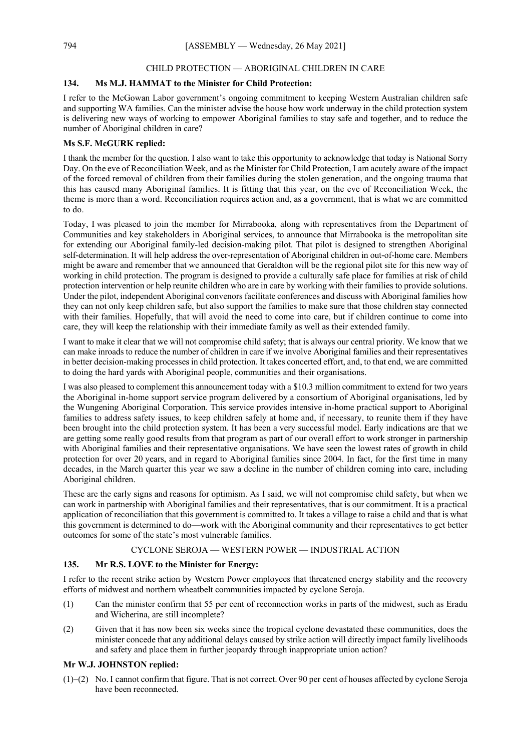## CHILD PROTECTION — ABORIGINAL CHILDREN IN CARE

# **134. Ms M.J. HAMMAT to the Minister for Child Protection:**

I refer to the McGowan Labor government's ongoing commitment to keeping Western Australian children safe and supporting WA families. Can the minister advise the house how work underway in the child protection system is delivering new ways of working to empower Aboriginal families to stay safe and together, and to reduce the number of Aboriginal children in care?

# **Ms S.F. McGURK replied:**

I thank the member for the question. I also want to take this opportunity to acknowledge that today is National Sorry Day. On the eve of Reconciliation Week, and as the Minister for Child Protection, I am acutely aware of the impact of the forced removal of children from their families during the stolen generation, and the ongoing trauma that this has caused many Aboriginal families. It is fitting that this year, on the eve of Reconciliation Week, the theme is more than a word. Reconciliation requires action and, as a government, that is what we are committed to do.

Today, I was pleased to join the member for Mirrabooka, along with representatives from the Department of Communities and key stakeholders in Aboriginal services, to announce that Mirrabooka is the metropolitan site for extending our Aboriginal family-led decision-making pilot. That pilot is designed to strengthen Aboriginal self-determination. It will help address the over-representation of Aboriginal children in out-of-home care. Members might be aware and remember that we announced that Geraldton will be the regional pilot site for this new way of working in child protection. The program is designed to provide a culturally safe place for families at risk of child protection intervention or help reunite children who are in care by working with their families to provide solutions. Under the pilot, independent Aboriginal convenors facilitate conferences and discuss with Aboriginal families how they can not only keep children safe, but also support the families to make sure that those children stay connected with their families. Hopefully, that will avoid the need to come into care, but if children continue to come into care, they will keep the relationship with their immediate family as well as their extended family.

I want to make it clear that we will not compromise child safety; that is always our central priority. We know that we can make inroads to reduce the number of children in care if we involve Aboriginal families and their representatives in better decision-making processes in child protection. It takes concerted effort, and, to that end, we are committed to doing the hard yards with Aboriginal people, communities and their organisations.

I was also pleased to complement this announcement today with a \$10.3 million commitment to extend for two years the Aboriginal in-home support service program delivered by a consortium of Aboriginal organisations, led by the Wungening Aboriginal Corporation. This service provides intensive in-home practical support to Aboriginal families to address safety issues, to keep children safely at home and, if necessary, to reunite them if they have been brought into the child protection system. It has been a very successful model. Early indications are that we are getting some really good results from that program as part of our overall effort to work stronger in partnership with Aboriginal families and their representative organisations. We have seen the lowest rates of growth in child protection for over 20 years, and in regard to Aboriginal families since 2004. In fact, for the first time in many decades, in the March quarter this year we saw a decline in the number of children coming into care, including Aboriginal children.

These are the early signs and reasons for optimism. As I said, we will not compromise child safety, but when we can work in partnership with Aboriginal families and their representatives, that is our commitment. It is a practical application of reconciliation that this government is committed to. It takes a village to raise a child and that is what this government is determined to do—work with the Aboriginal community and their representatives to get better outcomes for some of the state's most vulnerable families.

# CYCLONE SEROJA — WESTERN POWER — INDUSTRIAL ACTION

# **135. Mr R.S. LOVE to the Minister for Energy:**

I refer to the recent strike action by Western Power employees that threatened energy stability and the recovery efforts of midwest and northern wheatbelt communities impacted by cyclone Seroja.

- (1) Can the minister confirm that 55 per cent of reconnection works in parts of the midwest, such as Eradu and Wicherina, are still incomplete?
- (2) Given that it has now been six weeks since the tropical cyclone devastated these communities, does the minister concede that any additional delays caused by strike action will directly impact family livelihoods and safety and place them in further jeopardy through inappropriate union action?

# **Mr W.J. JOHNSTON replied:**

(1)–(2) No. I cannot confirm that figure. That is not correct. Over 90 per cent of houses affected by cyclone Seroja have been reconnected.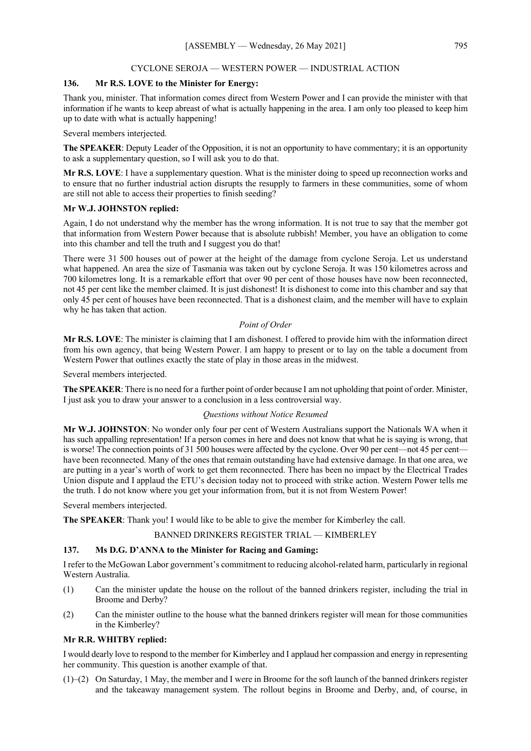## CYCLONE SEROJA — WESTERN POWER — INDUSTRIAL ACTION

# **136. Mr R.S. LOVE to the Minister for Energy:**

Thank you, minister. That information comes direct from Western Power and I can provide the minister with that information if he wants to keep abreast of what is actually happening in the area. I am only too pleased to keep him up to date with what is actually happening!

Several members interjected.

**The SPEAKER**: Deputy Leader of the Opposition, it is not an opportunity to have commentary; it is an opportunity to ask a supplementary question, so I will ask you to do that.

**Mr R.S. LOVE**: I have a supplementary question. What is the minister doing to speed up reconnection works and to ensure that no further industrial action disrupts the resupply to farmers in these communities, some of whom are still not able to access their properties to finish seeding?

## **Mr W.J. JOHNSTON replied:**

Again, I do not understand why the member has the wrong information. It is not true to say that the member got that information from Western Power because that is absolute rubbish! Member, you have an obligation to come into this chamber and tell the truth and I suggest you do that!

There were 31 500 houses out of power at the height of the damage from cyclone Seroja. Let us understand what happened. An area the size of Tasmania was taken out by cyclone Seroja. It was 150 kilometres across and 700 kilometres long. It is a remarkable effort that over 90 per cent of those houses have now been reconnected, not 45 per cent like the member claimed. It is just dishonest! It is dishonest to come into this chamber and say that only 45 per cent of houses have been reconnected. That is a dishonest claim, and the member will have to explain why he has taken that action.

#### *Point of Order*

**Mr R.S. LOVE**: The minister is claiming that I am dishonest. I offered to provide him with the information direct from his own agency, that being Western Power. I am happy to present or to lay on the table a document from Western Power that outlines exactly the state of play in those areas in the midwest.

Several members interjected.

**The SPEAKER**: There is no need for a further point of order because I am not upholding that point of order. Minister, I just ask you to draw your answer to a conclusion in a less controversial way.

## *Questions without Notice Resumed*

**Mr W.J. JOHNSTON**: No wonder only four per cent of Western Australians support the Nationals WA when it has such appalling representation! If a person comes in here and does not know that what he is saying is wrong, that is worse! The connection points of 31 500 houses were affected by the cyclone. Over 90 per cent—not 45 per cent have been reconnected. Many of the ones that remain outstanding have had extensive damage. In that one area, we are putting in a year's worth of work to get them reconnected. There has been no impact by the Electrical Trades Union dispute and I applaud the ETU's decision today not to proceed with strike action. Western Power tells me the truth. I do not know where you get your information from, but it is not from Western Power!

Several members interjected.

**The SPEAKER**: Thank you! I would like to be able to give the member for Kimberley the call.

# BANNED DRINKERS REGISTER TRIAL — KIMBERLEY

## **137. Ms D.G. D'ANNA to the Minister for Racing and Gaming:**

I refer to the McGowan Labor government's commitment to reducing alcohol-related harm, particularly in regional Western Australia.

- (1) Can the minister update the house on the rollout of the banned drinkers register, including the trial in Broome and Derby?
- (2) Can the minister outline to the house what the banned drinkers register will mean for those communities in the Kimberley?

## **Mr R.R. WHITBY replied:**

I would dearly love to respond to the member for Kimberley and I applaud her compassion and energy in representing her community. This question is another example of that.

(1)–(2) On Saturday, 1 May, the member and I were in Broome for the soft launch of the banned drinkers register and the takeaway management system. The rollout begins in Broome and Derby, and, of course, in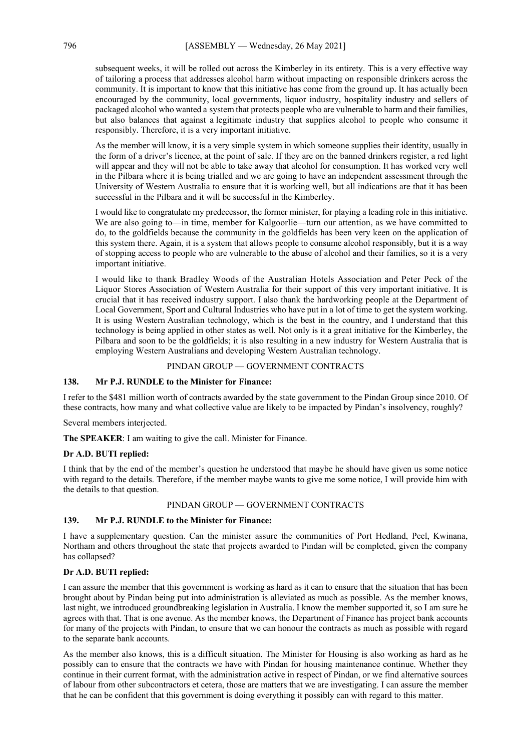subsequent weeks, it will be rolled out across the Kimberley in its entirety. This is a very effective way of tailoring a process that addresses alcohol harm without impacting on responsible drinkers across the community. It is important to know that this initiative has come from the ground up. It has actually been encouraged by the community, local governments, liquor industry, hospitality industry and sellers of packaged alcohol who wanted a system that protects people who are vulnerable to harm and their families, but also balances that against a legitimate industry that supplies alcohol to people who consume it responsibly. Therefore, it is a very important initiative.

As the member will know, it is a very simple system in which someone supplies their identity, usually in the form of a driver's licence, at the point of sale. If they are on the banned drinkers register, a red light will appear and they will not be able to take away that alcohol for consumption. It has worked very well in the Pilbara where it is being trialled and we are going to have an independent assessment through the University of Western Australia to ensure that it is working well, but all indications are that it has been successful in the Pilbara and it will be successful in the Kimberley.

I would like to congratulate my predecessor, the former minister, for playing a leading role in this initiative. We are also going to—in time, member for Kalgoorlie—turn our attention, as we have committed to do, to the goldfields because the community in the goldfields has been very keen on the application of this system there. Again, it is a system that allows people to consume alcohol responsibly, but it is a way of stopping access to people who are vulnerable to the abuse of alcohol and their families, so it is a very important initiative.

I would like to thank Bradley Woods of the Australian Hotels Association and Peter Peck of the Liquor Stores Association of Western Australia for their support of this very important initiative. It is crucial that it has received industry support. I also thank the hardworking people at the Department of Local Government, Sport and Cultural Industries who have put in a lot of time to get the system working. It is using Western Australian technology, which is the best in the country, and I understand that this technology is being applied in other states as well. Not only is it a great initiative for the Kimberley, the Pilbara and soon to be the goldfields; it is also resulting in a new industry for Western Australia that is employing Western Australians and developing Western Australian technology.

# PINDAN GROUP — GOVERNMENT CONTRACTS

# **138. Mr P.J. RUNDLE to the Minister for Finance:**

I refer to the \$481 million worth of contracts awarded by the state government to the Pindan Group since 2010. Of these contracts, how many and what collective value are likely to be impacted by Pindan's insolvency, roughly?

Several members interjected.

**The SPEAKER**: I am waiting to give the call. Minister for Finance.

## **Dr A.D. BUTI replied:**

I think that by the end of the member's question he understood that maybe he should have given us some notice with regard to the details. Therefore, if the member maybe wants to give me some notice, I will provide him with the details to that question.

## PINDAN GROUP — GOVERNMENT CONTRACTS

## **139. Mr P.J. RUNDLE to the Minister for Finance:**

I have a supplementary question. Can the minister assure the communities of Port Hedland, Peel, Kwinana, Northam and others throughout the state that projects awarded to Pindan will be completed, given the company has collapsed?

## **Dr A.D. BUTI replied:**

I can assure the member that this government is working as hard as it can to ensure that the situation that has been brought about by Pindan being put into administration is alleviated as much as possible. As the member knows, last night, we introduced groundbreaking legislation in Australia. I know the member supported it, so I am sure he agrees with that. That is one avenue. As the member knows, the Department of Finance has project bank accounts for many of the projects with Pindan, to ensure that we can honour the contracts as much as possible with regard to the separate bank accounts.

As the member also knows, this is a difficult situation. The Minister for Housing is also working as hard as he possibly can to ensure that the contracts we have with Pindan for housing maintenance continue. Whether they continue in their current format, with the administration active in respect of Pindan, or we find alternative sources of labour from other subcontractors et cetera, those are matters that we are investigating. I can assure the member that he can be confident that this government is doing everything it possibly can with regard to this matter.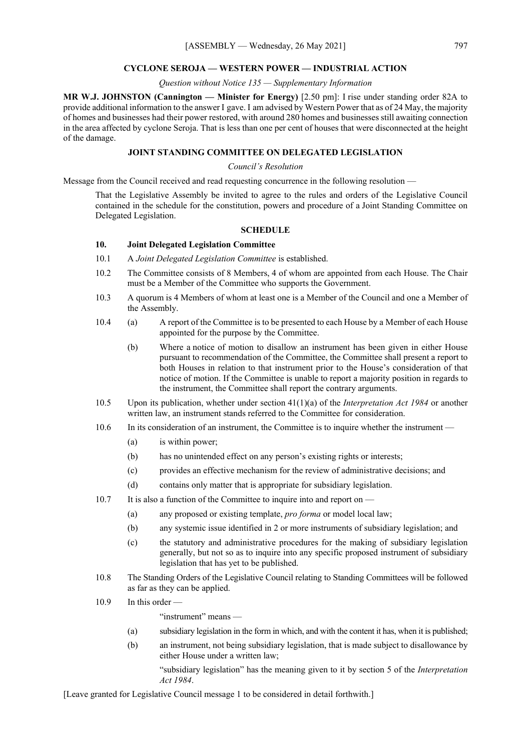#### **CYCLONE SEROJA — WESTERN POWER — INDUSTRIAL ACTION**

## *Question without Notice 135 — Supplementary Information*

**MR W.J. JOHNSTON (Cannington — Minister for Energy)** [2.50 pm]: I rise under standing order 82A to provide additional information to the answer I gave. I am advised by Western Power that as of 24 May, the majority of homes and businesses had their power restored, with around 280 homes and businesses still awaiting connection in the area affected by cyclone Seroja. That is less than one per cent of houses that were disconnected at the height of the damage.

# **JOINT STANDING COMMITTEE ON DELEGATED LEGISLATION**

## *Council's Resolution*

Message from the Council received and read requesting concurrence in the following resolution —

That the Legislative Assembly be invited to agree to the rules and orders of the Legislative Council contained in the schedule for the constitution, powers and procedure of a Joint Standing Committee on Delegated Legislation.

# **SCHEDULE**

# **10. Joint Delegated Legislation Committee**

- 10.1 A *Joint Delegated Legislation Committee* is established.
- 10.2 The Committee consists of 8 Members, 4 of whom are appointed from each House. The Chair must be a Member of the Committee who supports the Government.
- 10.3 A quorum is 4 Members of whom at least one is a Member of the Council and one a Member of the Assembly.
- 10.4 (a) A report of the Committee is to be presented to each House by a Member of each House appointed for the purpose by the Committee.
	- (b) Where a notice of motion to disallow an instrument has been given in either House pursuant to recommendation of the Committee, the Committee shall present a report to both Houses in relation to that instrument prior to the House's consideration of that notice of motion. If the Committee is unable to report a majority position in regards to the instrument, the Committee shall report the contrary arguments.
- 10.5 Upon its publication, whether under section 41(1)(a) of the *Interpretation Act 1984* or another written law, an instrument stands referred to the Committee for consideration.
- 10.6 In its consideration of an instrument, the Committee is to inquire whether the instrument
	- (a) is within power;
	- (b) has no unintended effect on any person's existing rights or interests;
	- (c) provides an effective mechanism for the review of administrative decisions; and
	- (d) contains only matter that is appropriate for subsidiary legislation.
- 10.7 It is also a function of the Committee to inquire into and report on -
	- (a) any proposed or existing template, *pro forma* or model local law;
	- (b) any systemic issue identified in 2 or more instruments of subsidiary legislation; and
	- (c) the statutory and administrative procedures for the making of subsidiary legislation generally, but not so as to inquire into any specific proposed instrument of subsidiary legislation that has yet to be published.
- 10.8 The Standing Orders of the Legislative Council relating to Standing Committees will be followed as far as they can be applied.
- 10.9 In this order —

"instrument" means —

- (a) subsidiary legislation in the form in which, and with the content it has, when it is published;
- (b) an instrument, not being subsidiary legislation, that is made subject to disallowance by either House under a written law;

"subsidiary legislation" has the meaning given to it by section 5 of the *Interpretation Act 1984*.

[Leave granted for Legislative Council message 1 to be considered in detail forthwith.]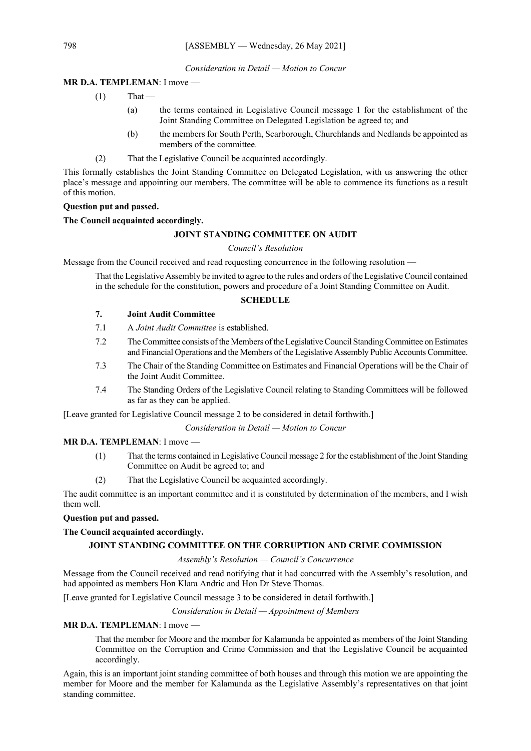## *Consideration in Detail — Motion to Concur*

# **MR D.A. TEMPLEMAN**: I move —

- $(1)$  That
	- (a) the terms contained in Legislative Council message 1 for the establishment of the Joint Standing Committee on Delegated Legislation be agreed to; and
	- (b) the members for South Perth, Scarborough, Churchlands and Nedlands be appointed as members of the committee.
- (2) That the Legislative Council be acquainted accordingly.

This formally establishes the Joint Standing Committee on Delegated Legislation, with us answering the other place's message and appointing our members. The committee will be able to commence its functions as a result of this motion.

## **Question put and passed.**

# **The Council acquainted accordingly.**

# **JOINT STANDING COMMITTEE ON AUDIT**

# *Council's Resolution*

Message from the Council received and read requesting concurrence in the following resolution —

That the Legislative Assembly be invited to agree to the rules and orders of the Legislative Council contained in the schedule for the constitution, powers and procedure of a Joint Standing Committee on Audit.

# **SCHEDULE**

# **7. Joint Audit Committee**

- 7.1 A *Joint Audit Committee* is established.
- 7.2 The Committee consists of the Members of the Legislative Council Standing Committee on Estimates and Financial Operations and the Members of the Legislative Assembly Public Accounts Committee.
- 7.3 The Chair of the Standing Committee on Estimates and Financial Operations will be the Chair of the Joint Audit Committee.
- 7.4 The Standing Orders of the Legislative Council relating to Standing Committees will be followed as far as they can be applied.

[Leave granted for Legislative Council message 2 to be considered in detail forthwith.]

*Consideration in Detail — Motion to Concur*

## **MR D.A. TEMPLEMAN**: I move —

- (1) That the terms contained in Legislative Council message 2 for the establishment of the Joint Standing Committee on Audit be agreed to; and
- (2) That the Legislative Council be acquainted accordingly.

The audit committee is an important committee and it is constituted by determination of the members, and I wish them well.

### **Question put and passed.**

# **The Council acquainted accordingly.**

# **JOINT STANDING COMMITTEE ON THE CORRUPTION AND CRIME COMMISSION**

## *Assembly's Resolution — Council's Concurrence*

Message from the Council received and read notifying that it had concurred with the Assembly's resolution, and had appointed as members Hon Klara Andric and Hon Dr Steve Thomas.

[Leave granted for Legislative Council message 3 to be considered in detail forthwith.]

# *Consideration in Detail — Appointment of Members*

## **MR D.A. TEMPLEMAN**: I move —

That the member for Moore and the member for Kalamunda be appointed as members of the Joint Standing Committee on the Corruption and Crime Commission and that the Legislative Council be acquainted accordingly.

Again, this is an important joint standing committee of both houses and through this motion we are appointing the member for Moore and the member for Kalamunda as the Legislative Assembly's representatives on that joint standing committee.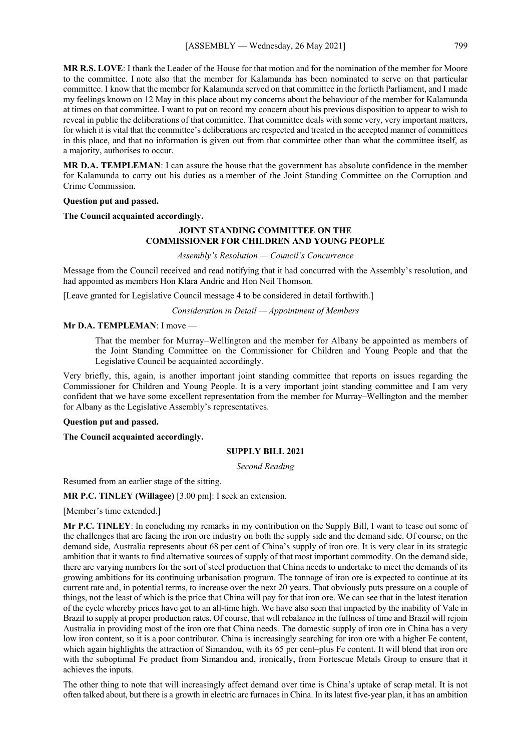[ASSEMBLY — Wednesday, 26 May 2021] 799

**MR R.S. LOVE**: I thank the Leader of the House for that motion and for the nomination of the member for Moore to the committee. I note also that the member for Kalamunda has been nominated to serve on that particular committee. I know that the member for Kalamunda served on that committee in the fortieth Parliament, and I made my feelings known on 12 May in this place about my concerns about the behaviour of the member for Kalamunda at times on that committee. I want to put on record my concern about his previous disposition to appear to wish to reveal in public the deliberations of that committee. That committee deals with some very, very important matters, for which it is vital that the committee's deliberations are respected and treated in the accepted manner of committees in this place, and that no information is given out from that committee other than what the committee itself, as a majority, authorises to occur.

**MR D.A. TEMPLEMAN**: I can assure the house that the government has absolute confidence in the member for Kalamunda to carry out his duties as a member of the Joint Standing Committee on the Corruption and Crime Commission.

## **Question put and passed.**

**The Council acquainted accordingly.**

# **JOINT STANDING COMMITTEE ON THE COMMISSIONER FOR CHILDREN AND YOUNG PEOPLE**

*Assembly's Resolution — Council's Concurrence*

Message from the Council received and read notifying that it had concurred with the Assembly's resolution, and had appointed as members Hon Klara Andric and Hon Neil Thomson.

[Leave granted for Legislative Council message 4 to be considered in detail forthwith.]

*Consideration in Detail — Appointment of Members*

#### **Mr D.A. TEMPLEMAN**: I move —

That the member for Murray–Wellington and the member for Albany be appointed as members of the Joint Standing Committee on the Commissioner for Children and Young People and that the Legislative Council be acquainted accordingly.

Very briefly, this, again, is another important joint standing committee that reports on issues regarding the Commissioner for Children and Young People. It is a very important joint standing committee and I am very confident that we have some excellent representation from the member for Murray–Wellington and the member for Albany as the Legislative Assembly's representatives.

#### **Question put and passed.**

**The Council acquainted accordingly.**

#### **SUPPLY BILL 2021**

*Second Reading*

Resumed from an earlier stage of the sitting.

**MR P.C. TINLEY (Willagee)** [3.00 pm]: I seek an extension.

[Member's time extended.]

**Mr P.C. TINLEY**: In concluding my remarks in my contribution on the Supply Bill, I want to tease out some of the challenges that are facing the iron ore industry on both the supply side and the demand side. Of course, on the demand side, Australia represents about 68 per cent of China's supply of iron ore. It is very clear in its strategic ambition that it wants to find alternative sources of supply of that most important commodity. On the demand side, there are varying numbers for the sort of steel production that China needs to undertake to meet the demands of its growing ambitions for its continuing urbanisation program. The tonnage of iron ore is expected to continue at its current rate and, in potential terms, to increase over the next 20 years. That obviously puts pressure on a couple of things, not the least of which is the price that China will pay for that iron ore. We can see that in the latest iteration of the cycle whereby prices have got to an all-time high. We have also seen that impacted by the inability of Vale in Brazil to supply at proper production rates. Of course, that will rebalance in the fullness of time and Brazil will rejoin Australia in providing most of the iron ore that China needs. The domestic supply of iron ore in China has a very low iron content, so it is a poor contributor. China is increasingly searching for iron ore with a higher Fe content, which again highlights the attraction of Simandou, with its 65 per cent–plus Fe content. It will blend that iron ore with the suboptimal Fe product from Simandou and, ironically, from Fortescue Metals Group to ensure that it achieves the inputs.

The other thing to note that will increasingly affect demand over time is China's uptake of scrap metal. It is not often talked about, but there is a growth in electric arc furnaces in China. In its latest five-year plan, it has an ambition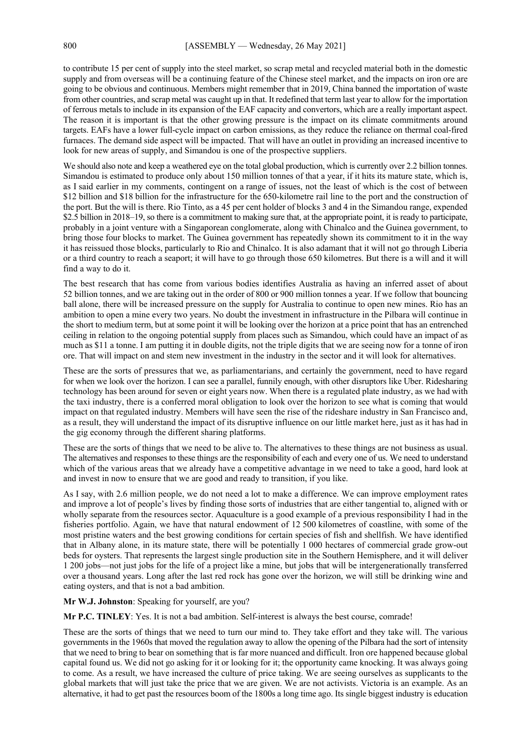to contribute 15 per cent of supply into the steel market, so scrap metal and recycled material both in the domestic supply and from overseas will be a continuing feature of the Chinese steel market, and the impacts on iron ore are going to be obvious and continuous. Members might remember that in 2019, China banned the importation of waste from other countries, and scrap metal was caught up in that. It redefined that term last year to allow for the importation of ferrous metals to include in its expansion of the EAF capacity and convertors, which are a really important aspect. The reason it is important is that the other growing pressure is the impact on its climate commitments around targets. EAFs have a lower full-cycle impact on carbon emissions, as they reduce the reliance on thermal coal-fired furnaces. The demand side aspect will be impacted. That will have an outlet in providing an increased incentive to look for new areas of supply, and Simandou is one of the prospective suppliers.

We should also note and keep a weathered eye on the total global production, which is currently over 2.2 billion tonnes. Simandou is estimated to produce only about 150 million tonnes of that a year, if it hits its mature state, which is, as I said earlier in my comments, contingent on a range of issues, not the least of which is the cost of between \$12 billion and \$18 billion for the infrastructure for the 650-kilometre rail line to the port and the construction of the port. But the will is there. Rio Tinto, as a 45 per cent holder of blocks 3 and 4 in the Simandou range, expended \$2.5 billion in 2018–19, so there is a commitment to making sure that, at the appropriate point, it is ready to participate, probably in a joint venture with a Singaporean conglomerate, along with Chinalco and the Guinea government, to bring those four blocks to market. The Guinea government has repeatedly shown its commitment to it in the way it has reissued those blocks, particularly to Rio and Chinalco. It is also adamant that it will not go through Liberia or a third country to reach a seaport; it will have to go through those 650 kilometres. But there is a will and it will find a way to do it.

The best research that has come from various bodies identifies Australia as having an inferred asset of about 52 billion tonnes, and we are taking out in the order of 800 or 900 million tonnes a year. If we follow that bouncing ball alone, there will be increased pressure on the supply for Australia to continue to open new mines. Rio has an ambition to open a mine every two years. No doubt the investment in infrastructure in the Pilbara will continue in the short to medium term, but at some point it will be looking over the horizon at a price point that has an entrenched ceiling in relation to the ongoing potential supply from places such as Simandou, which could have an impact of as much as \$11 a tonne. I am putting it in double digits, not the triple digits that we are seeing now for a tonne of iron ore. That will impact on and stem new investment in the industry in the sector and it will look for alternatives.

These are the sorts of pressures that we, as parliamentarians, and certainly the government, need to have regard for when we look over the horizon. I can see a parallel, funnily enough, with other disruptors like Uber. Ridesharing technology has been around for seven or eight years now. When there is a regulated plate industry, as we had with the taxi industry, there is a conferred moral obligation to look over the horizon to see what is coming that would impact on that regulated industry. Members will have seen the rise of the rideshare industry in San Francisco and, as a result, they will understand the impact of its disruptive influence on our little market here, just as it has had in the gig economy through the different sharing platforms.

These are the sorts of things that we need to be alive to. The alternatives to these things are not business as usual. The alternatives and responses to these things are the responsibility of each and every one of us. We need to understand which of the various areas that we already have a competitive advantage in we need to take a good, hard look at and invest in now to ensure that we are good and ready to transition, if you like.

As I say, with 2.6 million people, we do not need a lot to make a difference. We can improve employment rates and improve a lot of people's lives by finding those sorts of industries that are either tangential to, aligned with or wholly separate from the resources sector. Aquaculture is a good example of a previous responsibility I had in the fisheries portfolio. Again, we have that natural endowment of 12 500 kilometres of coastline, with some of the most pristine waters and the best growing conditions for certain species of fish and shellfish. We have identified that in Albany alone, in its mature state, there will be potentially 1 000 hectares of commercial grade grow-out beds for oysters. That represents the largest single production site in the Southern Hemisphere, and it will deliver 1 200 jobs—not just jobs for the life of a project like a mine, but jobs that will be intergenerationally transferred over a thousand years. Long after the last red rock has gone over the horizon, we will still be drinking wine and eating oysters, and that is not a bad ambition.

#### **Mr W.J. Johnston**: Speaking for yourself, are you?

**Mr P.C. TINLEY**: Yes. It is not a bad ambition. Self-interest is always the best course, comrade!

These are the sorts of things that we need to turn our mind to. They take effort and they take will. The various governments in the 1960s that moved the regulation away to allow the opening of the Pilbara had the sort of intensity that we need to bring to bear on something that is far more nuanced and difficult. Iron ore happened because global capital found us. We did not go asking for it or looking for it; the opportunity came knocking. It was always going to come. As a result, we have increased the culture of price taking. We are seeing ourselves as supplicants to the global markets that will just take the price that we are given. We are not activists. Victoria is an example. As an alternative, it had to get past the resources boom of the 1800s a long time ago. Its single biggest industry is education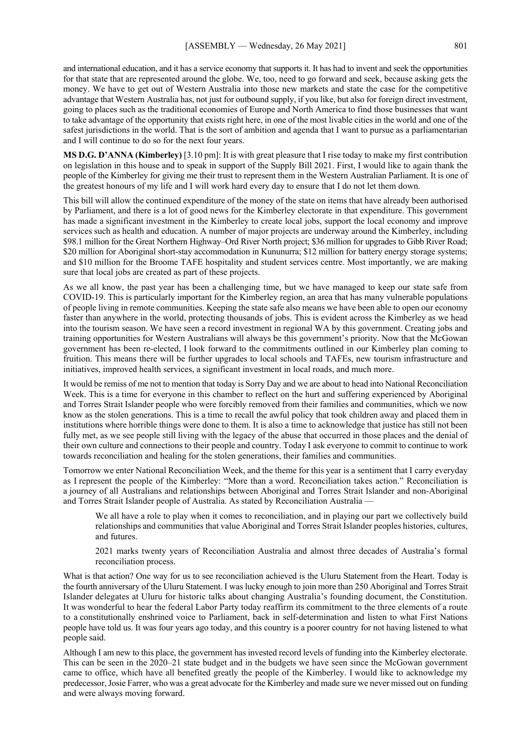and international education, and it has a service economy that supports it. It has had to invent and seek the opportunities for that state that are represented around the globe. We, too, need to go forward and seek, because asking gets the money. We have to get out of Western Australia into those new markets and state the case for the competitive advantage that Western Australia has, not just for outbound supply, if you like, but also for foreign direct investment, going to places such as the traditional economies of Europe and North America to find those businesses that want to take advantage of the opportunity that exists right here, in one of the most livable cities in the world and one of the safest jurisdictions in the world. That is the sort of ambition and agenda that I want to pursue as a parliamentarian and I will continue to do so for the next four years.

**MS D.G. D'ANNA (Kimberley)** [3.10 pm]: It is with great pleasure that I rise today to make my first contribution on legislation in this house and to speak in support of the Supply Bill 2021. First, I would like to again thank the people of the Kimberley for giving me their trust to represent them in the Western Australian Parliament. It is one of the greatest honours of my life and I will work hard every day to ensure that I do not let them down.

This bill will allow the continued expenditure of the money of the state on items that have already been authorised by Parliament, and there is a lot of good news for the Kimberley electorate in that expenditure. This government has made a significant investment in the Kimberley to create local jobs, support the local economy and improve services such as health and education. A number of major projects are underway around the Kimberley, including \$98.1 million for the Great Northern Highway–Ord River North project; \$36 million for upgrades to Gibb River Road; \$20 million for Aboriginal short-stay accommodation in Kununurra; \$12 million for battery energy storage systems; and \$10 million for the Broome TAFE hospitality and student services centre. Most importantly, we are making sure that local jobs are created as part of these projects.

As we all know, the past year has been a challenging time, but we have managed to keep our state safe from COVID-19. This is particularly important for the Kimberley region, an area that has many vulnerable populations of people living in remote communities. Keeping the state safe also means we have been able to open our economy faster than anywhere in the world, protecting thousands of jobs. This is evident across the Kimberley as we head into the tourism season. We have seen a record investment in regional WA by this government. Creating jobs and training opportunities for Western Australians will always be this government's priority. Now that the McGowan government has been re-elected, I look forward to the commitments outlined in our Kimberley plan coming to fruition. This means there will be further upgrades to local schools and TAFEs, new tourism infrastructure and initiatives, improved health services, a significant investment in local roads, and much more.

It would be remiss of me not to mention that today is Sorry Day and we are about to head into National Reconciliation Week. This is a time for everyone in this chamber to reflect on the hurt and suffering experienced by Aboriginal and Torres Strait Islander people who were forcibly removed from their families and communities, which we now know as the stolen generations. This is a time to recall the awful policy that took children away and placed them in institutions where horrible things were done to them. It is also a time to acknowledge that justice has still not been fully met, as we see people still living with the legacy of the abuse that occurred in those places and the denial of their own culture and connections to their people and country. Today I ask everyone to commit to continue to work towards reconciliation and healing for the stolen generations, their families and communities.

Tomorrow we enter National Reconciliation Week, and the theme for this year is a sentiment that I carry everyday as I represent the people of the Kimberley: "More than a word. Reconciliation takes action." Reconciliation is a journey of all Australians and relationships between Aboriginal and Torres Strait Islander and non-Aboriginal and Torres Strait Islander people of Australia. As stated by Reconciliation Australia —

We all have a role to play when it comes to reconciliation, and in playing our part we collectively build relationships and communities that value Aboriginal and Torres Strait Islander peoples histories, cultures, and futures.

2021 marks twenty years of Reconciliation Australia and almost three decades of Australia's formal reconciliation process.

What is that action? One way for us to see reconciliation achieved is the Uluru Statement from the Heart. Today is the fourth anniversary of the Uluru Statement. I was lucky enough to join more than 250 Aboriginal and Torres Strait Islander delegates at Uluru for historic talks about changing Australia's founding document, the Constitution. It was wonderful to hear the federal Labor Party today reaffirm its commitment to the three elements of a route to a constitutionally enshrined voice to Parliament, back in self-determination and listen to what First Nations people have told us. It was four years ago today, and this country is a poorer country for not having listened to what people said.

Although I am new to this place, the government has invested record levels of funding into the Kimberley electorate. This can be seen in the 2020–21 state budget and in the budgets we have seen since the McGowan government came to office, which have all benefited greatly the people of the Kimberley. I would like to acknowledge my predecessor, Josie Farrer, who was a great advocate for the Kimberley and made sure we never missed out on funding and were always moving forward.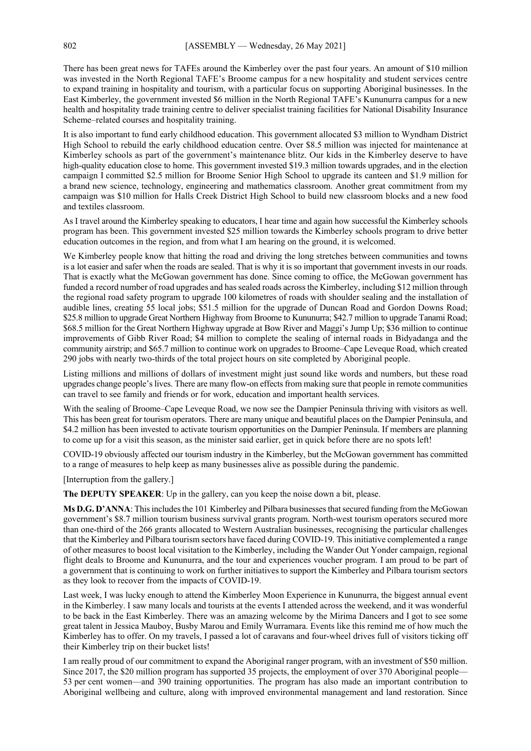There has been great news for TAFEs around the Kimberley over the past four years. An amount of \$10 million was invested in the North Regional TAFE's Broome campus for a new hospitality and student services centre to expand training in hospitality and tourism, with a particular focus on supporting Aboriginal businesses. In the East Kimberley, the government invested \$6 million in the North Regional TAFE's Kununurra campus for a new health and hospitality trade training centre to deliver specialist training facilities for National Disability Insurance Scheme–related courses and hospitality training.

It is also important to fund early childhood education. This government allocated \$3 million to Wyndham District High School to rebuild the early childhood education centre. Over \$8.5 million was injected for maintenance at Kimberley schools as part of the government's maintenance blitz. Our kids in the Kimberley deserve to have high-quality education close to home. This government invested \$19.3 million towards upgrades, and in the election campaign I committed \$2.5 million for Broome Senior High School to upgrade its canteen and \$1.9 million for a brand new science, technology, engineering and mathematics classroom. Another great commitment from my campaign was \$10 million for Halls Creek District High School to build new classroom blocks and a new food and textiles classroom.

As I travel around the Kimberley speaking to educators, I hear time and again how successful the Kimberley schools program has been. This government invested \$25 million towards the Kimberley schools program to drive better education outcomes in the region, and from what I am hearing on the ground, it is welcomed.

We Kimberley people know that hitting the road and driving the long stretches between communities and towns is a lot easier and safer when the roads are sealed. That is why it is so important that government invests in our roads. That is exactly what the McGowan government has done. Since coming to office, the McGowan government has funded a record number of road upgrades and has sealed roads across the Kimberley, including \$12 million through the regional road safety program to upgrade 100 kilometres of roads with shoulder sealing and the installation of audible lines, creating 55 local jobs; \$51.5 million for the upgrade of Duncan Road and Gordon Downs Road; \$25.8 million to upgrade Great Northern Highway from Broome to Kununurra; \$42.7 million to upgrade Tanami Road; \$68.5 million for the Great Northern Highway upgrade at Bow River and Maggi's Jump Up; \$36 million to continue improvements of Gibb River Road; \$4 million to complete the sealing of internal roads in Bidyadanga and the community airstrip; and \$65.7 million to continue work on upgrades to Broome–Cape Leveque Road, which created 290 jobs with nearly two-thirds of the total project hours on site completed by Aboriginal people.

Listing millions and millions of dollars of investment might just sound like words and numbers, but these road upgrades change people's lives. There are many flow-on effects from making sure that people in remote communities can travel to see family and friends or for work, education and important health services.

With the sealing of Broome–Cape Leveque Road, we now see the Dampier Peninsula thriving with visitors as well. This has been great for tourism operators. There are many unique and beautiful places on the Dampier Peninsula, and \$4.2 million has been invested to activate tourism opportunities on the Dampier Peninsula. If members are planning to come up for a visit this season, as the minister said earlier, get in quick before there are no spots left!

COVID-19 obviously affected our tourism industry in the Kimberley, but the McGowan government has committed to a range of measures to help keep as many businesses alive as possible during the pandemic.

[Interruption from the gallery.]

**The DEPUTY SPEAKER**: Up in the gallery, can you keep the noise down a bit, please.

**Ms D.G. D'ANNA**: This includes the 101 Kimberley and Pilbara businesses that secured funding from the McGowan government's \$8.7 million tourism business survival grants program. North-west tourism operators secured more than one-third of the 266 grants allocated to Western Australian businesses, recognising the particular challenges that the Kimberley and Pilbara tourism sectors have faced during COVID-19. This initiative complemented a range of other measures to boost local visitation to the Kimberley, including the Wander Out Yonder campaign, regional flight deals to Broome and Kununurra, and the tour and experiences voucher program. I am proud to be part of a government that is continuing to work on further initiatives to support the Kimberley and Pilbara tourism sectors as they look to recover from the impacts of COVID-19.

Last week, I was lucky enough to attend the Kimberley Moon Experience in Kununurra, the biggest annual event in the Kimberley. I saw many locals and tourists at the events I attended across the weekend, and it was wonderful to be back in the East Kimberley. There was an amazing welcome by the Mirima Dancers and I got to see some great talent in Jessica Mauboy, Busby Marou and Emily Wurramara. Events like this remind me of how much the Kimberley has to offer. On my travels, I passed a lot of caravans and four-wheel drives full of visitors ticking off their Kimberley trip on their bucket lists!

I am really proud of our commitment to expand the Aboriginal ranger program, with an investment of \$50 million. Since 2017, the \$20 million program has supported 35 projects, the employment of over 370 Aboriginal people— 53 per cent women—and 390 training opportunities. The program has also made an important contribution to Aboriginal wellbeing and culture, along with improved environmental management and land restoration. Since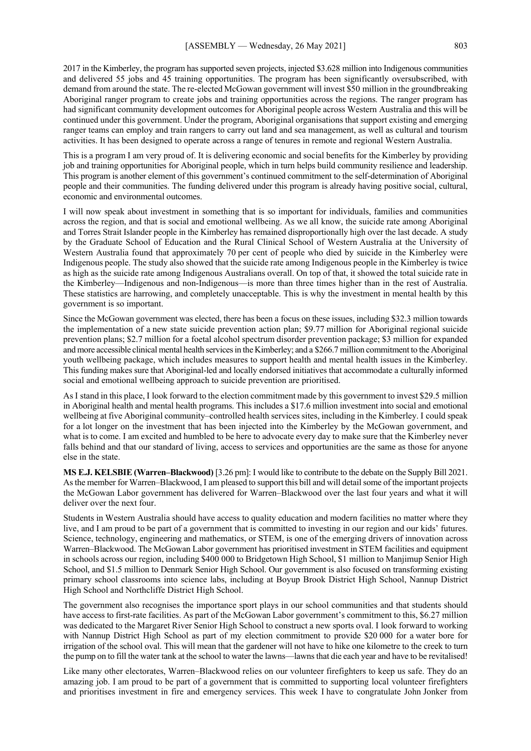2017 in the Kimberley, the program has supported seven projects, injected \$3.628 million into Indigenous communities and delivered 55 jobs and 45 training opportunities. The program has been significantly oversubscribed, with demand from around the state. The re-elected McGowan government will invest \$50 million in the groundbreaking Aboriginal ranger program to create jobs and training opportunities across the regions. The ranger program has had significant community development outcomes for Aboriginal people across Western Australia and this will be continued under this government. Under the program, Aboriginal organisations that support existing and emerging ranger teams can employ and train rangers to carry out land and sea management, as well as cultural and tourism activities. It has been designed to operate across a range of tenures in remote and regional Western Australia.

This is a program I am very proud of. It is delivering economic and social benefits for the Kimberley by providing job and training opportunities for Aboriginal people, which in turn helps build community resilience and leadership. This program is another element of this government's continued commitment to the self-determination of Aboriginal people and their communities. The funding delivered under this program is already having positive social, cultural, economic and environmental outcomes.

I will now speak about investment in something that is so important for individuals, families and communities across the region, and that is social and emotional wellbeing. As we all know, the suicide rate among Aboriginal and Torres Strait Islander people in the Kimberley has remained disproportionally high over the last decade. A study by the Graduate School of Education and the Rural Clinical School of Western Australia at the University of Western Australia found that approximately 70 per cent of people who died by suicide in the Kimberley were Indigenous people. The study also showed that the suicide rate among Indigenous people in the Kimberley is twice as high as the suicide rate among Indigenous Australians overall. On top of that, it showed the total suicide rate in the Kimberley—Indigenous and non-Indigenous—is more than three times higher than in the rest of Australia. These statistics are harrowing, and completely unacceptable. This is why the investment in mental health by this government is so important.

Since the McGowan government was elected, there has been a focus on these issues, including \$32.3 million towards the implementation of a new state suicide prevention action plan; \$9.77 million for Aboriginal regional suicide prevention plans; \$2.7 million for a foetal alcohol spectrum disorder prevention package; \$3 million for expanded and more accessible clinical mental health services in the Kimberley; and a \$266.7 million commitment to the Aboriginal youth wellbeing package, which includes measures to support health and mental health issues in the Kimberley. This funding makes sure that Aboriginal-led and locally endorsed initiatives that accommodate a culturally informed social and emotional wellbeing approach to suicide prevention are prioritised.

AsI stand in this place, I look forward to the election commitment made by this government to invest \$29.5 million in Aboriginal health and mental health programs. This includes a \$17.6 million investment into social and emotional wellbeing at five Aboriginal community–controlled health services sites, including in the Kimberley. I could speak for a lot longer on the investment that has been injected into the Kimberley by the McGowan government, and what is to come. I am excited and humbled to be here to advocate every day to make sure that the Kimberley never falls behind and that our standard of living, access to services and opportunities are the same as those for anyone else in the state.

**MS E.J. KELSBIE (Warren–Blackwood)** [3.26 pm]: I would like to contribute to the debate on the Supply Bill 2021. As the member for Warren–Blackwood, I am pleased to support this bill and will detail some of the important projects the McGowan Labor government has delivered for Warren–Blackwood over the last four years and what it will deliver over the next four.

Students in Western Australia should have access to quality education and modern facilities no matter where they live, and I am proud to be part of a government that is committed to investing in our region and our kids' futures. Science, technology, engineering and mathematics, or STEM, is one of the emerging drivers of innovation across Warren–Blackwood. The McGowan Labor government has prioritised investment in STEM facilities and equipment in schools across our region, including \$400 000 to Bridgetown High School, \$1 million to Manjimup Senior High School, and \$1.5 million to Denmark Senior High School. Our government is also focused on transforming existing primary school classrooms into science labs, including at Boyup Brook District High School, Nannup District High School and Northcliffe District High School.

The government also recognises the importance sport plays in our school communities and that students should have access to first-rate facilities. As part of the McGowan Labor government's commitment to this, \$6.27 million was dedicated to the Margaret River Senior High School to construct a new sports oval. I look forward to working with Nannup District High School as part of my election commitment to provide \$20 000 for a water bore for irrigation of the school oval. This will mean that the gardener will not have to hike one kilometre to the creek to turn the pump on to fill the water tank at the school to water the lawns—lawns that die each year and have to be revitalised!

Like many other electorates, Warren–Blackwood relies on our volunteer firefighters to keep us safe. They do an amazing job. I am proud to be part of a government that is committed to supporting local volunteer firefighters and prioritises investment in fire and emergency services. This week I have to congratulate John Jonker from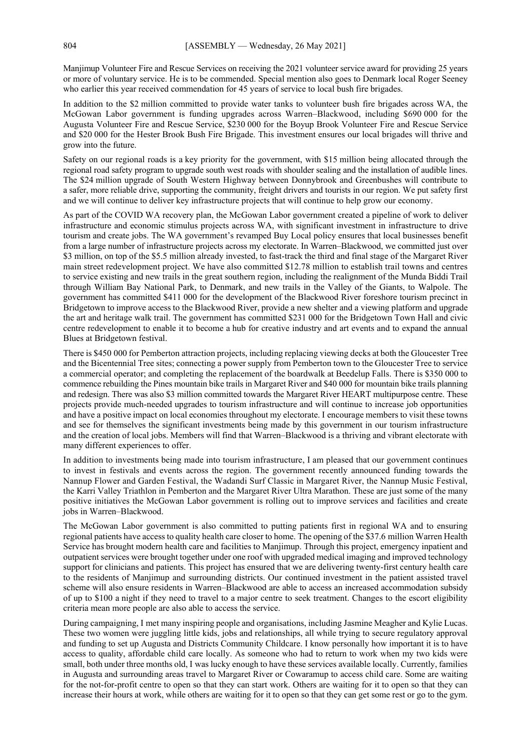Manjimup Volunteer Fire and Rescue Services on receiving the 2021 volunteer service award for providing 25 years or more of voluntary service. He is to be commended. Special mention also goes to Denmark local Roger Seeney who earlier this year received commendation for 45 years of service to local bush fire brigades.

In addition to the \$2 million committed to provide water tanks to volunteer bush fire brigades across WA, the McGowan Labor government is funding upgrades across Warren–Blackwood, including \$690 000 for the Augusta Volunteer Fire and Rescue Service, \$230 000 for the Boyup Brook Volunteer Fire and Rescue Service and \$20 000 for the Hester Brook Bush Fire Brigade. This investment ensures our local brigades will thrive and grow into the future.

Safety on our regional roads is a key priority for the government, with \$15 million being allocated through the regional road safety program to upgrade south west roads with shoulder sealing and the installation of audible lines. The \$24 million upgrade of South Western Highway between Donnybrook and Greenbushes will contribute to a safer, more reliable drive, supporting the community, freight drivers and tourists in our region. We put safety first and we will continue to deliver key infrastructure projects that will continue to help grow our economy.

As part of the COVID WA recovery plan, the McGowan Labor government created a pipeline of work to deliver infrastructure and economic stimulus projects across WA, with significant investment in infrastructure to drive tourism and create jobs. The WA government's revamped Buy Local policy ensures that local businesses benefit from a large number of infrastructure projects across my electorate. In Warren–Blackwood, we committed just over \$3 million, on top of the \$5.5 million already invested, to fast-track the third and final stage of the Margaret River main street redevelopment project. We have also committed \$12.78 million to establish trail towns and centres to service existing and new trails in the great southern region, including the realignment of the Munda Biddi Trail through William Bay National Park, to Denmark, and new trails in the Valley of the Giants, to Walpole. The government has committed \$411 000 for the development of the Blackwood River foreshore tourism precinct in Bridgetown to improve access to the Blackwood River, provide a new shelter and a viewing platform and upgrade the art and heritage walk trail. The government has committed \$231 000 for the Bridgetown Town Hall and civic centre redevelopment to enable it to become a hub for creative industry and art events and to expand the annual Blues at Bridgetown festival.

There is \$450 000 for Pemberton attraction projects, including replacing viewing decks at both the Gloucester Tree and the Bicentennial Tree sites; connecting a power supply from Pemberton town to the Gloucester Tree to service a commercial operator; and completing the replacement of the boardwalk at Beedelup Falls. There is \$350 000 to commence rebuilding the Pines mountain bike trails in Margaret River and \$40 000 for mountain bike trails planning and redesign. There was also \$3 million committed towards the Margaret River HEART multipurpose centre. These projects provide much-needed upgrades to tourism infrastructure and will continue to increase job opportunities and have a positive impact on local economies throughout my electorate. I encourage members to visit these towns and see for themselves the significant investments being made by this government in our tourism infrastructure and the creation of local jobs. Members will find that Warren–Blackwood is a thriving and vibrant electorate with many different experiences to offer.

In addition to investments being made into tourism infrastructure, I am pleased that our government continues to invest in festivals and events across the region. The government recently announced funding towards the Nannup Flower and Garden Festival, the Wadandi Surf Classic in Margaret River, the Nannup Music Festival, the Karri Valley Triathlon in Pemberton and the Margaret River Ultra Marathon. These are just some of the many positive initiatives the McGowan Labor government is rolling out to improve services and facilities and create jobs in Warren–Blackwood.

The McGowan Labor government is also committed to putting patients first in regional WA and to ensuring regional patients have access to quality health care closer to home. The opening of the \$37.6 million Warren Health Service has brought modern health care and facilities to Manjimup. Through this project, emergency inpatient and outpatient services were brought together under one roof with upgraded medical imaging and improved technology support for clinicians and patients. This project has ensured that we are delivering twenty-first century health care to the residents of Manjimup and surrounding districts. Our continued investment in the patient assisted travel scheme will also ensure residents in Warren–Blackwood are able to access an increased accommodation subsidy of up to \$100 a night if they need to travel to a major centre to seek treatment. Changes to the escort eligibility criteria mean more people are also able to access the service.

During campaigning, I met many inspiring people and organisations, including Jasmine Meagher and Kylie Lucas. These two women were juggling little kids, jobs and relationships, all while trying to secure regulatory approval and funding to set up Augusta and Districts Community Childcare. I know personally how important it is to have access to quality, affordable child care locally. As someone who had to return to work when my two kids were small, both under three months old, I was lucky enough to have these services available locally. Currently, families in Augusta and surrounding areas travel to Margaret River or Cowaramup to access child care. Some are waiting for the not-for-profit centre to open so that they can start work. Others are waiting for it to open so that they can increase their hours at work, while others are waiting for it to open so that they can get some rest or go to the gym.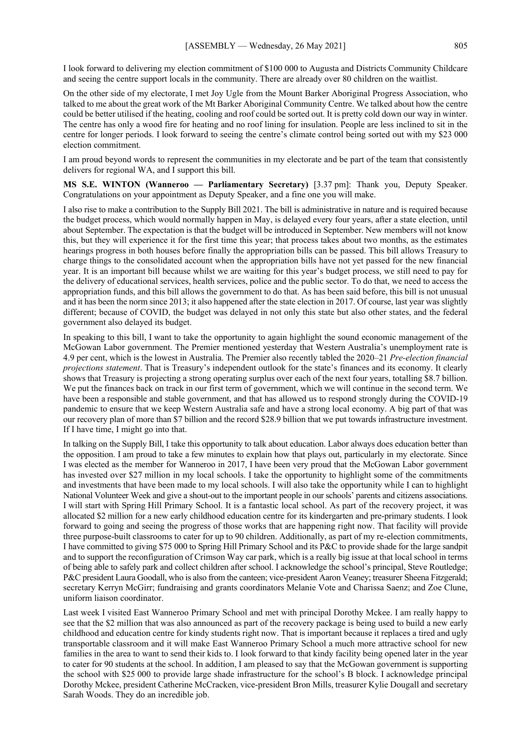I look forward to delivering my election commitment of \$100 000 to Augusta and Districts Community Childcare and seeing the centre support locals in the community. There are already over 80 children on the waitlist.

On the other side of my electorate, I met Joy Ugle from the Mount Barker Aboriginal Progress Association, who talked to me about the great work of the Mt Barker Aboriginal Community Centre. We talked about how the centre could be better utilised if the heating, cooling and roof could be sorted out. It is pretty cold down our way in winter. The centre has only a wood fire for heating and no roof lining for insulation. People are less inclined to sit in the centre for longer periods. I look forward to seeing the centre's climate control being sorted out with my \$23 000 election commitment.

I am proud beyond words to represent the communities in my electorate and be part of the team that consistently delivers for regional WA, and I support this bill.

**MS S.E. WINTON (Wanneroo — Parliamentary Secretary)** [3.37 pm]: Thank you, Deputy Speaker. Congratulations on your appointment as Deputy Speaker, and a fine one you will make.

I also rise to make a contribution to the Supply Bill 2021. The bill is administrative in nature and is required because the budget process, which would normally happen in May, is delayed every four years, after a state election, until about September. The expectation is that the budget will be introduced in September. New members will not know this, but they will experience it for the first time this year; that process takes about two months, as the estimates hearings progress in both houses before finally the appropriation bills can be passed. This bill allows Treasury to charge things to the consolidated account when the appropriation bills have not yet passed for the new financial year. It is an important bill because whilst we are waiting for this year's budget process, we still need to pay for the delivery of educational services, health services, police and the public sector. To do that, we need to access the appropriation funds, and this bill allows the government to do that. As has been said before, this bill is not unusual and it has been the norm since 2013; it also happened after the state election in 2017. Of course, last year was slightly different; because of COVID, the budget was delayed in not only this state but also other states, and the federal government also delayed its budget.

In speaking to this bill, I want to take the opportunity to again highlight the sound economic management of the McGowan Labor government. The Premier mentioned yesterday that Western Australia's unemployment rate is 4.9 per cent, which is the lowest in Australia. The Premier also recently tabled the 2020–21 *Pre-election financial projections statement*. That is Treasury's independent outlook for the state's finances and its economy. It clearly shows that Treasury is projecting a strong operating surplus over each of the next four years, totalling \$8.7 billion. We put the finances back on track in our first term of government, which we will continue in the second term. We have been a responsible and stable government, and that has allowed us to respond strongly during the COVID-19 pandemic to ensure that we keep Western Australia safe and have a strong local economy. A big part of that was our recovery plan of more than \$7 billion and the record \$28.9 billion that we put towards infrastructure investment. If I have time, I might go into that.

In talking on the Supply Bill, I take this opportunity to talk about education. Labor always does education better than the opposition. I am proud to take a few minutes to explain how that plays out, particularly in my electorate. Since I was elected as the member for Wanneroo in 2017, I have been very proud that the McGowan Labor government has invested over \$27 million in my local schools. I take the opportunity to highlight some of the commitments and investments that have been made to my local schools. I will also take the opportunity while I can to highlight National Volunteer Week and give a shout-out to the important people in our schools' parents and citizens associations. I will start with Spring Hill Primary School. It is a fantastic local school. As part of the recovery project, it was allocated \$2 million for a new early childhood education centre for its kindergarten and pre-primary students. I look forward to going and seeing the progress of those works that are happening right now. That facility will provide three purpose-built classrooms to cater for up to 90 children. Additionally, as part of my re-election commitments, I have committed to giving \$75 000 to Spring Hill Primary School and its P&C to provide shade for the large sandpit and to support the reconfiguration of Crimson Way car park, which is a really big issue at that local school in terms of being able to safely park and collect children after school. I acknowledge the school's principal, Steve Routledge; P&C president Laura Goodall, who is also from the canteen; vice-president Aaron Veaney; treasurer Sheena Fitzgerald; secretary Kerryn McGirr; fundraising and grants coordinators Melanie Vote and Charissa Saenz; and Zoe Clune, uniform liaison coordinator.

Last week I visited East Wanneroo Primary School and met with principal Dorothy Mckee. I am really happy to see that the \$2 million that was also announced as part of the recovery package is being used to build a new early childhood and education centre for kindy students right now. That is important because it replaces a tired and ugly transportable classroom and it will make East Wanneroo Primary School a much more attractive school for new families in the area to want to send their kids to. I look forward to that kindy facility being opened later in the year to cater for 90 students at the school. In addition, I am pleased to say that the McGowan government is supporting the school with \$25 000 to provide large shade infrastructure for the school's B block. I acknowledge principal Dorothy Mckee, president Catherine McCracken, vice-president Bron Mills, treasurer Kylie Dougall and secretary Sarah Woods. They do an incredible job.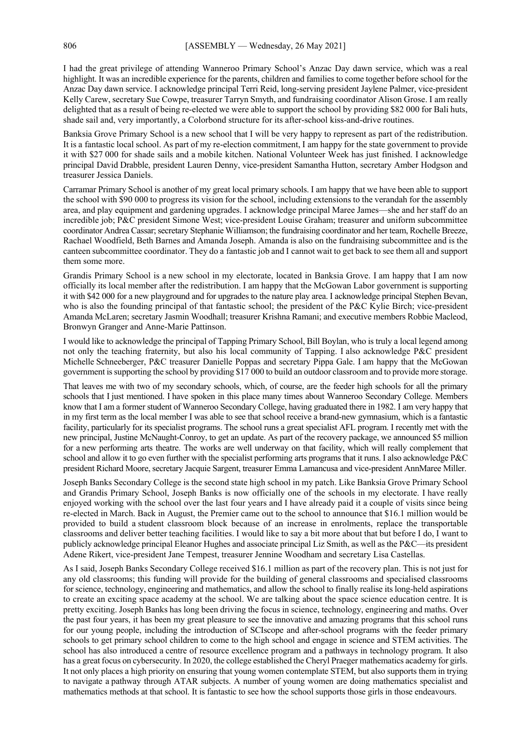I had the great privilege of attending Wanneroo Primary School's Anzac Day dawn service, which was a real highlight. It was an incredible experience for the parents, children and families to come together before school for the Anzac Day dawn service. I acknowledge principal Terri Reid, long-serving president Jaylene Palmer, vice-president Kelly Carew, secretary Sue Cowpe, treasurer Tarryn Smyth, and fundraising coordinator Alison Grose. I am really delighted that as a result of being re-elected we were able to support the school by providing \$82 000 for Bali huts, shade sail and, very importantly, a Colorbond structure for its after-school kiss-and-drive routines.

Banksia Grove Primary School is a new school that I will be very happy to represent as part of the redistribution. It is a fantastic local school. As part of my re-election commitment, I am happy for the state government to provide it with \$27 000 for shade sails and a mobile kitchen. National Volunteer Week has just finished. I acknowledge principal David Drabble, president Lauren Denny, vice-president Samantha Hutton, secretary Amber Hodgson and treasurer Jessica Daniels.

Carramar Primary School is another of my great local primary schools. I am happy that we have been able to support the school with \$90 000 to progress its vision for the school, including extensions to the verandah for the assembly area, and play equipment and gardening upgrades. I acknowledge principal Maree James—she and her staff do an incredible job; P&C president Simone West; vice-president Louise Graham; treasurer and uniform subcommittee coordinator Andrea Cassar; secretary Stephanie Williamson; the fundraising coordinator and her team, Rochelle Breeze, Rachael Woodfield, Beth Barnes and Amanda Joseph. Amanda is also on the fundraising subcommittee and is the canteen subcommittee coordinator. They do a fantastic job and I cannot wait to get back to see them all and support them some more.

Grandis Primary School is a new school in my electorate, located in Banksia Grove. I am happy that I am now officially its local member after the redistribution. I am happy that the McGowan Labor government is supporting it with \$42 000 for a new playground and for upgrades to the nature play area. I acknowledge principal Stephen Bevan, who is also the founding principal of that fantastic school; the president of the P&C Kylie Birch; vice-president Amanda McLaren; secretary Jasmin Woodhall; treasurer Krishna Ramani; and executive members Robbie Macleod, Bronwyn Granger and Anne-Marie Pattinson.

I would like to acknowledge the principal of Tapping Primary School, Bill Boylan, who is truly a local legend among not only the teaching fraternity, but also his local community of Tapping. I also acknowledge P&C president Michelle Schneeberger, P&C treasurer Danielle Poppas and secretary Pippa Gale. I am happy that the McGowan government is supporting the school by providing \$17 000 to build an outdoor classroom and to provide more storage.

That leaves me with two of my secondary schools, which, of course, are the feeder high schools for all the primary schools that I just mentioned. I have spoken in this place many times about Wanneroo Secondary College. Members know that I am a former student of Wanneroo Secondary College, having graduated there in 1982. I am very happy that in my first term as the local member I was able to see that school receive a brand-new gymnasium, which is a fantastic facility, particularly for its specialist programs. The school runs a great specialist AFL program. I recently met with the new principal, Justine McNaught-Conroy, to get an update. As part of the recovery package, we announced \$5 million for a new performing arts theatre. The works are well underway on that facility, which will really complement that school and allow it to go even further with the specialist performing arts programs that it runs. I also acknowledge P&C president Richard Moore, secretary Jacquie Sargent, treasurer Emma Lamancusa and vice-president AnnMaree Miller.

Joseph Banks Secondary College is the second state high school in my patch. Like Banksia Grove Primary School and Grandis Primary School, Joseph Banks is now officially one of the schools in my electorate. I have really enjoyed working with the school over the last four years and I have already paid it a couple of visits since being re-elected in March. Back in August, the Premier came out to the school to announce that \$16.1 million would be provided to build a student classroom block because of an increase in enrolments, replace the transportable classrooms and deliver better teaching facilities. I would like to say a bit more about that but before I do, I want to publicly acknowledge principal Eleanor Hughes and associate principal Liz Smith, as well as the P&C—its president Adene Rikert, vice-president Jane Tempest, treasurer Jennine Woodham and secretary Lisa Castellas.

As I said, Joseph Banks Secondary College received \$16.1 million as part of the recovery plan. This is not just for any old classrooms; this funding will provide for the building of general classrooms and specialised classrooms for science, technology, engineering and mathematics, and allow the school to finally realise its long-held aspirations to create an exciting space academy at the school. We are talking about the space science education centre. It is pretty exciting. Joseph Banks has long been driving the focus in science, technology, engineering and maths. Over the past four years, it has been my great pleasure to see the innovative and amazing programs that this school runs for our young people, including the introduction of SCIscope and after-school programs with the feeder primary schools to get primary school children to come to the high school and engage in science and STEM activities. The school has also introduced a centre of resource excellence program and a pathways in technology program. It also has a great focus on cybersecurity. In 2020, the college established the Cheryl Praeger mathematics academy for girls. It not only places a high priority on ensuring that young women contemplate STEM, but also supports them in trying to navigate a pathway through ATAR subjects. A number of young women are doing mathematics specialist and mathematics methods at that school. It is fantastic to see how the school supports those girls in those endeavours.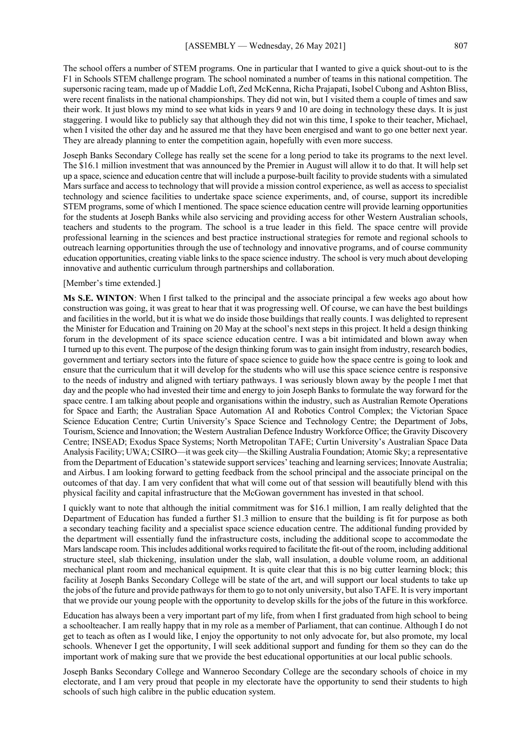The school offers a number of STEM programs. One in particular that I wanted to give a quick shout-out to is the F1 in Schools STEM challenge program. The school nominated a number of teams in this national competition. The supersonic racing team, made up of Maddie Loft, Zed McKenna, Richa Prajapati, Isobel Cubong and Ashton Bliss, were recent finalists in the national championships. They did not win, but I visited them a couple of times and saw their work. It just blows my mind to see what kids in years 9 and 10 are doing in technology these days. It is just staggering. I would like to publicly say that although they did not win this time, I spoke to their teacher, Michael, when I visited the other day and he assured me that they have been energised and want to go one better next year. They are already planning to enter the competition again, hopefully with even more success.

Joseph Banks Secondary College has really set the scene for a long period to take its programs to the next level. The \$16.1 million investment that was announced by the Premier in August will allow it to do that. It will help set up a space, science and education centre that will include a purpose-built facility to provide students with a simulated Mars surface and access to technology that will provide a mission control experience, as well as access to specialist technology and science facilities to undertake space science experiments, and, of course, support its incredible STEM programs, some of which I mentioned. The space science education centre will provide learning opportunities for the students at Joseph Banks while also servicing and providing access for other Western Australian schools, teachers and students to the program. The school is a true leader in this field. The space centre will provide professional learning in the sciences and best practice instructional strategies for remote and regional schools to outreach learning opportunities through the use of technology and innovative programs, and of course community education opportunities, creating viable links to the space science industry. The school is very much about developing innovative and authentic curriculum through partnerships and collaboration.

#### [Member's time extended.]

**Ms S.E. WINTON**: When I first talked to the principal and the associate principal a few weeks ago about how construction was going, it was great to hear that it was progressing well. Of course, we can have the best buildings and facilities in the world, but it is what we do inside those buildings that really counts. I was delighted to represent the Minister for Education and Training on 20 May at the school's next steps in this project. It held a design thinking forum in the development of its space science education centre. I was a bit intimidated and blown away when I turned up to this event. The purpose of the design thinking forum was to gain insight from industry, research bodies, government and tertiary sectors into the future of space science to guide how the space centre is going to look and ensure that the curriculum that it will develop for the students who will use this space science centre is responsive to the needs of industry and aligned with tertiary pathways. I was seriously blown away by the people I met that day and the people who had invested their time and energy to join Joseph Banks to formulate the way forward for the space centre. I am talking about people and organisations within the industry, such as Australian Remote Operations for Space and Earth; the Australian Space Automation AI and Robotics Control Complex; the Victorian Space Science Education Centre; Curtin University's Space Science and Technology Centre; the Department of Jobs, Tourism, Science and Innovation; the Western Australian Defence Industry Workforce Office; the Gravity Discovery Centre; INSEAD; Exodus Space Systems; North Metropolitan TAFE; Curtin University's Australian Space Data Analysis Facility; UWA; CSIRO—it was geek city—the Skilling Australia Foundation; Atomic Sky; a representative from the Department of Education's statewide support services' teaching and learning services; Innovate Australia; and Airbus. I am looking forward to getting feedback from the school principal and the associate principal on the outcomes of that day. I am very confident that what will come out of that session will beautifully blend with this physical facility and capital infrastructure that the McGowan government has invested in that school.

I quickly want to note that although the initial commitment was for \$16.1 million, I am really delighted that the Department of Education has funded a further \$1.3 million to ensure that the building is fit for purpose as both a secondary teaching facility and a specialist space science education centre. The additional funding provided by the department will essentially fund the infrastructure costs, including the additional scope to accommodate the Mars landscape room. This includes additional works required to facilitate the fit-out of the room, including additional structure steel, slab thickening, insulation under the slab, wall insulation, a double volume room, an additional mechanical plant room and mechanical equipment. It is quite clear that this is no big cutter learning block; this facility at Joseph Banks Secondary College will be state of the art, and will support our local students to take up the jobs of the future and provide pathways for them to go to not only university, but also TAFE. It is very important that we provide our young people with the opportunity to develop skills for the jobs of the future in this workforce.

Education has always been a very important part of my life, from when I first graduated from high school to being a schoolteacher. I am really happy that in my role as a member of Parliament, that can continue. Although I do not get to teach as often as I would like, I enjoy the opportunity to not only advocate for, but also promote, my local schools. Whenever I get the opportunity, I will seek additional support and funding for them so they can do the important work of making sure that we provide the best educational opportunities at our local public schools.

Joseph Banks Secondary College and Wanneroo Secondary College are the secondary schools of choice in my electorate, and I am very proud that people in my electorate have the opportunity to send their students to high schools of such high calibre in the public education system.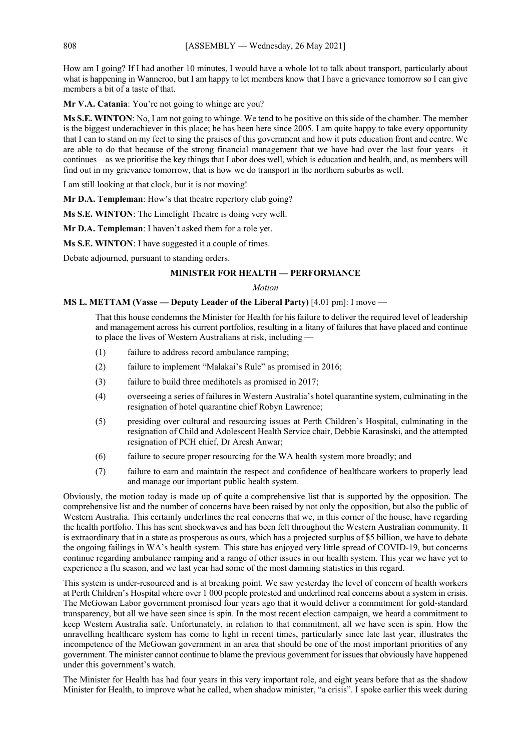How am I going? If I had another 10 minutes, I would have a whole lot to talk about transport, particularly about what is happening in Wanneroo, but I am happy to let members know that I have a grievance tomorrow so I can give members a bit of a taste of that.

**Mr V.A. Catania**: You're not going to whinge are you?

**Ms S.E. WINTON**: No, I am not going to whinge. We tend to be positive on this side of the chamber. The member is the biggest underachiever in this place; he has been here since 2005. I am quite happy to take every opportunity that I can to stand on my feet to sing the praises of this government and how it puts education front and centre. We are able to do that because of the strong financial management that we have had over the last four years—it continues—as we prioritise the key things that Labor does well, which is education and health, and, as members will find out in my grievance tomorrow, that is how we do transport in the northern suburbs as well.

I am still looking at that clock, but it is not moving!

**Mr D.A. Templeman**: How's that theatre repertory club going?

**Ms S.E. WINTON**: The Limelight Theatre is doing very well.

**Mr D.A. Templeman**: I haven't asked them for a role yet.

**Ms S.E. WINTON**: I have suggested it a couple of times.

Debate adjourned, pursuant to standing orders.

# **MINISTER FOR HEALTH — PERFORMANCE**

# *Motion*

## **MS L. METTAM (Vasse — Deputy Leader of the Liberal Party)** [4.01 pm]: I move —

That this house condemns the Minister for Health for his failure to deliver the required level of leadership and management across his current portfolios, resulting in a litany of failures that have placed and continue to place the lives of Western Australians at risk, including —

- (1) failure to address record ambulance ramping;
- (2) failure to implement "Malakai's Rule" as promised in 2016;
- (3) failure to build three medihotels as promised in 2017;
- (4) overseeing a series of failures in Western Australia's hotel quarantine system, culminating in the resignation of hotel quarantine chief Robyn Lawrence;
- (5) presiding over cultural and resourcing issues at Perth Children's Hospital, culminating in the resignation of Child and Adolescent Health Service chair, Debbie Karasinski, and the attempted resignation of PCH chief, Dr Aresh Anwar;
- (6) failure to secure proper resourcing for the WA health system more broadly; and
- (7) failure to earn and maintain the respect and confidence of healthcare workers to properly lead and manage our important public health system.

Obviously, the motion today is made up of quite a comprehensive list that is supported by the opposition. The comprehensive list and the number of concerns have been raised by not only the opposition, but also the public of Western Australia. This certainly underlines the real concerns that we, in this corner of the house, have regarding the health portfolio. This has sent shockwaves and has been felt throughout the Western Australian community. It is extraordinary that in a state as prosperous as ours, which has a projected surplus of \$5 billion, we have to debate the ongoing failings in WA's health system. This state has enjoyed very little spread of COVID-19, but concerns continue regarding ambulance ramping and a range of other issues in our health system. This year we have yet to experience a flu season, and we last year had some of the most damning statistics in this regard.

This system is under-resourced and is at breaking point. We saw yesterday the level of concern of health workers at Perth Children's Hospital where over 1 000 people protested and underlined real concerns about a system in crisis. The McGowan Labor government promised four years ago that it would deliver a commitment for gold-standard transparency, but all we have seen since is spin. In the most recent election campaign, we heard a commitment to keep Western Australia safe. Unfortunately, in relation to that commitment, all we have seen is spin. How the unravelling healthcare system has come to light in recent times, particularly since late last year, illustrates the incompetence of the McGowan government in an area that should be one of the most important priorities of any government. The minister cannot continue to blame the previous government for issues that obviously have happened under this government's watch.

The Minister for Health has had four years in this very important role, and eight years before that as the shadow Minister for Health, to improve what he called, when shadow minister, "a crisis". I spoke earlier this week during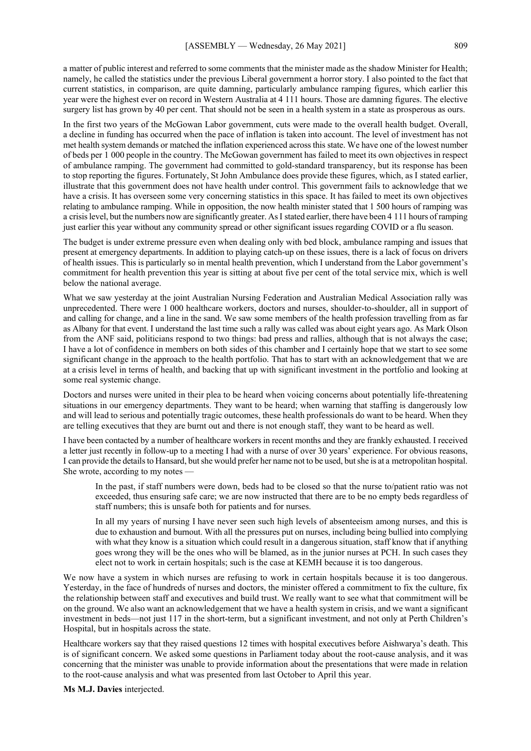a matter of public interest and referred to some comments that the minister made as the shadow Minister for Health; namely, he called the statistics under the previous Liberal government a horror story. I also pointed to the fact that current statistics, in comparison, are quite damning, particularly ambulance ramping figures, which earlier this year were the highest ever on record in Western Australia at 4 111 hours. Those are damning figures. The elective surgery list has grown by 40 per cent. That should not be seen in a health system in a state as prosperous as ours.

In the first two years of the McGowan Labor government, cuts were made to the overall health budget. Overall, a decline in funding has occurred when the pace of inflation is taken into account. The level of investment has not met health system demands or matched the inflation experienced across this state. We have one of the lowest number of beds per 1 000 people in the country. The McGowan government has failed to meet its own objectives in respect of ambulance ramping. The government had committed to gold-standard transparency, but its response has been to stop reporting the figures. Fortunately, St John Ambulance does provide these figures, which, as I stated earlier, illustrate that this government does not have health under control. This government fails to acknowledge that we have a crisis. It has overseen some very concerning statistics in this space. It has failed to meet its own objectives relating to ambulance ramping. While in opposition, the now health minister stated that 1 500 hours of ramping was a crisis level, but the numbers now are significantly greater. As I stated earlier, there have been 4 111 hours of ramping just earlier this year without any community spread or other significant issues regarding COVID or a flu season.

The budget is under extreme pressure even when dealing only with bed block, ambulance ramping and issues that present at emergency departments. In addition to playing catch-up on these issues, there is a lack of focus on drivers of health issues. This is particularly so in mental health prevention, which I understand from the Labor government's commitment for health prevention this year is sitting at about five per cent of the total service mix, which is well below the national average.

What we saw yesterday at the joint Australian Nursing Federation and Australian Medical Association rally was unprecedented. There were 1 000 healthcare workers, doctors and nurses, shoulder-to-shoulder, all in support of and calling for change, and a line in the sand. We saw some members of the health profession travelling from as far as Albany for that event. I understand the last time such a rally was called was about eight years ago. As Mark Olson from the ANF said, politicians respond to two things: bad press and rallies, although that is not always the case; I have a lot of confidence in members on both sides of this chamber and I certainly hope that we start to see some significant change in the approach to the health portfolio. That has to start with an acknowledgement that we are at a crisis level in terms of health, and backing that up with significant investment in the portfolio and looking at some real systemic change.

Doctors and nurses were united in their plea to be heard when voicing concerns about potentially life-threatening situations in our emergency departments. They want to be heard; when warning that staffing is dangerously low and will lead to serious and potentially tragic outcomes, these health professionals do want to be heard. When they are telling executives that they are burnt out and there is not enough staff, they want to be heard as well.

I have been contacted by a number of healthcare workers in recent months and they are frankly exhausted. I received a letter just recently in follow-up to a meeting I had with a nurse of over 30 years' experience. For obvious reasons, I can provide the details to Hansard, but she would prefer her name not to be used, but she is at a metropolitan hospital. She wrote, according to my notes -

In the past, if staff numbers were down, beds had to be closed so that the nurse to/patient ratio was not exceeded, thus ensuring safe care; we are now instructed that there are to be no empty beds regardless of staff numbers; this is unsafe both for patients and for nurses.

In all my years of nursing I have never seen such high levels of absenteeism among nurses, and this is due to exhaustion and burnout. With all the pressures put on nurses, including being bullied into complying with what they know is a situation which could result in a dangerous situation, staff know that if anything goes wrong they will be the ones who will be blamed, as in the junior nurses at PCH. In such cases they elect not to work in certain hospitals; such is the case at KEMH because it is too dangerous.

We now have a system in which nurses are refusing to work in certain hospitals because it is too dangerous. Yesterday, in the face of hundreds of nurses and doctors, the minister offered a commitment to fix the culture, fix the relationship between staff and executives and build trust. We really want to see what that commitment will be on the ground. We also want an acknowledgement that we have a health system in crisis, and we want a significant investment in beds—not just 117 in the short-term, but a significant investment, and not only at Perth Children's Hospital, but in hospitals across the state.

Healthcare workers say that they raised questions 12 times with hospital executives before Aishwarya's death. This is of significant concern. We asked some questions in Parliament today about the root-cause analysis, and it was concerning that the minister was unable to provide information about the presentations that were made in relation to the root-cause analysis and what was presented from last October to April this year.

**Ms M.J. Davies** interjected.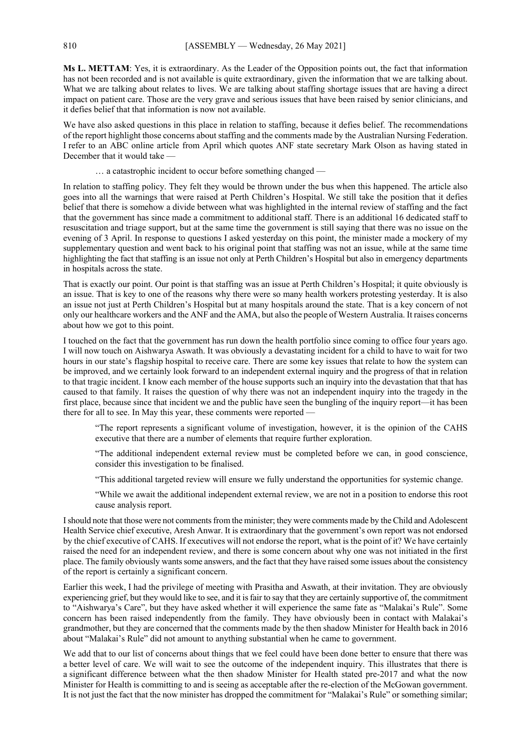**Ms L. METTAM**: Yes, it is extraordinary. As the Leader of the Opposition points out, the fact that information has not been recorded and is not available is quite extraordinary, given the information that we are talking about. What we are talking about relates to lives. We are talking about staffing shortage issues that are having a direct impact on patient care. Those are the very grave and serious issues that have been raised by senior clinicians, and it defies belief that that information is now not available.

We have also asked questions in this place in relation to staffing, because it defies belief. The recommendations of the report highlight those concerns about staffing and the comments made by the Australian Nursing Federation. I refer to an ABC online article from April which quotes ANF state secretary Mark Olson as having stated in December that it would take —

… a catastrophic incident to occur before something changed —

In relation to staffing policy. They felt they would be thrown under the bus when this happened. The article also goes into all the warnings that were raised at Perth Children's Hospital. We still take the position that it defies belief that there is somehow a divide between what was highlighted in the internal review of staffing and the fact that the government has since made a commitment to additional staff. There is an additional 16 dedicated staff to resuscitation and triage support, but at the same time the government is still saying that there was no issue on the evening of 3 April. In response to questions I asked yesterday on this point, the minister made a mockery of my supplementary question and went back to his original point that staffing was not an issue, while at the same time highlighting the fact that staffing is an issue not only at Perth Children's Hospital but also in emergency departments in hospitals across the state.

That is exactly our point. Our point is that staffing was an issue at Perth Children's Hospital; it quite obviously is an issue. That is key to one of the reasons why there were so many health workers protesting yesterday. It is also an issue not just at Perth Children's Hospital but at many hospitals around the state. That is a key concern of not only our healthcare workers and the ANF and the AMA, but also the people of Western Australia. It raises concerns about how we got to this point.

I touched on the fact that the government has run down the health portfolio since coming to office four years ago. I will now touch on Aishwarya Aswath. It was obviously a devastating incident for a child to have to wait for two hours in our state's flagship hospital to receive care. There are some key issues that relate to how the system can be improved, and we certainly look forward to an independent external inquiry and the progress of that in relation to that tragic incident. I know each member of the house supports such an inquiry into the devastation that that has caused to that family. It raises the question of why there was not an independent inquiry into the tragedy in the first place, because since that incident we and the public have seen the bungling of the inquiry report—it has been there for all to see. In May this year, these comments were reported —

"The report represents a significant volume of investigation, however, it is the opinion of the CAHS executive that there are a number of elements that require further exploration.

"The additional independent external review must be completed before we can, in good conscience, consider this investigation to be finalised.

"This additional targeted review will ensure we fully understand the opportunities for systemic change.

"While we await the additional independent external review, we are not in a position to endorse this root cause analysis report.

I should note that those were not comments from the minister; they were comments made by the Child and Adolescent Health Service chief executive, Aresh Anwar. It is extraordinary that the government's own report was not endorsed by the chief executive of CAHS. If executives will not endorse the report, what is the point of it? We have certainly raised the need for an independent review, and there is some concern about why one was not initiated in the first place. The family obviously wants some answers, and the fact that they have raised some issues about the consistency of the report is certainly a significant concern.

Earlier this week, I had the privilege of meeting with Prasitha and Aswath, at their invitation. They are obviously experiencing grief, but they would like to see, and it is fair to say that they are certainly supportive of, the commitment to "Aishwarya's Care", but they have asked whether it will experience the same fate as "Malakai's Rule". Some concern has been raised independently from the family. They have obviously been in contact with Malakai's grandmother, but they are concerned that the comments made by the then shadow Minister for Health back in 2016 about "Malakai's Rule" did not amount to anything substantial when he came to government.

We add that to our list of concerns about things that we feel could have been done better to ensure that there was a better level of care. We will wait to see the outcome of the independent inquiry. This illustrates that there is a significant difference between what the then shadow Minister for Health stated pre-2017 and what the now Minister for Health is committing to and is seeing as acceptable after the re-election of the McGowan government. It is not just the fact that the now minister has dropped the commitment for "Malakai's Rule" or something similar;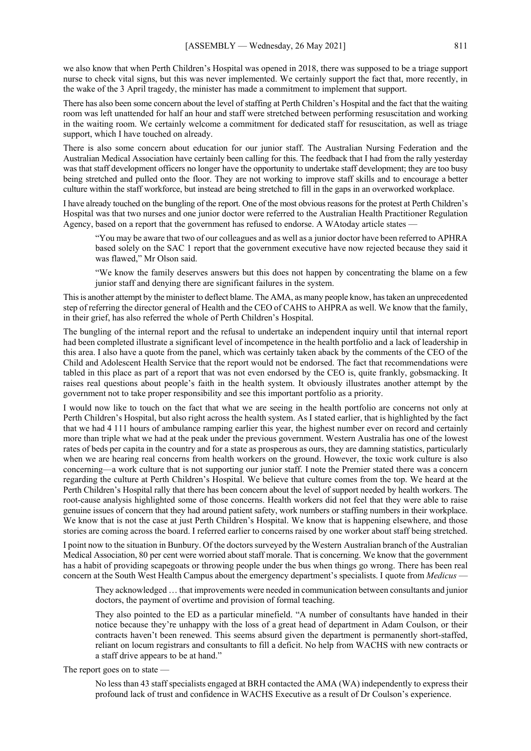we also know that when Perth Children's Hospital was opened in 2018, there was supposed to be a triage support nurse to check vital signs, but this was never implemented. We certainly support the fact that, more recently, in the wake of the 3 April tragedy, the minister has made a commitment to implement that support.

There has also been some concern about the level of staffing at Perth Children's Hospital and the fact that the waiting room was left unattended for half an hour and staff were stretched between performing resuscitation and working in the waiting room. We certainly welcome a commitment for dedicated staff for resuscitation, as well as triage support, which I have touched on already.

There is also some concern about education for our junior staff. The Australian Nursing Federation and the Australian Medical Association have certainly been calling for this. The feedback that I had from the rally yesterday was that staff development officers no longer have the opportunity to undertake staff development; they are too busy being stretched and pulled onto the floor. They are not working to improve staff skills and to encourage a better culture within the staff workforce, but instead are being stretched to fill in the gaps in an overworked workplace.

I have already touched on the bungling of the report. One of the most obvious reasons for the protest at Perth Children's Hospital was that two nurses and one junior doctor were referred to the Australian Health Practitioner Regulation Agency, based on a report that the government has refused to endorse. A WAtoday article states —

"You may be aware that two of our colleagues and as well as a junior doctor have been referred to APHRA based solely on the SAC 1 report that the government executive have now rejected because they said it was flawed," Mr Olson said.

"We know the family deserves answers but this does not happen by concentrating the blame on a few junior staff and denying there are significant failures in the system.

This is another attempt by the minister to deflect blame. The AMA, as many people know, has taken an unprecedented step of referring the director general of Health and the CEO of CAHS to AHPRA as well. We know that the family, in their grief, has also referred the whole of Perth Children's Hospital.

The bungling of the internal report and the refusal to undertake an independent inquiry until that internal report had been completed illustrate a significant level of incompetence in the health portfolio and a lack of leadership in this area. I also have a quote from the panel, which was certainly taken aback by the comments of the CEO of the Child and Adolescent Health Service that the report would not be endorsed. The fact that recommendations were tabled in this place as part of a report that was not even endorsed by the CEO is, quite frankly, gobsmacking. It raises real questions about people's faith in the health system. It obviously illustrates another attempt by the government not to take proper responsibility and see this important portfolio as a priority.

I would now like to touch on the fact that what we are seeing in the health portfolio are concerns not only at Perth Children's Hospital, but also right across the health system. As I stated earlier, that is highlighted by the fact that we had 4 111 hours of ambulance ramping earlier this year, the highest number ever on record and certainly more than triple what we had at the peak under the previous government. Western Australia has one of the lowest rates of beds per capita in the country and for a state as prosperous as ours, they are damning statistics, particularly when we are hearing real concerns from health workers on the ground. However, the toxic work culture is also concerning—a work culture that is not supporting our junior staff. I note the Premier stated there was a concern regarding the culture at Perth Children's Hospital. We believe that culture comes from the top. We heard at the Perth Children's Hospital rally that there has been concern about the level of support needed by health workers. The root-cause analysis highlighted some of those concerns. Health workers did not feel that they were able to raise genuine issues of concern that they had around patient safety, work numbers or staffing numbers in their workplace. We know that is not the case at just Perth Children's Hospital. We know that is happening elsewhere, and those stories are coming across the board. I referred earlier to concerns raised by one worker about staff being stretched.

I point now to the situation in Bunbury. Of the doctors surveyed by the Western Australian branch of the Australian Medical Association, 80 per cent were worried about staff morale. That is concerning. We know that the government has a habit of providing scapegoats or throwing people under the bus when things go wrong. There has been real concern at the South West Health Campus about the emergency department's specialists. I quote from *Medicus* —

They acknowledged … that improvements were needed in communication between consultants and junior doctors, the payment of overtime and provision of formal teaching.

They also pointed to the ED as a particular minefield. "A number of consultants have handed in their notice because they're unhappy with the loss of a great head of department in Adam Coulson, or their contracts haven't been renewed. This seems absurd given the department is permanently short-staffed, reliant on locum registrars and consultants to fill a deficit. No help from WACHS with new contracts or a staff drive appears to be at hand."

The report goes on to state —

No less than 43 staff specialists engaged at BRH contacted the AMA (WA) independently to express their profound lack of trust and confidence in WACHS Executive as a result of Dr Coulson's experience.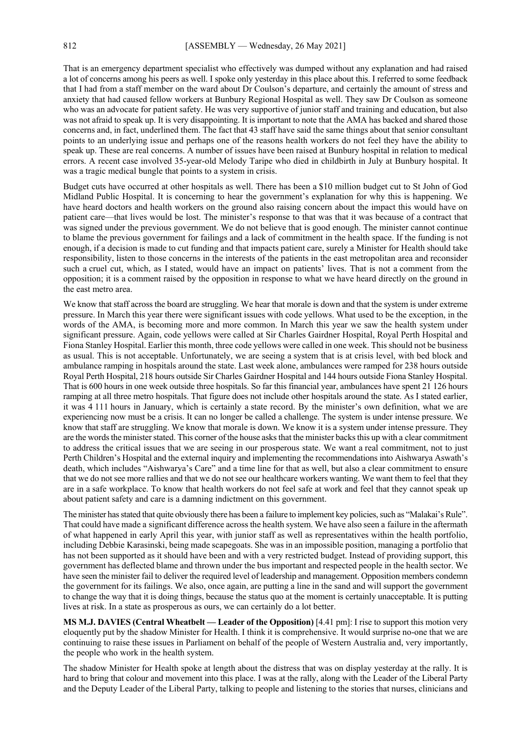That is an emergency department specialist who effectively was dumped without any explanation and had raised a lot of concerns among his peers as well. I spoke only yesterday in this place about this. I referred to some feedback that I had from a staff member on the ward about Dr Coulson's departure, and certainly the amount of stress and anxiety that had caused fellow workers at Bunbury Regional Hospital as well. They saw Dr Coulson as someone who was an advocate for patient safety. He was very supportive of junior staff and training and education, but also was not afraid to speak up. It is very disappointing. It is important to note that the AMA has backed and shared those concerns and, in fact, underlined them. The fact that 43 staff have said the same things about that senior consultant points to an underlying issue and perhaps one of the reasons health workers do not feel they have the ability to speak up. These are real concerns. A number of issues have been raised at Bunbury hospital in relation to medical errors. A recent case involved 35-year-old Melody Taripe who died in childbirth in July at Bunbury hospital. It was a tragic medical bungle that points to a system in crisis.

Budget cuts have occurred at other hospitals as well. There has been a \$10 million budget cut to St John of God Midland Public Hospital. It is concerning to hear the government's explanation for why this is happening. We have heard doctors and health workers on the ground also raising concern about the impact this would have on patient care—that lives would be lost. The minister's response to that was that it was because of a contract that was signed under the previous government. We do not believe that is good enough. The minister cannot continue to blame the previous government for failings and a lack of commitment in the health space. If the funding is not enough, if a decision is made to cut funding and that impacts patient care, surely a Minister for Health should take responsibility, listen to those concerns in the interests of the patients in the east metropolitan area and reconsider such a cruel cut, which, as I stated, would have an impact on patients' lives. That is not a comment from the opposition; it is a comment raised by the opposition in response to what we have heard directly on the ground in the east metro area.

We know that staff across the board are struggling. We hear that morale is down and that the system is under extreme pressure. In March this year there were significant issues with code yellows. What used to be the exception, in the words of the AMA, is becoming more and more common. In March this year we saw the health system under significant pressure. Again, code yellows were called at Sir Charles Gairdner Hospital, Royal Perth Hospital and Fiona Stanley Hospital. Earlier this month, three code yellows were called in one week. This should not be business as usual. This is not acceptable. Unfortunately, we are seeing a system that is at crisis level, with bed block and ambulance ramping in hospitals around the state. Last week alone, ambulances were ramped for 238 hours outside Royal Perth Hospital, 218 hours outside Sir Charles Gairdner Hospital and 144 hours outside Fiona Stanley Hospital. That is 600 hours in one week outside three hospitals. So far this financial year, ambulances have spent 21 126 hours ramping at all three metro hospitals. That figure does not include other hospitals around the state. As I stated earlier, it was 4 111 hours in January, which is certainly a state record. By the minister's own definition, what we are experiencing now must be a crisis. It can no longer be called a challenge. The system is under intense pressure. We know that staff are struggling. We know that morale is down. We know it is a system under intense pressure. They are the words the minister stated. This corner of the house asks that the minister backs this up with a clear commitment to address the critical issues that we are seeing in our prosperous state. We want a real commitment, not to just Perth Children's Hospital and the external inquiry and implementing the recommendations into Aishwarya Aswath's death, which includes "Aishwarya's Care" and a time line for that as well, but also a clear commitment to ensure that we do not see more rallies and that we do not see our healthcare workers wanting. We want them to feel that they are in a safe workplace. To know that health workers do not feel safe at work and feel that they cannot speak up about patient safety and care is a damning indictment on this government.

The minister has stated that quite obviously there has been a failure to implement key policies, such as "Malakai's Rule". That could have made a significant difference across the health system. We have also seen a failure in the aftermath of what happened in early April this year, with junior staff as well as representatives within the health portfolio, including Debbie Karasinski, being made scapegoats. She was in an impossible position, managing a portfolio that has not been supported as it should have been and with a very restricted budget. Instead of providing support, this government has deflected blame and thrown under the bus important and respected people in the health sector. We have seen the minister fail to deliver the required level of leadership and management. Opposition members condemn the government for its failings. We also, once again, are putting a line in the sand and will support the government to change the way that it is doing things, because the status quo at the moment is certainly unacceptable. It is putting lives at risk. In a state as prosperous as ours, we can certainly do a lot better.

**MS M.J. DAVIES (Central Wheatbelt — Leader of the Opposition)** [4.41 pm]: I rise to support this motion very eloquently put by the shadow Minister for Health. I think it is comprehensive. It would surprise no-one that we are continuing to raise these issues in Parliament on behalf of the people of Western Australia and, very importantly, the people who work in the health system.

The shadow Minister for Health spoke at length about the distress that was on display yesterday at the rally. It is hard to bring that colour and movement into this place. I was at the rally, along with the Leader of the Liberal Party and the Deputy Leader of the Liberal Party, talking to people and listening to the stories that nurses, clinicians and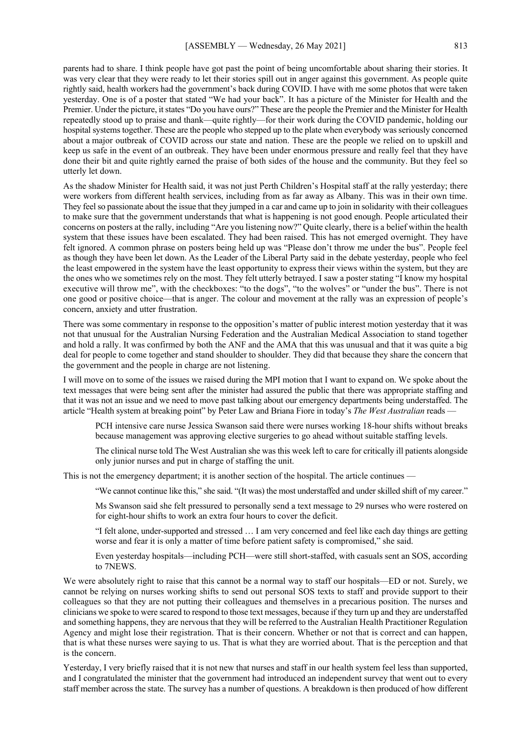parents had to share. I think people have got past the point of being uncomfortable about sharing their stories. It was very clear that they were ready to let their stories spill out in anger against this government. As people quite rightly said, health workers had the government's back during COVID. I have with me some photos that were taken yesterday. One is of a poster that stated "We had your back". It has a picture of the Minister for Health and the Premier. Under the picture, it states "Do you have ours?" These are the people the Premier and the Minister for Health repeatedly stood up to praise and thank—quite rightly—for their work during the COVID pandemic, holding our hospital systems together. These are the people who stepped up to the plate when everybody was seriously concerned about a major outbreak of COVID across our state and nation. These are the people we relied on to upskill and keep us safe in the event of an outbreak. They have been under enormous pressure and really feel that they have done their bit and quite rightly earned the praise of both sides of the house and the community. But they feel so utterly let down.

As the shadow Minister for Health said, it was not just Perth Children's Hospital staff at the rally yesterday; there were workers from different health services, including from as far away as Albany. This was in their own time. They feel so passionate about the issue that they jumped in a car and came up to join in solidarity with their colleagues to make sure that the government understands that what is happening is not good enough. People articulated their concerns on posters at the rally, including "Are you listening now?" Quite clearly, there is a belief within the health system that these issues have been escalated. They had been raised. This has not emerged overnight. They have felt ignored. A common phrase on posters being held up was "Please don't throw me under the bus". People feel as though they have been let down. As the Leader of the Liberal Party said in the debate yesterday, people who feel the least empowered in the system have the least opportunity to express their views within the system, but they are the ones who we sometimes rely on the most. They felt utterly betrayed. I saw a poster stating "I know my hospital executive will throw me", with the checkboxes: "to the dogs", "to the wolves" or "under the bus". There is not one good or positive choice—that is anger. The colour and movement at the rally was an expression of people's concern, anxiety and utter frustration.

There was some commentary in response to the opposition's matter of public interest motion yesterday that it was not that unusual for the Australian Nursing Federation and the Australian Medical Association to stand together and hold a rally. It was confirmed by both the ANF and the AMA that this was unusual and that it was quite a big deal for people to come together and stand shoulder to shoulder. They did that because they share the concern that the government and the people in charge are not listening.

I will move on to some of the issues we raised during the MPI motion that I want to expand on. We spoke about the text messages that were being sent after the minister had assured the public that there was appropriate staffing and that it was not an issue and we need to move past talking about our emergency departments being understaffed. The article "Health system at breaking point" by Peter Law and Briana Fiore in today's *The West Australian* reads —

PCH intensive care nurse Jessica Swanson said there were nurses working 18-hour shifts without breaks because management was approving elective surgeries to go ahead without suitable staffing levels.

The clinical nurse told The West Australian she was this week left to care for critically ill patients alongside only junior nurses and put in charge of staffing the unit.

This is not the emergency department; it is another section of the hospital. The article continues —

"We cannot continue like this," she said. "(It was) the most understaffed and under skilled shift of my career."

Ms Swanson said she felt pressured to personally send a text message to 29 nurses who were rostered on for eight-hour shifts to work an extra four hours to cover the deficit.

"I felt alone, under-supported and stressed … I am very concerned and feel like each day things are getting worse and fear it is only a matter of time before patient safety is compromised," she said.

Even yesterday hospitals—including PCH—were still short-staffed, with casuals sent an SOS, according to 7NEWS.

We were absolutely right to raise that this cannot be a normal way to staff our hospitals—ED or not. Surely, we cannot be relying on nurses working shifts to send out personal SOS texts to staff and provide support to their colleagues so that they are not putting their colleagues and themselves in a precarious position. The nurses and clinicians we spoke to were scared to respond to those text messages, because if they turn up and they are understaffed and something happens, they are nervous that they will be referred to the Australian Health Practitioner Regulation Agency and might lose their registration. That is their concern. Whether or not that is correct and can happen, that is what these nurses were saying to us. That is what they are worried about. That is the perception and that is the concern.

Yesterday, I very briefly raised that it is not new that nurses and staff in our health system feel less than supported, and I congratulated the minister that the government had introduced an independent survey that went out to every staff member across the state. The survey has a number of questions. A breakdown is then produced of how different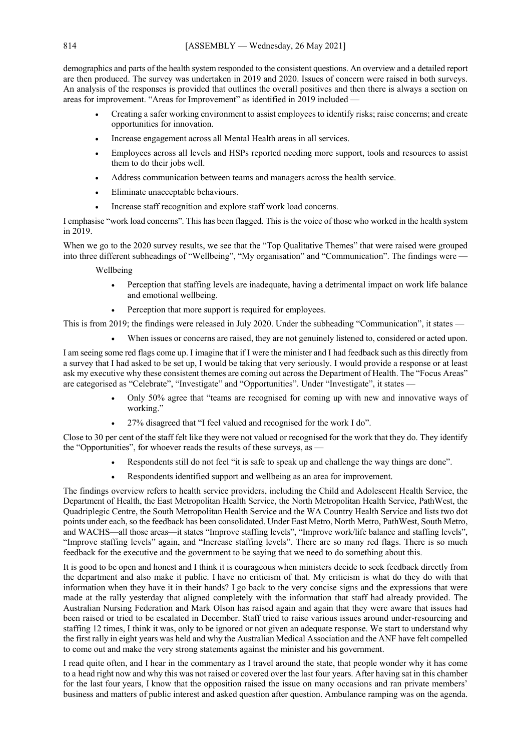demographics and parts of the health system responded to the consistent questions. An overview and a detailed report are then produced. The survey was undertaken in 2019 and 2020. Issues of concern were raised in both surveys. An analysis of the responses is provided that outlines the overall positives and then there is always a section on areas for improvement. "Areas for Improvement" as identified in 2019 included -

- Creating a safer working environment to assist employees to identify risks; raise concerns; and create opportunities for innovation.
- Increase engagement across all Mental Health areas in all services.
- Employees across all levels and HSPs reported needing more support, tools and resources to assist them to do their jobs well.
- Address communication between teams and managers across the health service.
- Eliminate unacceptable behaviours.
- Increase staff recognition and explore staff work load concerns.

I emphasise "work load concerns". This has been flagged. This is the voice of those who worked in the health system in 2019.

When we go to the 2020 survey results, we see that the "Top Qualitative Themes" that were raised were grouped into three different subheadings of "Wellbeing", "My organisation" and "Communication". The findings were —

Wellbeing

- Perception that staffing levels are inadequate, having a detrimental impact on work life balance and emotional wellbeing.
- Perception that more support is required for employees.

This is from 2019; the findings were released in July 2020. Under the subheading "Communication", it states —

When issues or concerns are raised, they are not genuinely listened to, considered or acted upon.

I am seeing some red flags come up. I imagine that if I were the minister and I had feedback such as this directly from a survey that I had asked to be set up, I would be taking that very seriously. I would provide a response or at least ask my executive why these consistent themes are coming out across the Department of Health. The "Focus Areas" are categorised as "Celebrate", "Investigate" and "Opportunities". Under "Investigate", it states —

- Only 50% agree that "teams are recognised for coming up with new and innovative ways of working."
- 27% disagreed that "I feel valued and recognised for the work I do".

Close to 30 per cent of the staff felt like they were not valued or recognised for the work that they do. They identify the "Opportunities", for whoever reads the results of these surveys, as -

- Respondents still do not feel "it is safe to speak up and challenge the way things are done".
- Respondents identified support and wellbeing as an area for improvement.

The findings overview refers to health service providers, including the Child and Adolescent Health Service, the Department of Health, the East Metropolitan Health Service, the North Metropolitan Health Service, PathWest, the Quadriplegic Centre, the South Metropolitan Health Service and the WA Country Health Service and lists two dot points under each, so the feedback has been consolidated. Under East Metro, North Metro, PathWest, South Metro, and WACHS—all those areas—it states "Improve staffing levels", "Improve work/life balance and staffing levels", "Improve staffing levels" again, and "Increase staffing levels". There are so many red flags. There is so much feedback for the executive and the government to be saying that we need to do something about this.

It is good to be open and honest and I think it is courageous when ministers decide to seek feedback directly from the department and also make it public. I have no criticism of that. My criticism is what do they do with that information when they have it in their hands? I go back to the very concise signs and the expressions that were made at the rally yesterday that aligned completely with the information that staff had already provided. The Australian Nursing Federation and Mark Olson has raised again and again that they were aware that issues had been raised or tried to be escalated in December. Staff tried to raise various issues around under-resourcing and staffing 12 times, I think it was, only to be ignored or not given an adequate response. We start to understand why the first rally in eight years was held and why the Australian Medical Association and the ANF have felt compelled to come out and make the very strong statements against the minister and his government.

I read quite often, and I hear in the commentary as I travel around the state, that people wonder why it has come to a head right now and why this was not raised or covered over the last four years. After having sat in this chamber for the last four years, I know that the opposition raised the issue on many occasions and ran private members' business and matters of public interest and asked question after question. Ambulance ramping was on the agenda.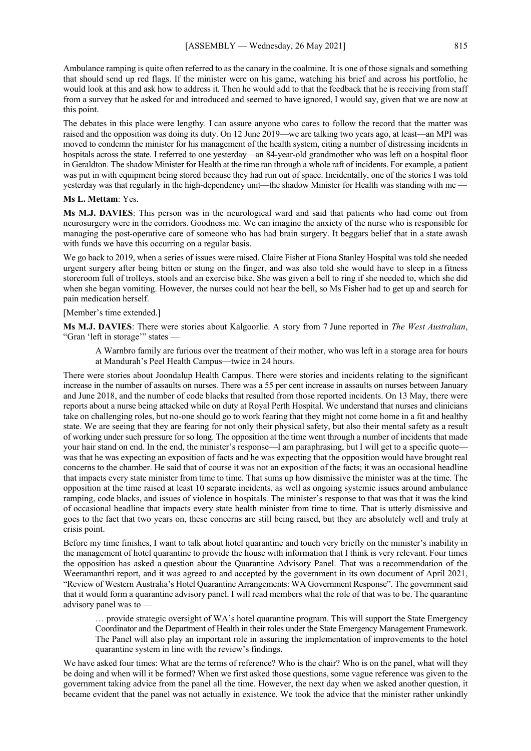Ambulance ramping is quite often referred to as the canary in the coalmine. It is one of those signals and something that should send up red flags. If the minister were on his game, watching his brief and across his portfolio, he would look at this and ask how to address it. Then he would add to that the feedback that he is receiving from staff from a survey that he asked for and introduced and seemed to have ignored, I would say, given that we are now at this point.

The debates in this place were lengthy. I can assure anyone who cares to follow the record that the matter was raised and the opposition was doing its duty. On 12 June 2019—we are talking two years ago, at least—an MPI was moved to condemn the minister for his management of the health system, citing a number of distressing incidents in hospitals across the state. I referred to one yesterday—an 84-year-old grandmother who was left on a hospital floor in Geraldton. The shadow Minister for Health at the time ran through a whole raft of incidents. For example, a patient was put in with equipment being stored because they had run out of space. Incidentally, one of the stories I was told yesterday was that regularly in the high-dependency unit—the shadow Minister for Health was standing with me —

#### **Ms L. Mettam**: Yes.

**Ms M.J. DAVIES**: This person was in the neurological ward and said that patients who had come out from neurosurgery were in the corridors. Goodness me. We can imagine the anxiety of the nurse who is responsible for managing the post-operative care of someone who has had brain surgery. It beggars belief that in a state awash with funds we have this occurring on a regular basis.

We go back to 2019, when a series of issues were raised. Claire Fisher at Fiona Stanley Hospital was told she needed urgent surgery after being bitten or stung on the finger, and was also told she would have to sleep in a fitness storeroom full of trolleys, stools and an exercise bike. She was given a bell to ring if she needed to, which she did when she began vomiting. However, the nurses could not hear the bell, so Ms Fisher had to get up and search for pain medication herself.

## [Member's time extended.]

**Ms M.J. DAVIES**: There were stories about Kalgoorlie. A story from 7 June reported in *The West Australian*, "Gran 'left in storage'" states —

A Warnbro family are furious over the treatment of their mother, who was left in a storage area for hours at Mandurah's Peel Health Campus—twice in 24 hours.

There were stories about Joondalup Health Campus. There were stories and incidents relating to the significant increase in the number of assaults on nurses. There was a 55 per cent increase in assaults on nurses between January and June 2018, and the number of code blacks that resulted from those reported incidents. On 13 May, there were reports about a nurse being attacked while on duty at Royal Perth Hospital. We understand that nurses and clinicians take on challenging roles, but no-one should go to work fearing that they might not come home in a fit and healthy state. We are seeing that they are fearing for not only their physical safety, but also their mental safety as a result of working under such pressure for so long. The opposition at the time went through a number of incidents that made your hair stand on end. In the end, the minister's response—I am paraphrasing, but I will get to a specific quote was that he was expecting an exposition of facts and he was expecting that the opposition would have brought real concerns to the chamber. He said that of course it was not an exposition of the facts; it was an occasional headline that impacts every state minister from time to time. That sums up how dismissive the minister was at the time. The opposition at the time raised at least 10 separate incidents, as well as ongoing systemic issues around ambulance ramping, code blacks, and issues of violence in hospitals. The minister's response to that was that it was the kind of occasional headline that impacts every state health minister from time to time. That is utterly dismissive and goes to the fact that two years on, these concerns are still being raised, but they are absolutely well and truly at crisis point.

Before my time finishes, I want to talk about hotel quarantine and touch very briefly on the minister's inability in the management of hotel quarantine to provide the house with information that I think is very relevant. Four times the opposition has asked a question about the Quarantine Advisory Panel. That was a recommendation of the Weeramanthri report, and it was agreed to and accepted by the government in its own document of April 2021, "Review of Western Australia's Hotel Quarantine Arrangements: WA Government Response". The government said that it would form a quarantine advisory panel. I will read members what the role of that was to be. The quarantine advisory panel was to —

… provide strategic oversight of WA's hotel quarantine program. This will support the State Emergency Coordinator and the Department of Health in their roles under the State Emergency Management Framework. The Panel will also play an important role in assuring the implementation of improvements to the hotel quarantine system in line with the review's findings.

We have asked four times: What are the terms of reference? Who is the chair? Who is on the panel, what will they be doing and when will it be formed? When we first asked those questions, some vague reference was given to the government taking advice from the panel all the time. However, the next day when we asked another question, it became evident that the panel was not actually in existence. We took the advice that the minister rather unkindly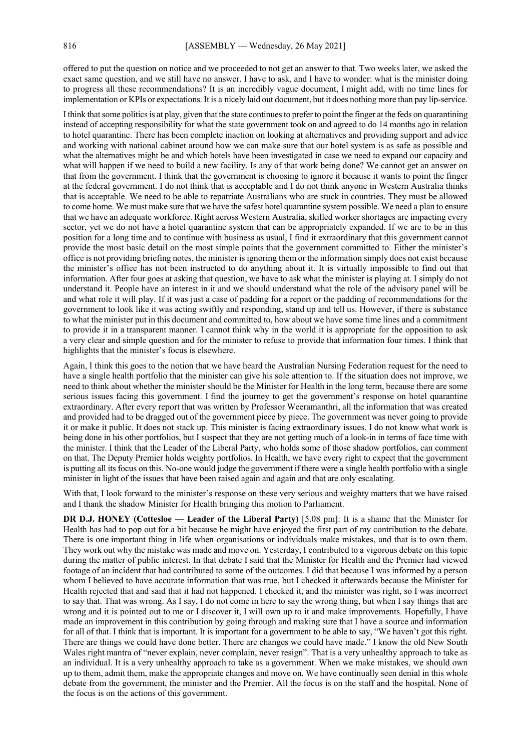offered to put the question on notice and we proceeded to not get an answer to that. Two weeks later, we asked the exact same question, and we still have no answer. I have to ask, and I have to wonder: what is the minister doing to progress all these recommendations? It is an incredibly vague document, I might add, with no time lines for implementation or KPIs or expectations. It is a nicely laid out document, but it does nothing more than pay lip-service.

I think that some politics is at play, given that the state continues to prefer to point the finger at the feds on quarantining instead of accepting responsibility for what the state government took on and agreed to do 14 months ago in relation to hotel quarantine. There has been complete inaction on looking at alternatives and providing support and advice and working with national cabinet around how we can make sure that our hotel system is as safe as possible and what the alternatives might be and which hotels have been investigated in case we need to expand our capacity and what will happen if we need to build a new facility. Is any of that work being done? We cannot get an answer on that from the government. I think that the government is choosing to ignore it because it wants to point the finger at the federal government. I do not think that is acceptable and I do not think anyone in Western Australia thinks that is acceptable. We need to be able to repatriate Australians who are stuck in countries. They must be allowed to come home. We must make sure that we have the safest hotel quarantine system possible. We need a plan to ensure that we have an adequate workforce. Right across Western Australia, skilled worker shortages are impacting every sector, yet we do not have a hotel quarantine system that can be appropriately expanded. If we are to be in this position for a long time and to continue with business as usual, I find it extraordinary that this government cannot provide the most basic detail on the most simple points that the government committed to. Either the minister's office is not providing briefing notes, the minister is ignoring them or the information simply does not exist because the minister's office has not been instructed to do anything about it. It is virtually impossible to find out that information. After four goes at asking that question, we have to ask what the minister is playing at. I simply do not understand it. People have an interest in it and we should understand what the role of the advisory panel will be and what role it will play. If it was just a case of padding for a report or the padding of recommendations for the government to look like it was acting swiftly and responding, stand up and tell us. However, if there is substance to what the minister put in this document and committed to, how about we have some time lines and a commitment to provide it in a transparent manner. I cannot think why in the world it is appropriate for the opposition to ask a very clear and simple question and for the minister to refuse to provide that information four times. I think that highlights that the minister's focus is elsewhere.

Again, I think this goes to the notion that we have heard the Australian Nursing Federation request for the need to have a single health portfolio that the minister can give his sole attention to. If the situation does not improve, we need to think about whether the minister should be the Minister for Health in the long term, because there are some serious issues facing this government. I find the journey to get the government's response on hotel quarantine extraordinary. After every report that was written by Professor Weeramanthri, all the information that was created and provided had to be dragged out of the government piece by piece. The government was never going to provide it or make it public. It does not stack up. This minister is facing extraordinary issues. I do not know what work is being done in his other portfolios, but I suspect that they are not getting much of a look-in in terms of face time with the minister. I think that the Leader of the Liberal Party, who holds some of those shadow portfolios, can comment on that. The Deputy Premier holds weighty portfolios. In Health, we have every right to expect that the government is putting all its focus on this. No-one would judge the government if there were a single health portfolio with a single minister in light of the issues that have been raised again and again and that are only escalating.

With that, I look forward to the minister's response on these very serious and weighty matters that we have raised and I thank the shadow Minister for Health bringing this motion to Parliament.

**DR D.J. HONEY (Cottesloe — Leader of the Liberal Party)** [5.08 pm]: It is a shame that the Minister for Health has had to pop out for a bit because he might have enjoyed the first part of my contribution to the debate. There is one important thing in life when organisations or individuals make mistakes, and that is to own them. They work out why the mistake was made and move on. Yesterday, I contributed to a vigorous debate on this topic during the matter of public interest. In that debate I said that the Minister for Health and the Premier had viewed footage of an incident that had contributed to some of the outcomes. I did that because I was informed by a person whom I believed to have accurate information that was true, but I checked it afterwards because the Minister for Health rejected that and said that it had not happened. I checked it, and the minister was right, so I was incorrect to say that. That was wrong. As I say, I do not come in here to say the wrong thing, but when I say things that are wrong and it is pointed out to me or I discover it, I will own up to it and make improvements. Hopefully, I have made an improvement in this contribution by going through and making sure that I have a source and information for all of that. I think that is important. It is important for a government to be able to say, "We haven't got this right. There are things we could have done better. There are changes we could have made." I know the old New South Wales right mantra of "never explain, never complain, never resign". That is a very unhealthy approach to take as an individual. It is a very unhealthy approach to take as a government. When we make mistakes, we should own up to them, admit them, make the appropriate changes and move on. We have continually seen denial in this whole debate from the government, the minister and the Premier. All the focus is on the staff and the hospital. None of the focus is on the actions of this government.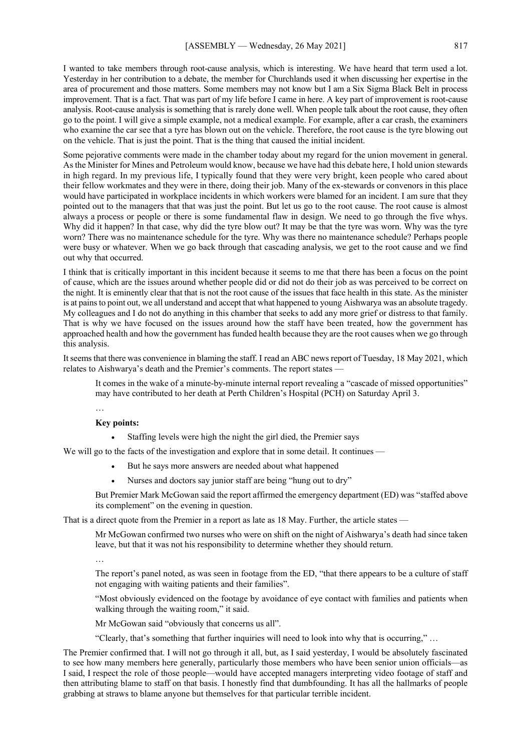I wanted to take members through root-cause analysis, which is interesting. We have heard that term used a lot. Yesterday in her contribution to a debate, the member for Churchlands used it when discussing her expertise in the area of procurement and those matters. Some members may not know but I am a Six Sigma Black Belt in process improvement. That is a fact. That was part of my life before I came in here. A key part of improvement is root-cause analysis. Root-cause analysis is something that is rarely done well. When people talk about the root cause, they often go to the point. I will give a simple example, not a medical example. For example, after a car crash, the examiners who examine the car see that a tyre has blown out on the vehicle. Therefore, the root cause is the tyre blowing out on the vehicle. That is just the point. That is the thing that caused the initial incident.

Some pejorative comments were made in the chamber today about my regard for the union movement in general. As the Minister for Mines and Petroleum would know, because we have had this debate here, I hold union stewards in high regard. In my previous life, I typically found that they were very bright, keen people who cared about their fellow workmates and they were in there, doing their job. Many of the ex-stewards or convenors in this place would have participated in workplace incidents in which workers were blamed for an incident. I am sure that they pointed out to the managers that that was just the point. But let us go to the root cause. The root cause is almost always a process or people or there is some fundamental flaw in design. We need to go through the five whys. Why did it happen? In that case, why did the tyre blow out? It may be that the tyre was worn. Why was the tyre worn? There was no maintenance schedule for the tyre. Why was there no maintenance schedule? Perhaps people were busy or whatever. When we go back through that cascading analysis, we get to the root cause and we find out why that occurred.

I think that is critically important in this incident because it seems to me that there has been a focus on the point of cause, which are the issues around whether people did or did not do their job as was perceived to be correct on the night. It is eminently clear that that is not the root cause of the issues that face health in this state. As the minister is at pains to point out, we all understand and accept that what happened to young Aishwarya was an absolute tragedy. My colleagues and I do not do anything in this chamber that seeks to add any more grief or distress to that family. That is why we have focused on the issues around how the staff have been treated, how the government has approached health and how the government has funded health because they are the root causes when we go through this analysis.

It seems that there was convenience in blaming the staff. I read an ABC news report of Tuesday, 18 May 2021, which relates to Aishwarya's death and the Premier's comments. The report states -

It comes in the wake of a minute-by-minute internal report revealing a "cascade of missed opportunities" may have contributed to her death at Perth Children's Hospital (PCH) on Saturday April 3.

…

#### **Key points:**

Staffing levels were high the night the girl died, the Premier says

We will go to the facts of the investigation and explore that in some detail. It continues —

- But he says more answers are needed about what happened
- Nurses and doctors say junior staff are being "hung out to dry"

But Premier Mark McGowan said the report affirmed the emergency department (ED) was "staffed above its complement" on the evening in question.

That is a direct quote from the Premier in a report as late as 18 May. Further, the article states —

Mr McGowan confirmed two nurses who were on shift on the night of Aishwarya's death had since taken leave, but that it was not his responsibility to determine whether they should return.

…

The report's panel noted, as was seen in footage from the ED, "that there appears to be a culture of staff not engaging with waiting patients and their families".

"Most obviously evidenced on the footage by avoidance of eye contact with families and patients when walking through the waiting room," it said.

Mr McGowan said "obviously that concerns us all".

"Clearly, that's something that further inquiries will need to look into why that is occurring," …

The Premier confirmed that. I will not go through it all, but, as I said yesterday, I would be absolutely fascinated to see how many members here generally, particularly those members who have been senior union officials—as I said, I respect the role of those people—would have accepted managers interpreting video footage of staff and then attributing blame to staff on that basis. I honestly find that dumbfounding. It has all the hallmarks of people grabbing at straws to blame anyone but themselves for that particular terrible incident.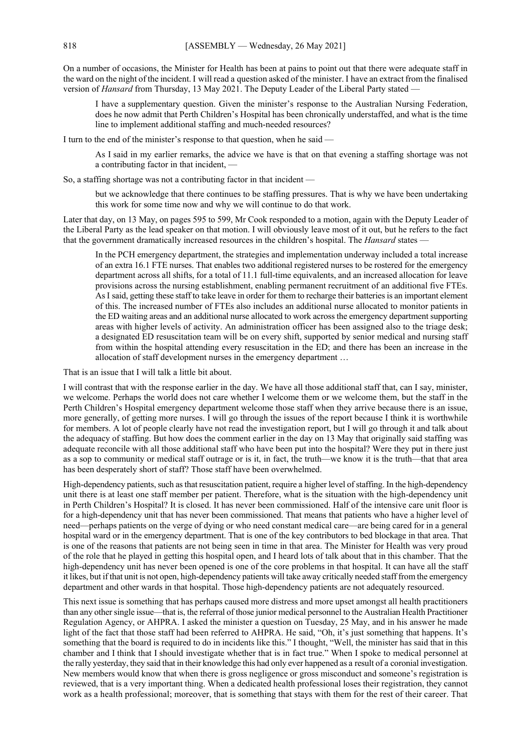On a number of occasions, the Minister for Health has been at pains to point out that there were adequate staff in the ward on the night of the incident. I will read a question asked of the minister. I have an extract from the finalised version of *Hansard* from Thursday, 13 May 2021. The Deputy Leader of the Liberal Party stated —

I have a supplementary question. Given the minister's response to the Australian Nursing Federation, does he now admit that Perth Children's Hospital has been chronically understaffed, and what is the time line to implement additional staffing and much-needed resources?

I turn to the end of the minister's response to that question, when he said —

As I said in my earlier remarks, the advice we have is that on that evening a staffing shortage was not a contributing factor in that incident, —

So, a staffing shortage was not a contributing factor in that incident —

but we acknowledge that there continues to be staffing pressures. That is why we have been undertaking this work for some time now and why we will continue to do that work.

Later that day, on 13 May, on pages 595 to 599, Mr Cook responded to a motion, again with the Deputy Leader of the Liberal Party as the lead speaker on that motion. I will obviously leave most of it out, but he refers to the fact that the government dramatically increased resources in the children's hospital. The *Hansard* states —

In the PCH emergency department, the strategies and implementation underway included a total increase of an extra 16.1 FTE nurses. That enables two additional registered nurses to be rostered for the emergency department across all shifts, for a total of 11.1 full-time equivalents, and an increased allocation for leave provisions across the nursing establishment, enabling permanent recruitment of an additional five FTEs. AsI said, getting these staff to take leave in order for them to recharge their batteries is an important element of this. The increased number of FTEs also includes an additional nurse allocated to monitor patients in the ED waiting areas and an additional nurse allocated to work across the emergency department supporting areas with higher levels of activity. An administration officer has been assigned also to the triage desk; a designated ED resuscitation team will be on every shift, supported by senior medical and nursing staff from within the hospital attending every resuscitation in the ED; and there has been an increase in the allocation of staff development nurses in the emergency department …

That is an issue that I will talk a little bit about.

I will contrast that with the response earlier in the day. We have all those additional staff that, can I say, minister, we welcome. Perhaps the world does not care whether I welcome them or we welcome them, but the staff in the Perth Children's Hospital emergency department welcome those staff when they arrive because there is an issue, more generally, of getting more nurses. I will go through the issues of the report because I think it is worthwhile for members. A lot of people clearly have not read the investigation report, but I will go through it and talk about the adequacy of staffing. But how does the comment earlier in the day on 13 May that originally said staffing was adequate reconcile with all those additional staff who have been put into the hospital? Were they put in there just as a sop to community or medical staff outrage or is it, in fact, the truth—we know it is the truth—that that area has been desperately short of staff? Those staff have been overwhelmed.

High-dependency patients, such as that resuscitation patient, require a higher level of staffing. In the high-dependency unit there is at least one staff member per patient. Therefore, what is the situation with the high-dependency unit in Perth Children's Hospital? It is closed. It has never been commissioned. Half of the intensive care unit floor is for a high-dependency unit that has never been commissioned. That means that patients who have a higher level of need—perhaps patients on the verge of dying or who need constant medical care—are being cared for in a general hospital ward or in the emergency department. That is one of the key contributors to bed blockage in that area. That is one of the reasons that patients are not being seen in time in that area. The Minister for Health was very proud of the role that he played in getting this hospital open, and I heard lots of talk about that in this chamber. That the high-dependency unit has never been opened is one of the core problems in that hospital. It can have all the staff it likes, but if that unit is not open, high-dependency patients will take away critically needed staff from the emergency department and other wards in that hospital. Those high-dependency patients are not adequately resourced.

This next issue is something that has perhaps caused more distress and more upset amongst all health practitioners than any other single issue—that is, the referral of those junior medical personnel to the Australian Health Practitioner Regulation Agency, or AHPRA. I asked the minister a question on Tuesday, 25 May, and in his answer he made light of the fact that those staff had been referred to AHPRA. He said, "Oh, it's just something that happens. It's something that the board is required to do in incidents like this." I thought, "Well, the minister has said that in this chamber and I think that I should investigate whether that is in fact true." When I spoke to medical personnel at the rally yesterday, they said that in their knowledge this had only ever happened as a result of a coronial investigation. New members would know that when there is gross negligence or gross misconduct and someone's registration is reviewed, that is a very important thing. When a dedicated health professional loses their registration, they cannot work as a health professional; moreover, that is something that stays with them for the rest of their career. That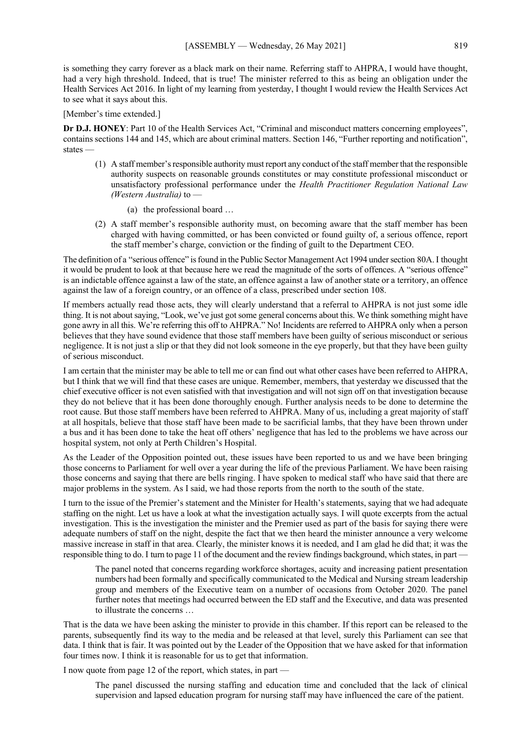is something they carry forever as a black mark on their name. Referring staff to AHPRA, I would have thought, had a very high threshold. Indeed, that is true! The minister referred to this as being an obligation under the Health Services Act 2016. In light of my learning from yesterday, I thought I would review the Health Services Act to see what it says about this.

## [Member's time extended.]

**Dr D.J. HONEY**: Part 10 of the Health Services Act, "Criminal and misconduct matters concerning employees", contains sections 144 and 145, which are about criminal matters. Section 146, "Further reporting and notification", states —

- (1) A staff member's responsible authority must report any conduct of the staff member that the responsible authority suspects on reasonable grounds constitutes or may constitute professional misconduct or unsatisfactory professional performance under the *Health Practitioner Regulation National Law (Western Australia)* to —
	- (a) the professional board …
- (2) A staff member's responsible authority must, on becoming aware that the staff member has been charged with having committed, or has been convicted or found guilty of, a serious offence, report the staff member's charge, conviction or the finding of guilt to the Department CEO.

The definition of a "serious offence" is found in the Public Sector Management Act 1994 under section 80A. I thought it would be prudent to look at that because here we read the magnitude of the sorts of offences. A "serious offence" is an indictable offence against a law of the state, an offence against a law of another state or a territory, an offence against the law of a foreign country, or an offence of a class, prescribed under section 108.

If members actually read those acts, they will clearly understand that a referral to AHPRA is not just some idle thing. It is not about saying, "Look, we've just got some general concerns about this. We think something might have gone awry in all this. We're referring this off to AHPRA." No! Incidents are referred to AHPRA only when a person believes that they have sound evidence that those staff members have been guilty of serious misconduct or serious negligence. It is not just a slip or that they did not look someone in the eye properly, but that they have been guilty of serious misconduct.

I am certain that the minister may be able to tell me or can find out what other cases have been referred to AHPRA, but I think that we will find that these cases are unique. Remember, members, that yesterday we discussed that the chief executive officer is not even satisfied with that investigation and will not sign off on that investigation because they do not believe that it has been done thoroughly enough. Further analysis needs to be done to determine the root cause. But those staff members have been referred to AHPRA. Many of us, including a great majority of staff at all hospitals, believe that those staff have been made to be sacrificial lambs, that they have been thrown under a bus and it has been done to take the heat off others' negligence that has led to the problems we have across our hospital system, not only at Perth Children's Hospital.

As the Leader of the Opposition pointed out, these issues have been reported to us and we have been bringing those concerns to Parliament for well over a year during the life of the previous Parliament. We have been raising those concerns and saying that there are bells ringing. I have spoken to medical staff who have said that there are major problems in the system. As I said, we had those reports from the north to the south of the state.

I turn to the issue of the Premier's statement and the Minister for Health's statements, saying that we had adequate staffing on the night. Let us have a look at what the investigation actually says. I will quote excerpts from the actual investigation. This is the investigation the minister and the Premier used as part of the basis for saying there were adequate numbers of staff on the night, despite the fact that we then heard the minister announce a very welcome massive increase in staff in that area. Clearly, the minister knows it is needed, and I am glad he did that; it was the responsible thing to do. I turn to page 11 of the document and the review findings background, which states, in part —

The panel noted that concerns regarding workforce shortages, acuity and increasing patient presentation numbers had been formally and specifically communicated to the Medical and Nursing stream leadership group and members of the Executive team on a number of occasions from October 2020. The panel further notes that meetings had occurred between the ED staff and the Executive, and data was presented to illustrate the concerns …

That is the data we have been asking the minister to provide in this chamber. If this report can be released to the parents, subsequently find its way to the media and be released at that level, surely this Parliament can see that data. I think that is fair. It was pointed out by the Leader of the Opposition that we have asked for that information four times now. I think it is reasonable for us to get that information.

I now quote from page 12 of the report, which states, in part —

The panel discussed the nursing staffing and education time and concluded that the lack of clinical supervision and lapsed education program for nursing staff may have influenced the care of the patient.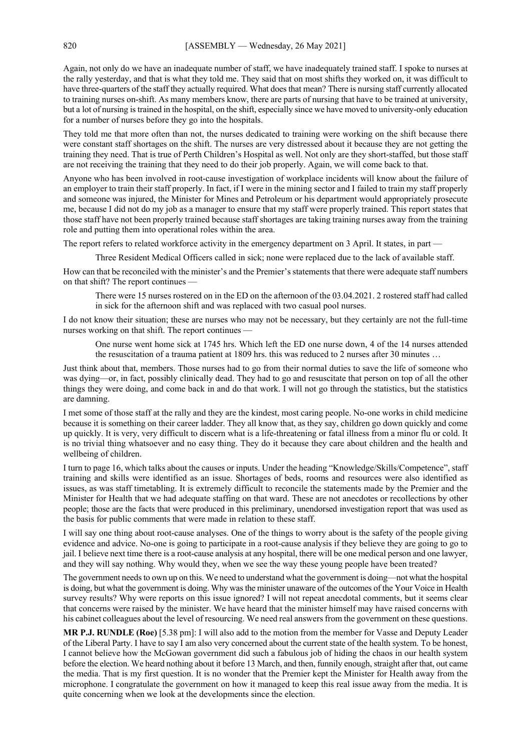Again, not only do we have an inadequate number of staff, we have inadequately trained staff. I spoke to nurses at the rally yesterday, and that is what they told me. They said that on most shifts they worked on, it was difficult to have three-quarters of the staff they actually required. What does that mean? There is nursing staff currently allocated to training nurses on-shift. As many members know, there are parts of nursing that have to be trained at university, but a lot of nursing is trained in the hospital, on the shift, especially since we have moved to university-only education for a number of nurses before they go into the hospitals.

They told me that more often than not, the nurses dedicated to training were working on the shift because there were constant staff shortages on the shift. The nurses are very distressed about it because they are not getting the training they need. That is true of Perth Children's Hospital as well. Not only are they short-staffed, but those staff are not receiving the training that they need to do their job properly. Again, we will come back to that.

Anyone who has been involved in root-cause investigation of workplace incidents will know about the failure of an employer to train their staff properly. In fact, if I were in the mining sector and I failed to train my staff properly and someone was injured, the Minister for Mines and Petroleum or his department would appropriately prosecute me, because I did not do my job as a manager to ensure that my staff were properly trained. This report states that those staff have not been properly trained because staff shortages are taking training nurses away from the training role and putting them into operational roles within the area.

The report refers to related workforce activity in the emergency department on 3 April. It states, in part —

Three Resident Medical Officers called in sick; none were replaced due to the lack of available staff.

How can that be reconciled with the minister's and the Premier's statements that there were adequate staff numbers on that shift? The report continues —

There were 15 nurses rostered on in the ED on the afternoon of the 03.04.2021. 2 rostered staff had called in sick for the afternoon shift and was replaced with two casual pool nurses.

I do not know their situation; these are nurses who may not be necessary, but they certainly are not the full-time nurses working on that shift. The report continues —

One nurse went home sick at 1745 hrs. Which left the ED one nurse down, 4 of the 14 nurses attended the resuscitation of a trauma patient at 1809 hrs. this was reduced to 2 nurses after 30 minutes …

Just think about that, members. Those nurses had to go from their normal duties to save the life of someone who was dying—or, in fact, possibly clinically dead. They had to go and resuscitate that person on top of all the other things they were doing, and come back in and do that work. I will not go through the statistics, but the statistics are damning.

I met some of those staff at the rally and they are the kindest, most caring people. No-one works in child medicine because it is something on their career ladder. They all know that, as they say, children go down quickly and come up quickly. It is very, very difficult to discern what is a life-threatening or fatal illness from a minor flu or cold. It is no trivial thing whatsoever and no easy thing. They do it because they care about children and the health and wellbeing of children.

I turn to page 16, which talks about the causes or inputs. Under the heading "Knowledge/Skills/Competence", staff training and skills were identified as an issue. Shortages of beds, rooms and resources were also identified as issues, as was staff timetabling. It is extremely difficult to reconcile the statements made by the Premier and the Minister for Health that we had adequate staffing on that ward. These are not anecdotes or recollections by other people; those are the facts that were produced in this preliminary, unendorsed investigation report that was used as the basis for public comments that were made in relation to these staff.

I will say one thing about root-cause analyses. One of the things to worry about is the safety of the people giving evidence and advice. No-one is going to participate in a root-cause analysis if they believe they are going to go to jail. I believe next time there is a root-cause analysis at any hospital, there will be one medical person and one lawyer, and they will say nothing. Why would they, when we see the way these young people have been treated?

The government needs to own up on this. We need to understand what the government is doing—not what the hospital is doing, but what the government is doing. Why was the minister unaware of the outcomes of the Your Voice in Health survey results? Why were reports on this issue ignored? I will not repeat anecdotal comments, but it seems clear that concerns were raised by the minister. We have heard that the minister himself may have raised concerns with his cabinet colleagues about the level of resourcing. We need real answers from the government on these questions.

**MR P.J. RUNDLE (Roe)** [5.38 pm]: I will also add to the motion from the member for Vasse and Deputy Leader of the Liberal Party. I have to say I am also very concerned about the current state of the health system. To be honest, I cannot believe how the McGowan government did such a fabulous job of hiding the chaos in our health system before the election. We heard nothing about it before 13 March, and then, funnily enough, straight after that, out came the media. That is my first question. It is no wonder that the Premier kept the Minister for Health away from the microphone. I congratulate the government on how it managed to keep this real issue away from the media. It is quite concerning when we look at the developments since the election.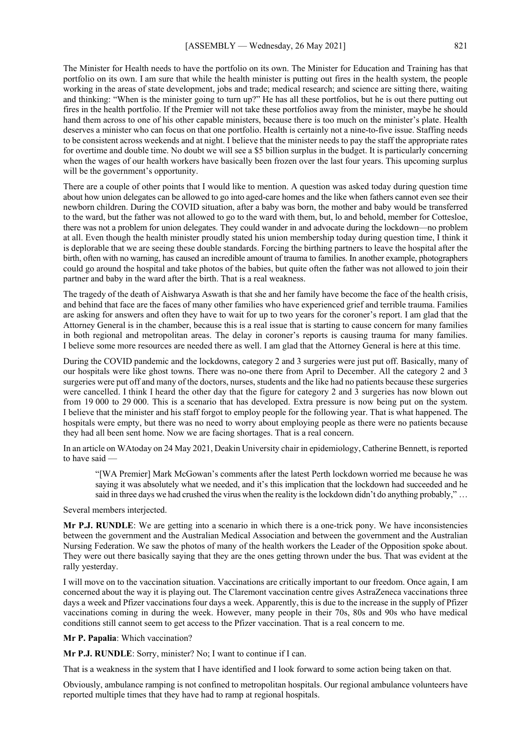The Minister for Health needs to have the portfolio on its own. The Minister for Education and Training has that portfolio on its own. I am sure that while the health minister is putting out fires in the health system, the people working in the areas of state development, jobs and trade; medical research; and science are sitting there, waiting and thinking: "When is the minister going to turn up?" He has all these portfolios, but he is out there putting out fires in the health portfolio. If the Premier will not take these portfolios away from the minister, maybe he should hand them across to one of his other capable ministers, because there is too much on the minister's plate. Health deserves a minister who can focus on that one portfolio. Health is certainly not a nine-to-five issue. Staffing needs to be consistent across weekends and at night. I believe that the minister needs to pay the staff the appropriate rates for overtime and double time. No doubt we will see a \$5 billion surplus in the budget. It is particularly concerning when the wages of our health workers have basically been frozen over the last four years. This upcoming surplus will be the government's opportunity.

There are a couple of other points that I would like to mention. A question was asked today during question time about how union delegates can be allowed to go into aged-care homes and the like when fathers cannot even see their newborn children. During the COVID situation, after a baby was born, the mother and baby would be transferred to the ward, but the father was not allowed to go to the ward with them, but, lo and behold, member for Cottesloe, there was not a problem for union delegates. They could wander in and advocate during the lockdown—no problem at all. Even though the health minister proudly stated his union membership today during question time, I think it is deplorable that we are seeing these double standards. Forcing the birthing partners to leave the hospital after the birth, often with no warning, has caused an incredible amount of trauma to families. In another example, photographers could go around the hospital and take photos of the babies, but quite often the father was not allowed to join their partner and baby in the ward after the birth. That is a real weakness.

The tragedy of the death of Aishwarya Aswath is that she and her family have become the face of the health crisis, and behind that face are the faces of many other families who have experienced grief and terrible trauma. Families are asking for answers and often they have to wait for up to two years for the coroner's report. I am glad that the Attorney General is in the chamber, because this is a real issue that is starting to cause concern for many families in both regional and metropolitan areas. The delay in coroner's reports is causing trauma for many families. I believe some more resources are needed there as well. I am glad that the Attorney General is here at this time.

During the COVID pandemic and the lockdowns, category 2 and 3 surgeries were just put off. Basically, many of our hospitals were like ghost towns. There was no-one there from April to December. All the category 2 and 3 surgeries were put off and many of the doctors, nurses, students and the like had no patients because these surgeries were cancelled. I think I heard the other day that the figure for category 2 and 3 surgeries has now blown out from 19 000 to 29 000. This is a scenario that has developed. Extra pressure is now being put on the system. I believe that the minister and his staff forgot to employ people for the following year. That is what happened. The hospitals were empty, but there was no need to worry about employing people as there were no patients because they had all been sent home. Now we are facing shortages. That is a real concern.

In an article on WAtoday on 24 May 2021, Deakin University chair in epidemiology, Catherine Bennett, is reported to have said —

"[WA Premier] Mark McGowan's comments after the latest Perth lockdown worried me because he was saying it was absolutely what we needed, and it's this implication that the lockdown had succeeded and he said in three days we had crushed the virus when the reality is the lockdown didn't do anything probably," ...

Several members interjected.

**Mr P.J. RUNDLE**: We are getting into a scenario in which there is a one-trick pony. We have inconsistencies between the government and the Australian Medical Association and between the government and the Australian Nursing Federation. We saw the photos of many of the health workers the Leader of the Opposition spoke about. They were out there basically saying that they are the ones getting thrown under the bus. That was evident at the rally yesterday.

I will move on to the vaccination situation. Vaccinations are critically important to our freedom. Once again, I am concerned about the way it is playing out. The Claremont vaccination centre gives AstraZeneca vaccinations three days a week and Pfizer vaccinations four days a week. Apparently, this is due to the increase in the supply of Pfizer vaccinations coming in during the week. However, many people in their 70s, 80s and 90s who have medical conditions still cannot seem to get access to the Pfizer vaccination. That is a real concern to me.

**Mr P. Papalia**: Which vaccination?

**Mr P.J. RUNDLE**: Sorry, minister? No; I want to continue if I can.

That is a weakness in the system that I have identified and I look forward to some action being taken on that.

Obviously, ambulance ramping is not confined to metropolitan hospitals. Our regional ambulance volunteers have reported multiple times that they have had to ramp at regional hospitals.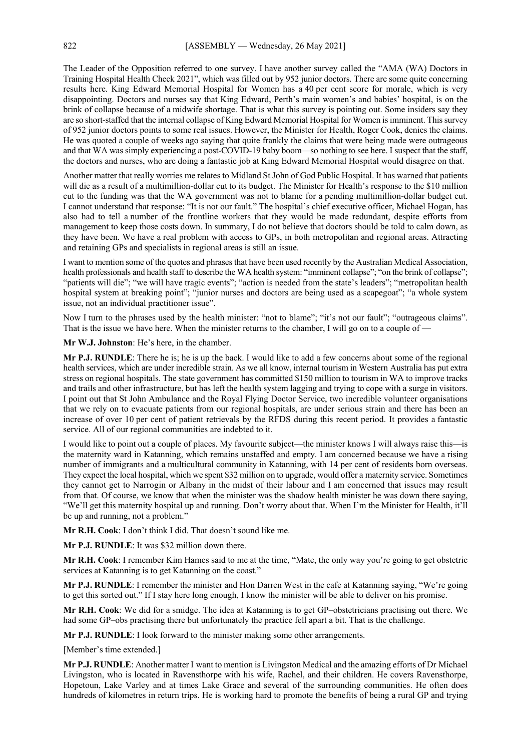The Leader of the Opposition referred to one survey. I have another survey called the "AMA (WA) Doctors in Training Hospital Health Check 2021", which was filled out by 952 junior doctors. There are some quite concerning results here. King Edward Memorial Hospital for Women has a 40 per cent score for morale, which is very disappointing. Doctors and nurses say that King Edward, Perth's main women's and babies' hospital, is on the brink of collapse because of a midwife shortage. That is what this survey is pointing out. Some insiders say they are so short-staffed that the internal collapse of King Edward Memorial Hospital for Women is imminent. This survey of 952 junior doctors points to some real issues. However, the Minister for Health, Roger Cook, denies the claims. He was quoted a couple of weeks ago saying that quite frankly the claims that were being made were outrageous and that WA was simply experiencing a post-COVID-19 baby boom—so nothing to see here. I suspect that the staff, the doctors and nurses, who are doing a fantastic job at King Edward Memorial Hospital would disagree on that.

Another matter that really worries me relates to Midland St John of God Public Hospital. It has warned that patients will die as a result of a multimillion-dollar cut to its budget. The Minister for Health's response to the \$10 million cut to the funding was that the WA government was not to blame for a pending multimillion-dollar budget cut. I cannot understand that response: "It is not our fault." The hospital's chief executive officer, Michael Hogan, has also had to tell a number of the frontline workers that they would be made redundant, despite efforts from management to keep those costs down. In summary, I do not believe that doctors should be told to calm down, as they have been. We have a real problem with access to GPs, in both metropolitan and regional areas. Attracting and retaining GPs and specialists in regional areas is still an issue.

I want to mention some of the quotes and phrases that have been used recently by the Australian Medical Association, health professionals and health staff to describe the WA health system: "imminent collapse"; "on the brink of collapse"; "patients will die"; "we will have tragic events"; "action is needed from the state's leaders"; "metropolitan health hospital system at breaking point"; "junior nurses and doctors are being used as a scapegoat"; "a whole system issue, not an individual practitioner issue".

Now I turn to the phrases used by the health minister: "not to blame"; "it's not our fault"; "outrageous claims". That is the issue we have here. When the minister returns to the chamber, I will go on to a couple of

**Mr W.J. Johnston**: He's here, in the chamber.

**Mr P.J. RUNDLE**: There he is; he is up the back. I would like to add a few concerns about some of the regional health services, which are under incredible strain. As we all know, internal tourism in Western Australia has put extra stress on regional hospitals. The state government has committed \$150 million to tourism in WA to improve tracks and trails and other infrastructure, but has left the health system lagging and trying to cope with a surge in visitors. I point out that St John Ambulance and the Royal Flying Doctor Service, two incredible volunteer organisations that we rely on to evacuate patients from our regional hospitals, are under serious strain and there has been an increase of over 10 per cent of patient retrievals by the RFDS during this recent period. It provides a fantastic service. All of our regional communities are indebted to it.

I would like to point out a couple of places. My favourite subject—the minister knows I will always raise this—is the maternity ward in Katanning, which remains unstaffed and empty. I am concerned because we have a rising number of immigrants and a multicultural community in Katanning, with 14 per cent of residents born overseas. They expect the local hospital, which we spent \$32 million on to upgrade, would offer a maternity service. Sometimes they cannot get to Narrogin or Albany in the midst of their labour and I am concerned that issues may result from that. Of course, we know that when the minister was the shadow health minister he was down there saying, "We'll get this maternity hospital up and running. Don't worry about that. When I'm the Minister for Health, it'll be up and running, not a problem."

**Mr R.H. Cook**: I don't think I did. That doesn't sound like me.

**Mr P.J. RUNDLE**: It was \$32 million down there.

**Mr R.H. Cook**: I remember Kim Hames said to me at the time, "Mate, the only way you're going to get obstetric services at Katanning is to get Katanning on the coast."

**Mr P.J. RUNDLE**: I remember the minister and Hon Darren West in the cafe at Katanning saying, "We're going to get this sorted out." If I stay here long enough, I know the minister will be able to deliver on his promise.

**Mr R.H. Cook**: We did for a smidge. The idea at Katanning is to get GP–obstetricians practising out there. We had some GP–obs practising there but unfortunately the practice fell apart a bit. That is the challenge.

**Mr P.J. RUNDLE**: I look forward to the minister making some other arrangements.

[Member's time extended.]

**Mr P.J. RUNDLE**: Another matter I want to mention is Livingston Medical and the amazing efforts of Dr Michael Livingston, who is located in Ravensthorpe with his wife, Rachel, and their children. He covers Ravensthorpe, Hopetoun, Lake Varley and at times Lake Grace and several of the surrounding communities. He often does hundreds of kilometres in return trips. He is working hard to promote the benefits of being a rural GP and trying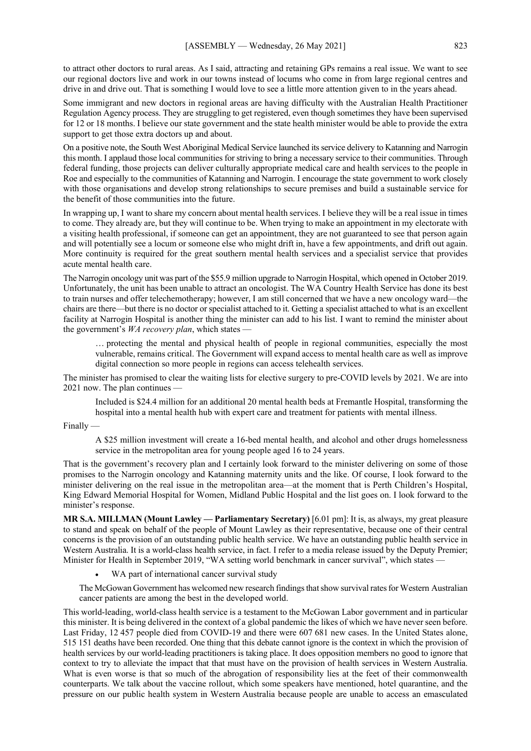to attract other doctors to rural areas. As I said, attracting and retaining GPs remains a real issue. We want to see our regional doctors live and work in our towns instead of locums who come in from large regional centres and drive in and drive out. That is something I would love to see a little more attention given to in the years ahead.

Some immigrant and new doctors in regional areas are having difficulty with the Australian Health Practitioner Regulation Agency process. They are struggling to get registered, even though sometimes they have been supervised for 12 or 18 months. I believe our state government and the state health minister would be able to provide the extra support to get those extra doctors up and about.

On a positive note, the South West Aboriginal Medical Service launched its service delivery to Katanning and Narrogin this month. I applaud those local communities for striving to bring a necessary service to their communities. Through federal funding, those projects can deliver culturally appropriate medical care and health services to the people in Roe and especially to the communities of Katanning and Narrogin. I encourage the state government to work closely with those organisations and develop strong relationships to secure premises and build a sustainable service for the benefit of those communities into the future.

In wrapping up, I want to share my concern about mental health services. I believe they will be a real issue in times to come. They already are, but they will continue to be. When trying to make an appointment in my electorate with a visiting health professional, if someone can get an appointment, they are not guaranteed to see that person again and will potentially see a locum or someone else who might drift in, have a few appointments, and drift out again. More continuity is required for the great southern mental health services and a specialist service that provides acute mental health care.

The Narrogin oncology unit was part of the \$55.9 million upgrade to Narrogin Hospital, which opened in October 2019. Unfortunately, the unit has been unable to attract an oncologist. The WA Country Health Service has done its best to train nurses and offer telechemotherapy; however, I am still concerned that we have a new oncology ward—the chairs are there—but there is no doctor or specialist attached to it. Getting a specialist attached to what is an excellent facility at Narrogin Hospital is another thing the minister can add to his list. I want to remind the minister about the government's *WA recovery plan*, which states —

… protecting the mental and physical health of people in regional communities, especially the most vulnerable, remains critical. The Government will expand access to mental health care as well as improve digital connection so more people in regions can access telehealth services.

The minister has promised to clear the waiting lists for elective surgery to pre-COVID levels by 2021. We are into 2021 now. The plan continues —

Included is \$24.4 million for an additional 20 mental health beds at Fremantle Hospital, transforming the hospital into a mental health hub with expert care and treatment for patients with mental illness.

Finally —

A \$25 million investment will create a 16-bed mental health, and alcohol and other drugs homelessness service in the metropolitan area for young people aged 16 to 24 years.

That is the government's recovery plan and I certainly look forward to the minister delivering on some of those promises to the Narrogin oncology and Katanning maternity units and the like. Of course, I look forward to the minister delivering on the real issue in the metropolitan area—at the moment that is Perth Children's Hospital, King Edward Memorial Hospital for Women, Midland Public Hospital and the list goes on. I look forward to the minister's response.

**MR S.A. MILLMAN (Mount Lawley — Parliamentary Secretary)** [6.01 pm]: It is, as always, my great pleasure to stand and speak on behalf of the people of Mount Lawley as their representative, because one of their central concerns is the provision of an outstanding public health service. We have an outstanding public health service in Western Australia. It is a world-class health service, in fact. I refer to a media release issued by the Deputy Premier; Minister for Health in September 2019, "WA setting world benchmark in cancer survival", which states -

WA part of international cancer survival study

The McGowan Government has welcomed new research findings that show survival rates for Western Australian cancer patients are among the best in the developed world.

This world-leading, world-class health service is a testament to the McGowan Labor government and in particular this minister. It is being delivered in the context of a global pandemic the likes of which we have never seen before. Last Friday, 12 457 people died from COVID-19 and there were 607 681 new cases. In the United States alone, 515 151 deaths have been recorded. One thing that this debate cannot ignore is the context in which the provision of health services by our world-leading practitioners is taking place. It does opposition members no good to ignore that context to try to alleviate the impact that that must have on the provision of health services in Western Australia. What is even worse is that so much of the abrogation of responsibility lies at the feet of their commonwealth counterparts. We talk about the vaccine rollout, which some speakers have mentioned, hotel quarantine, and the pressure on our public health system in Western Australia because people are unable to access an emasculated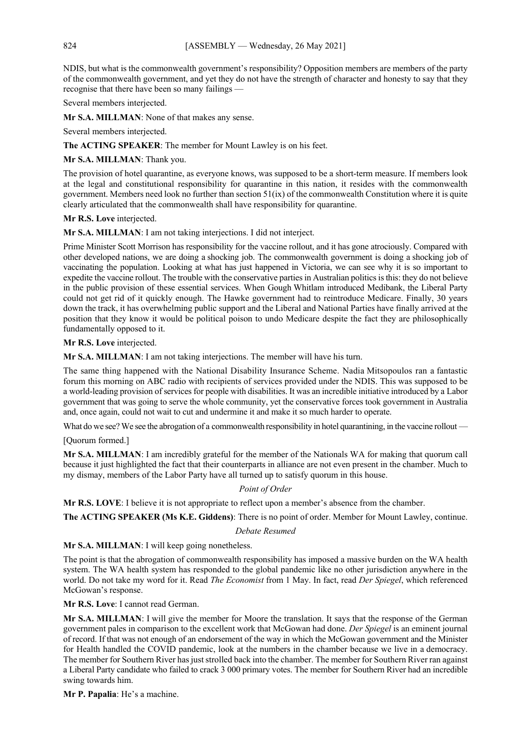NDIS, but what is the commonwealth government's responsibility? Opposition members are members of the party of the commonwealth government, and yet they do not have the strength of character and honesty to say that they recognise that there have been so many failings —

Several members interjected.

**Mr S.A. MILLMAN**: None of that makes any sense.

Several members interjected.

**The ACTING SPEAKER**: The member for Mount Lawley is on his feet.

**Mr S.A. MILLMAN**: Thank you.

The provision of hotel quarantine, as everyone knows, was supposed to be a short-term measure. If members look at the legal and constitutional responsibility for quarantine in this nation, it resides with the commonwealth government. Members need look no further than section 51(ix) of the commonwealth Constitution where it is quite clearly articulated that the commonwealth shall have responsibility for quarantine.

**Mr R.S. Love** interjected.

**Mr S.A. MILLMAN**: I am not taking interjections. I did not interject.

Prime Minister Scott Morrison has responsibility for the vaccine rollout, and it has gone atrociously. Compared with other developed nations, we are doing a shocking job. The commonwealth government is doing a shocking job of vaccinating the population. Looking at what has just happened in Victoria, we can see why it is so important to expedite the vaccine rollout. The trouble with the conservative parties in Australian politics is this: they do not believe in the public provision of these essential services. When Gough Whitlam introduced Medibank, the Liberal Party could not get rid of it quickly enough. The Hawke government had to reintroduce Medicare. Finally, 30 years down the track, it has overwhelming public support and the Liberal and National Parties have finally arrived at the position that they know it would be political poison to undo Medicare despite the fact they are philosophically fundamentally opposed to it.

**Mr R.S. Love** interjected.

**Mr S.A. MILLMAN**: I am not taking interjections. The member will have his turn.

The same thing happened with the National Disability Insurance Scheme. Nadia Mitsopoulos ran a fantastic forum this morning on ABC radio with recipients of services provided under the NDIS. This was supposed to be a world-leading provision of services for people with disabilities. It was an incredible initiative introduced by a Labor government that was going to serve the whole community, yet the conservative forces took government in Australia and, once again, could not wait to cut and undermine it and make it so much harder to operate.

What do we see? We see the abrogation of a commonwealth responsibility in hotel quarantining, in the vaccine rollout —

[Quorum formed.]

**Mr S.A. MILLMAN**: I am incredibly grateful for the member of the Nationals WA for making that quorum call because it just highlighted the fact that their counterparts in alliance are not even present in the chamber. Much to my dismay, members of the Labor Party have all turned up to satisfy quorum in this house.

# *Point of Order*

**Mr R.S. LOVE**: I believe it is not appropriate to reflect upon a member's absence from the chamber.

**The ACTING SPEAKER (Ms K.E. Giddens)**: There is no point of order. Member for Mount Lawley, continue.

*Debate Resumed*

Mr S.A. MILLMAN: I will keep going nonetheless.

The point is that the abrogation of commonwealth responsibility has imposed a massive burden on the WA health system. The WA health system has responded to the global pandemic like no other jurisdiction anywhere in the world. Do not take my word for it. Read *The Economist* from 1 May. In fact, read *Der Spiegel*, which referenced McGowan's response.

**Mr R.S. Love**: I cannot read German.

**Mr S.A. MILLMAN**: I will give the member for Moore the translation. It says that the response of the German government pales in comparison to the excellent work that McGowan had done. *Der Spiegel* is an eminent journal of record. If that was not enough of an endorsement of the way in which the McGowan government and the Minister for Health handled the COVID pandemic, look at the numbers in the chamber because we live in a democracy. The member for Southern River has just strolled back into the chamber. The member for Southern River ran against a Liberal Party candidate who failed to crack 3 000 primary votes. The member for Southern River had an incredible swing towards him.

**Mr P. Papalia**: He's a machine.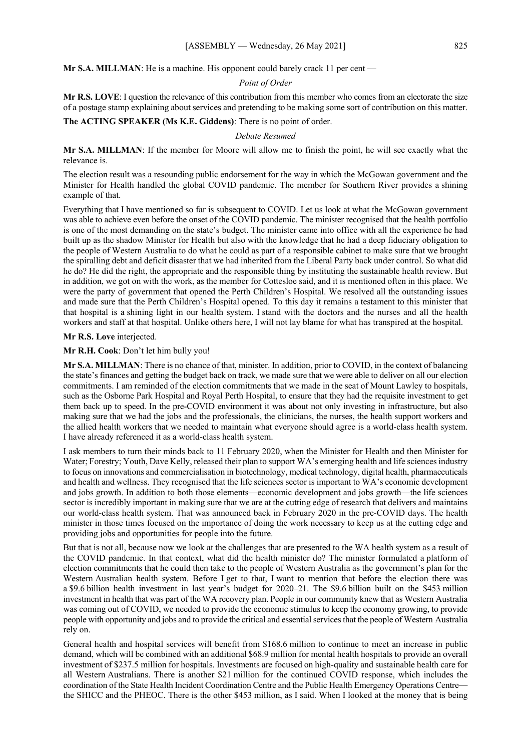**Mr S.A. MILLMAN:** He is a machine. His opponent could barely crack 11 per cent —

# *Point of Order*

**Mr R.S. LOVE**: I question the relevance of this contribution from this member who comes from an electorate the size of a postage stamp explaining about services and pretending to be making some sort of contribution on this matter.

**The ACTING SPEAKER (Ms K.E. Giddens)**: There is no point of order.

#### *Debate Resumed*

**Mr S.A. MILLMAN**: If the member for Moore will allow me to finish the point, he will see exactly what the relevance is.

The election result was a resounding public endorsement for the way in which the McGowan government and the Minister for Health handled the global COVID pandemic. The member for Southern River provides a shining example of that.

Everything that I have mentioned so far is subsequent to COVID. Let us look at what the McGowan government was able to achieve even before the onset of the COVID pandemic. The minister recognised that the health portfolio is one of the most demanding on the state's budget. The minister came into office with all the experience he had built up as the shadow Minister for Health but also with the knowledge that he had a deep fiduciary obligation to the people of Western Australia to do what he could as part of a responsible cabinet to make sure that we brought the spiralling debt and deficit disaster that we had inherited from the Liberal Party back under control. So what did he do? He did the right, the appropriate and the responsible thing by instituting the sustainable health review. But in addition, we got on with the work, as the member for Cottesloe said, and it is mentioned often in this place. We were the party of government that opened the Perth Children's Hospital. We resolved all the outstanding issues and made sure that the Perth Children's Hospital opened. To this day it remains a testament to this minister that that hospital is a shining light in our health system. I stand with the doctors and the nurses and all the health workers and staff at that hospital. Unlike others here, I will not lay blame for what has transpired at the hospital.

**Mr R.S. Love** interjected.

**Mr R.H. Cook**: Don't let him bully you!

**Mr S.A. MILLMAN**: There is no chance of that, minister. In addition, prior to COVID, in the context of balancing the state's finances and getting the budget back on track, we made sure that we were able to deliver on all our election commitments. I am reminded of the election commitments that we made in the seat of Mount Lawley to hospitals, such as the Osborne Park Hospital and Royal Perth Hospital, to ensure that they had the requisite investment to get them back up to speed. In the pre-COVID environment it was about not only investing in infrastructure, but also making sure that we had the jobs and the professionals, the clinicians, the nurses, the health support workers and the allied health workers that we needed to maintain what everyone should agree is a world-class health system. I have already referenced it as a world-class health system.

I ask members to turn their minds back to 11 February 2020, when the Minister for Health and then Minister for Water; Forestry; Youth, Dave Kelly, released their plan to support WA's emerging health and life sciences industry to focus on innovations and commercialisation in biotechnology, medical technology, digital health, pharmaceuticals and health and wellness. They recognised that the life sciences sector is important to WA's economic development and jobs growth. In addition to both those elements—economic development and jobs growth—the life sciences sector is incredibly important in making sure that we are at the cutting edge of research that delivers and maintains our world-class health system. That was announced back in February 2020 in the pre-COVID days. The health minister in those times focused on the importance of doing the work necessary to keep us at the cutting edge and providing jobs and opportunities for people into the future.

But that is not all, because now we look at the challenges that are presented to the WA health system as a result of the COVID pandemic. In that context, what did the health minister do? The minister formulated a platform of election commitments that he could then take to the people of Western Australia as the government's plan for the Western Australian health system. Before I get to that, I want to mention that before the election there was a \$9.6 billion health investment in last year's budget for 2020–21. The \$9.6 billion built on the \$453 million investment in health that was part of the WA recovery plan. People in our community knew that as Western Australia was coming out of COVID, we needed to provide the economic stimulus to keep the economy growing, to provide people with opportunity and jobs and to provide the critical and essential services that the people of Western Australia rely on.

General health and hospital services will benefit from \$168.6 million to continue to meet an increase in public demand, which will be combined with an additional \$68.9 million for mental health hospitals to provide an overall investment of \$237.5 million for hospitals. Investments are focused on high-quality and sustainable health care for all Western Australians. There is another \$21 million for the continued COVID response, which includes the coordination of the State Health Incident Coordination Centre and the Public Health Emergency Operations Centre the SHICC and the PHEOC. There is the other \$453 million, as I said. When I looked at the money that is being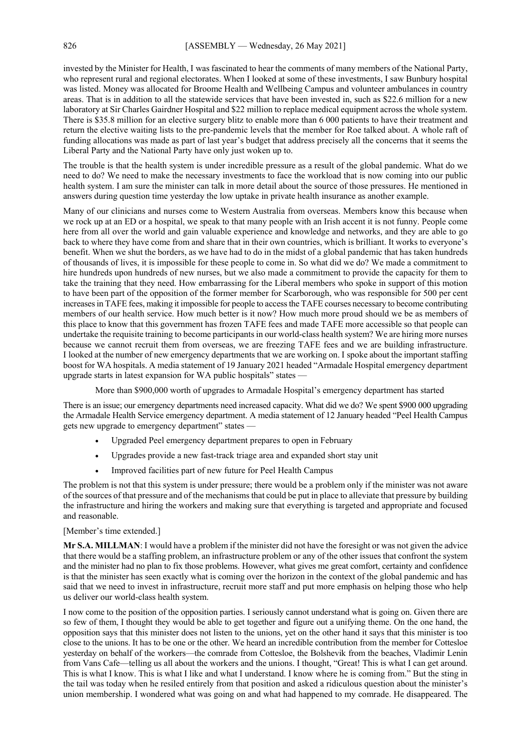invested by the Minister for Health, I was fascinated to hear the comments of many members of the National Party, who represent rural and regional electorates. When I looked at some of these investments, I saw Bunbury hospital was listed. Money was allocated for Broome Health and Wellbeing Campus and volunteer ambulances in country areas. That is in addition to all the statewide services that have been invested in, such as \$22.6 million for a new laboratory at Sir Charles Gairdner Hospital and \$22 million to replace medical equipment across the whole system. There is \$35.8 million for an elective surgery blitz to enable more than 6 000 patients to have their treatment and return the elective waiting lists to the pre-pandemic levels that the member for Roe talked about. A whole raft of funding allocations was made as part of last year's budget that address precisely all the concerns that it seems the Liberal Party and the National Party have only just woken up to.

The trouble is that the health system is under incredible pressure as a result of the global pandemic. What do we need to do? We need to make the necessary investments to face the workload that is now coming into our public health system. I am sure the minister can talk in more detail about the source of those pressures. He mentioned in answers during question time yesterday the low uptake in private health insurance as another example.

Many of our clinicians and nurses come to Western Australia from overseas. Members know this because when we rock up at an ED or a hospital, we speak to that many people with an Irish accent it is not funny. People come here from all over the world and gain valuable experience and knowledge and networks, and they are able to go back to where they have come from and share that in their own countries, which is brilliant. It works to everyone's benefit. When we shut the borders, as we have had to do in the midst of a global pandemic that has taken hundreds of thousands of lives, it is impossible for these people to come in. So what did we do? We made a commitment to hire hundreds upon hundreds of new nurses, but we also made a commitment to provide the capacity for them to take the training that they need. How embarrassing for the Liberal members who spoke in support of this motion to have been part of the opposition of the former member for Scarborough, who was responsible for 500 per cent increases in TAFE fees, making it impossible for people to access the TAFE courses necessary to become contributing members of our health service. How much better is it now? How much more proud should we be as members of this place to know that this government has frozen TAFE fees and made TAFE more accessible so that people can undertake the requisite training to become participants in our world-class health system? We are hiring more nurses because we cannot recruit them from overseas, we are freezing TAFE fees and we are building infrastructure. I looked at the number of new emergency departments that we are working on. I spoke about the important staffing boost for WA hospitals. A media statement of 19 January 2021 headed "Armadale Hospital emergency department upgrade starts in latest expansion for WA public hospitals" states —

More than \$900,000 worth of upgrades to Armadale Hospital's emergency department has started

There is an issue; our emergency departments need increased capacity. What did we do? We spent \$900 000 upgrading the Armadale Health Service emergency department. A media statement of 12 January headed "Peel Health Campus gets new upgrade to emergency department" states —

- Upgraded Peel emergency department prepares to open in February
- Upgrades provide a new fast-track triage area and expanded short stay unit
- Improved facilities part of new future for Peel Health Campus

The problem is not that this system is under pressure; there would be a problem only if the minister was not aware of the sources of that pressure and of the mechanisms that could be put in place to alleviate that pressure by building the infrastructure and hiring the workers and making sure that everything is targeted and appropriate and focused and reasonable.

# [Member's time extended.]

**Mr S.A. MILLMAN**: I would have a problem if the minister did not have the foresight or was not given the advice that there would be a staffing problem, an infrastructure problem or any of the other issues that confront the system and the minister had no plan to fix those problems. However, what gives me great comfort, certainty and confidence is that the minister has seen exactly what is coming over the horizon in the context of the global pandemic and has said that we need to invest in infrastructure, recruit more staff and put more emphasis on helping those who help us deliver our world-class health system.

I now come to the position of the opposition parties. I seriously cannot understand what is going on. Given there are so few of them, I thought they would be able to get together and figure out a unifying theme. On the one hand, the opposition says that this minister does not listen to the unions, yet on the other hand it says that this minister is too close to the unions. It has to be one or the other. We heard an incredible contribution from the member for Cottesloe yesterday on behalf of the workers—the comrade from Cottesloe, the Bolshevik from the beaches, Vladimir Lenin from Vans Cafe—telling us all about the workers and the unions. I thought, "Great! This is what I can get around. This is what I know. This is what I like and what I understand. I know where he is coming from." But the sting in the tail was today when he resiled entirely from that position and asked a ridiculous question about the minister's union membership. I wondered what was going on and what had happened to my comrade. He disappeared. The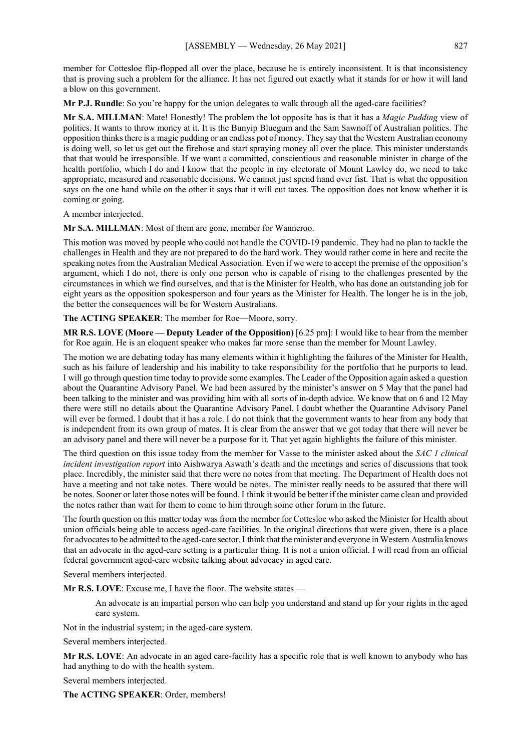member for Cottesloe flip-flopped all over the place, because he is entirely inconsistent. It is that inconsistency that is proving such a problem for the alliance. It has not figured out exactly what it stands for or how it will land a blow on this government.

**Mr P.J. Rundle**: So you're happy for the union delegates to walk through all the aged-care facilities?

**Mr S.A. MILLMAN**: Mate! Honestly! The problem the lot opposite has is that it has a *Magic Pudding* view of politics. It wants to throw money at it. It is the Bunyip Bluegum and the Sam Sawnoff of Australian politics. The opposition thinks there is a magic pudding or an endless pot of money. They say that the Western Australian economy is doing well, so let us get out the firehose and start spraying money all over the place. This minister understands that that would be irresponsible. If we want a committed, conscientious and reasonable minister in charge of the health portfolio, which I do and I know that the people in my electorate of Mount Lawley do, we need to take appropriate, measured and reasonable decisions. We cannot just spend hand over fist. That is what the opposition says on the one hand while on the other it says that it will cut taxes. The opposition does not know whether it is coming or going.

A member interjected.

**Mr S.A. MILLMAN**: Most of them are gone, member for Wanneroo.

This motion was moved by people who could not handle the COVID-19 pandemic. They had no plan to tackle the challenges in Health and they are not prepared to do the hard work. They would rather come in here and recite the speaking notes from the Australian Medical Association. Even if we were to accept the premise of the opposition's argument, which I do not, there is only one person who is capable of rising to the challenges presented by the circumstances in which we find ourselves, and that is the Minister for Health, who has done an outstanding job for eight years as the opposition spokesperson and four years as the Minister for Health. The longer he is in the job, the better the consequences will be for Western Australians.

**The ACTING SPEAKER**: The member for Roe—Moore, sorry.

**MR R.S. LOVE (Moore — Deputy Leader of the Opposition)** [6.25 pm]: I would like to hear from the member for Roe again. He is an eloquent speaker who makes far more sense than the member for Mount Lawley.

The motion we are debating today has many elements within it highlighting the failures of the Minister for Health, such as his failure of leadership and his inability to take responsibility for the portfolio that he purports to lead. I will go through question time today to provide some examples. The Leader of the Opposition again asked a question about the Quarantine Advisory Panel. We had been assured by the minister's answer on 5 May that the panel had been talking to the minister and was providing him with all sorts of in-depth advice. We know that on 6 and 12 May there were still no details about the Quarantine Advisory Panel. I doubt whether the Quarantine Advisory Panel will ever be formed. I doubt that it has a role. I do not think that the government wants to hear from any body that is independent from its own group of mates. It is clear from the answer that we got today that there will never be an advisory panel and there will never be a purpose for it. That yet again highlights the failure of this minister.

The third question on this issue today from the member for Vasse to the minister asked about the *SAC 1 clinical incident investigation report* into Aishwarya Aswath's death and the meetings and series of discussions that took place. Incredibly, the minister said that there were no notes from that meeting. The Department of Health does not have a meeting and not take notes. There would be notes. The minister really needs to be assured that there will be notes. Sooner or later those notes will be found. I think it would be better if the minister came clean and provided the notes rather than wait for them to come to him through some other forum in the future.

The fourth question on this matter today was from the member for Cottesloe who asked the Minister for Health about union officials being able to access aged-care facilities. In the original directions that were given, there is a place for advocates to be admitted to the aged-care sector. I think that the minister and everyone in Western Australia knows that an advocate in the aged-care setting is a particular thing. It is not a union official. I will read from an official federal government aged-care website talking about advocacy in aged care.

Several members interjected.

**Mr R.S. LOVE**: Excuse me, I have the floor. The website states —

An advocate is an impartial person who can help you understand and stand up for your rights in the aged care system.

Not in the industrial system; in the aged-care system.

Several members interjected.

**Mr R.S. LOVE**: An advocate in an aged care-facility has a specific role that is well known to anybody who has had anything to do with the health system.

Several members interjected.

**The ACTING SPEAKER**: Order, members!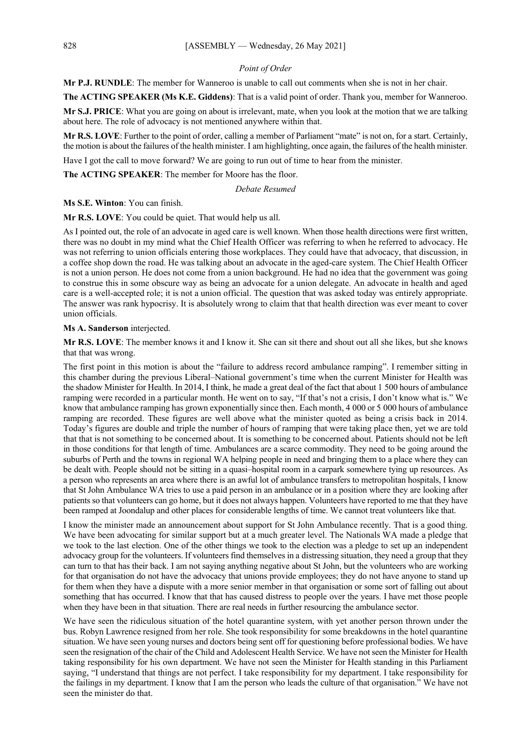# *Point of Order*

**Mr P.J. RUNDLE**: The member for Wanneroo is unable to call out comments when she is not in her chair.

**The ACTING SPEAKER (Ms K.E. Giddens)**: That is a valid point of order. Thank you, member for Wanneroo.

**Mr S.J. PRICE**: What you are going on about is irrelevant, mate, when you look at the motion that we are talking about here. The role of advocacy is not mentioned anywhere within that.

**Mr R.S. LOVE**: Further to the point of order, calling a member of Parliament "mate" is not on, for a start. Certainly, the motion is about the failures of the health minister. I am highlighting, once again, the failures of the health minister.

Have I got the call to move forward? We are going to run out of time to hear from the minister.

**The ACTING SPEAKER**: The member for Moore has the floor.

*Debate Resumed*

**Ms S.E. Winton**: You can finish.

**Mr R.S. LOVE**: You could be quiet. That would help us all.

As I pointed out, the role of an advocate in aged care is well known. When those health directions were first written, there was no doubt in my mind what the Chief Health Officer was referring to when he referred to advocacy. He was not referring to union officials entering those workplaces. They could have that advocacy, that discussion, in a coffee shop down the road. He was talking about an advocate in the aged-care system. The Chief Health Officer is not a union person. He does not come from a union background. He had no idea that the government was going to construe this in some obscure way as being an advocate for a union delegate. An advocate in health and aged care is a well-accepted role; it is not a union official. The question that was asked today was entirely appropriate. The answer was rank hypocrisy. It is absolutely wrong to claim that that health direction was ever meant to cover union officials.

**Ms A. Sanderson** interjected.

**Mr R.S. LOVE**: The member knows it and I know it. She can sit there and shout out all she likes, but she knows that that was wrong.

The first point in this motion is about the "failure to address record ambulance ramping". I remember sitting in this chamber during the previous Liberal–National government's time when the current Minister for Health was the shadow Minister for Health. In 2014, I think, he made a great deal of the fact that about 1 500 hours of ambulance ramping were recorded in a particular month. He went on to say, "If that's not a crisis, I don't know what is." We know that ambulance ramping has grown exponentially since then. Each month, 4 000 or 5 000 hours of ambulance ramping are recorded. These figures are well above what the minister quoted as being a crisis back in 2014. Today's figures are double and triple the number of hours of ramping that were taking place then, yet we are told that that is not something to be concerned about. It is something to be concerned about. Patients should not be left in those conditions for that length of time. Ambulances are a scarce commodity. They need to be going around the suburbs of Perth and the towns in regional WA helping people in need and bringing them to a place where they can be dealt with. People should not be sitting in a quasi–hospital room in a carpark somewhere tying up resources. As a person who represents an area where there is an awful lot of ambulance transfers to metropolitan hospitals, I know that St John Ambulance WA tries to use a paid person in an ambulance or in a position where they are looking after patients so that volunteers can go home, but it does not always happen. Volunteers have reported to me that they have been ramped at Joondalup and other places for considerable lengths of time. We cannot treat volunteers like that.

I know the minister made an announcement about support for St John Ambulance recently. That is a good thing. We have been advocating for similar support but at a much greater level. The Nationals WA made a pledge that we took to the last election. One of the other things we took to the election was a pledge to set up an independent advocacy group for the volunteers. If volunteers find themselves in a distressing situation, they need a group that they can turn to that has their back. I am not saying anything negative about St John, but the volunteers who are working for that organisation do not have the advocacy that unions provide employees; they do not have anyone to stand up for them when they have a dispute with a more senior member in that organisation or some sort of falling out about something that has occurred. I know that that has caused distress to people over the years. I have met those people when they have been in that situation. There are real needs in further resourcing the ambulance sector.

We have seen the ridiculous situation of the hotel quarantine system, with yet another person thrown under the bus. Robyn Lawrence resigned from her role. She took responsibility for some breakdowns in the hotel quarantine situation. We have seen young nurses and doctors being sent off for questioning before professional bodies. We have seen the resignation of the chair of the Child and Adolescent Health Service. We have not seen the Minister for Health taking responsibility for his own department. We have not seen the Minister for Health standing in this Parliament saying, "I understand that things are not perfect. I take responsibility for my department. I take responsibility for the failings in my department. I know that I am the person who leads the culture of that organisation." We have not seen the minister do that.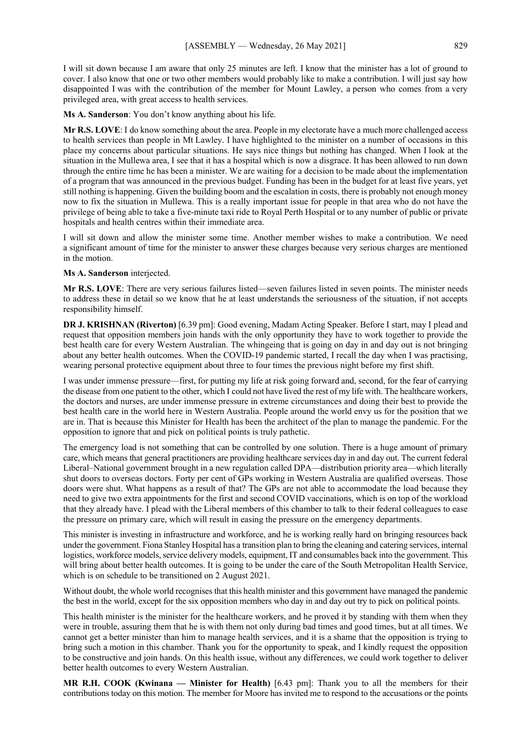I will sit down because I am aware that only 25 minutes are left. I know that the minister has a lot of ground to cover. I also know that one or two other members would probably like to make a contribution. I will just say how disappointed I was with the contribution of the member for Mount Lawley, a person who comes from a very privileged area, with great access to health services.

**Ms A. Sanderson**: You don't know anything about his life.

**Mr R.S. LOVE**: I do know something about the area. People in my electorate have a much more challenged access to health services than people in Mt Lawley. I have highlighted to the minister on a number of occasions in this place my concerns about particular situations. He says nice things but nothing has changed. When I look at the situation in the Mullewa area, I see that it has a hospital which is now a disgrace. It has been allowed to run down through the entire time he has been a minister. We are waiting for a decision to be made about the implementation of a program that was announced in the previous budget. Funding has been in the budget for at least five years, yet still nothing is happening. Given the building boom and the escalation in costs, there is probably not enough money now to fix the situation in Mullewa. This is a really important issue for people in that area who do not have the privilege of being able to take a five-minute taxi ride to Royal Perth Hospital or to any number of public or private hospitals and health centres within their immediate area.

I will sit down and allow the minister some time. Another member wishes to make a contribution. We need a significant amount of time for the minister to answer these charges because very serious charges are mentioned in the motion.

#### **Ms A. Sanderson** interjected.

**Mr R.S. LOVE**: There are very serious failures listed—seven failures listed in seven points. The minister needs to address these in detail so we know that he at least understands the seriousness of the situation, if not accepts responsibility himself.

**DR J. KRISHNAN (Riverton)** [6.39 pm]: Good evening, Madam Acting Speaker. Before I start, may I plead and request that opposition members join hands with the only opportunity they have to work together to provide the best health care for every Western Australian. The whingeing that is going on day in and day out is not bringing about any better health outcomes. When the COVID-19 pandemic started, I recall the day when I was practising, wearing personal protective equipment about three to four times the previous night before my first shift.

I was under immense pressure—first, for putting my life at risk going forward and, second, for the fear of carrying the disease from one patient to the other, which I could not have lived the rest of my life with. The healthcare workers, the doctors and nurses, are under immense pressure in extreme circumstances and doing their best to provide the best health care in the world here in Western Australia. People around the world envy us for the position that we are in. That is because this Minister for Health has been the architect of the plan to manage the pandemic. For the opposition to ignore that and pick on political points is truly pathetic.

The emergency load is not something that can be controlled by one solution. There is a huge amount of primary care, which means that general practitioners are providing healthcare services day in and day out. The current federal Liberal–National government brought in a new regulation called DPA—distribution priority area—which literally shut doors to overseas doctors. Forty per cent of GPs working in Western Australia are qualified overseas. Those doors were shut. What happens as a result of that? The GPs are not able to accommodate the load because they need to give two extra appointments for the first and second COVID vaccinations, which is on top of the workload that they already have. I plead with the Liberal members of this chamber to talk to their federal colleagues to ease the pressure on primary care, which will result in easing the pressure on the emergency departments.

This minister is investing in infrastructure and workforce, and he is working really hard on bringing resources back under the government. Fiona Stanley Hospital has a transition plan to bring the cleaning and catering services, internal logistics, workforce models, service delivery models, equipment, IT and consumables back into the government. This will bring about better health outcomes. It is going to be under the care of the South Metropolitan Health Service, which is on schedule to be transitioned on 2 August 2021.

Without doubt, the whole world recognises that this health minister and this government have managed the pandemic the best in the world, except for the six opposition members who day in and day out try to pick on political points.

This health minister is the minister for the healthcare workers, and he proved it by standing with them when they were in trouble, assuring them that he is with them not only during bad times and good times, but at all times. We cannot get a better minister than him to manage health services, and it is a shame that the opposition is trying to bring such a motion in this chamber. Thank you for the opportunity to speak, and I kindly request the opposition to be constructive and join hands. On this health issue, without any differences, we could work together to deliver better health outcomes to every Western Australian.

**MR R.H. COOK (Kwinana — Minister for Health)** [6.43 pm]: Thank you to all the members for their contributions today on this motion. The member for Moore has invited me to respond to the accusations or the points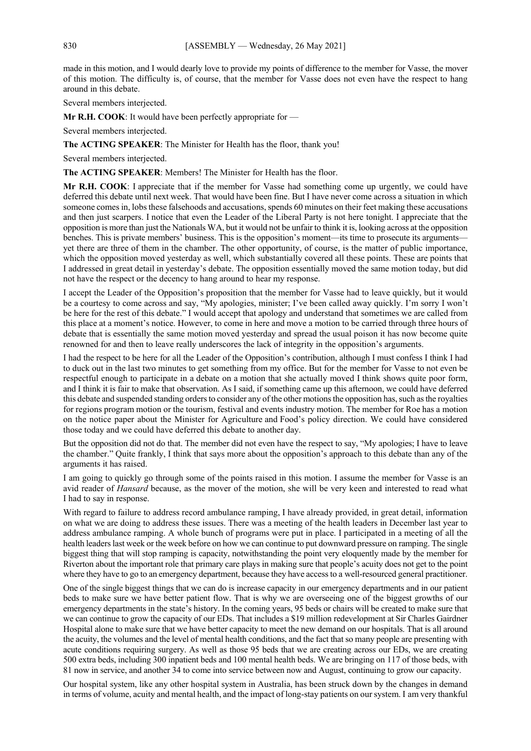made in this motion, and I would dearly love to provide my points of difference to the member for Vasse, the mover of this motion. The difficulty is, of course, that the member for Vasse does not even have the respect to hang around in this debate.

Several members interjected.

**Mr R.H. COOK**: It would have been perfectly appropriate for —

Several members interjected.

#### **The ACTING SPEAKER**: The Minister for Health has the floor, thank you!

Several members interjected.

**The ACTING SPEAKER**: Members! The Minister for Health has the floor.

**Mr R.H. COOK**: I appreciate that if the member for Vasse had something come up urgently, we could have deferred this debate until next week. That would have been fine. But I have never come across a situation in which someone comes in, lobs these falsehoods and accusations, spends 60 minutes on their feet making these accusations and then just scarpers. I notice that even the Leader of the Liberal Party is not here tonight. I appreciate that the opposition is more than just the Nationals WA, but it would not be unfair to think it is, looking across at the opposition benches. This is private members' business. This is the opposition's moment—its time to prosecute its arguments yet there are three of them in the chamber. The other opportunity, of course, is the matter of public importance, which the opposition moved yesterday as well, which substantially covered all these points. These are points that I addressed in great detail in yesterday's debate. The opposition essentially moved the same motion today, but did not have the respect or the decency to hang around to hear my response.

I accept the Leader of the Opposition's proposition that the member for Vasse had to leave quickly, but it would be a courtesy to come across and say, "My apologies, minister; I've been called away quickly. I'm sorry I won't be here for the rest of this debate." I would accept that apology and understand that sometimes we are called from this place at a moment's notice. However, to come in here and move a motion to be carried through three hours of debate that is essentially the same motion moved yesterday and spread the usual poison it has now become quite renowned for and then to leave really underscores the lack of integrity in the opposition's arguments.

I had the respect to be here for all the Leader of the Opposition's contribution, although I must confess I think I had to duck out in the last two minutes to get something from my office. But for the member for Vasse to not even be respectful enough to participate in a debate on a motion that she actually moved I think shows quite poor form, and I think it is fair to make that observation. As I said, if something came up this afternoon, we could have deferred this debate and suspended standing orders to consider any of the other motions the opposition has, such as the royalties for regions program motion or the tourism, festival and events industry motion. The member for Roe has a motion on the notice paper about the Minister for Agriculture and Food's policy direction. We could have considered those today and we could have deferred this debate to another day.

But the opposition did not do that. The member did not even have the respect to say, "My apologies; I have to leave the chamber." Quite frankly, I think that says more about the opposition's approach to this debate than any of the arguments it has raised.

I am going to quickly go through some of the points raised in this motion. I assume the member for Vasse is an avid reader of *Hansard* because, as the mover of the motion, she will be very keen and interested to read what I had to say in response.

With regard to failure to address record ambulance ramping, I have already provided, in great detail, information on what we are doing to address these issues. There was a meeting of the health leaders in December last year to address ambulance ramping. A whole bunch of programs were put in place. I participated in a meeting of all the health leaders last week or the week before on how we can continue to put downward pressure on ramping. The single biggest thing that will stop ramping is capacity, notwithstanding the point very eloquently made by the member for Riverton about the important role that primary care plays in making sure that people's acuity does not get to the point where they have to go to an emergency department, because they have access to a well-resourced general practitioner.

One of the single biggest things that we can do is increase capacity in our emergency departments and in our patient beds to make sure we have better patient flow. That is why we are overseeing one of the biggest growths of our emergency departments in the state's history. In the coming years, 95 beds or chairs will be created to make sure that we can continue to grow the capacity of our EDs. That includes a \$19 million redevelopment at Sir Charles Gairdner Hospital alone to make sure that we have better capacity to meet the new demand on our hospitals. That is all around the acuity, the volumes and the level of mental health conditions, and the fact that so many people are presenting with acute conditions requiring surgery. As well as those 95 beds that we are creating across our EDs, we are creating 500 extra beds, including 300 inpatient beds and 100 mental health beds. We are bringing on 117 of those beds, with 81 now in service, and another 34 to come into service between now and August, continuing to grow our capacity.

Our hospital system, like any other hospital system in Australia, has been struck down by the changes in demand in terms of volume, acuity and mental health, and the impact of long-stay patients on our system. I am very thankful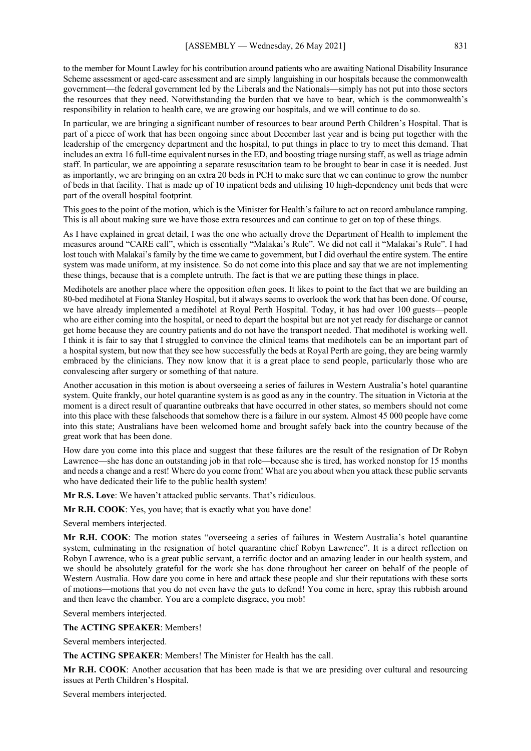to the member for Mount Lawley for his contribution around patients who are awaiting National Disability Insurance Scheme assessment or aged-care assessment and are simply languishing in our hospitals because the commonwealth government—the federal government led by the Liberals and the Nationals—simply has not put into those sectors the resources that they need. Notwithstanding the burden that we have to bear, which is the commonwealth's responsibility in relation to health care, we are growing our hospitals, and we will continue to do so.

In particular, we are bringing a significant number of resources to bear around Perth Children's Hospital. That is part of a piece of work that has been ongoing since about December last year and is being put together with the leadership of the emergency department and the hospital, to put things in place to try to meet this demand. That includes an extra 16 full-time equivalent nurses in the ED, and boosting triage nursing staff, as well as triage admin staff. In particular, we are appointing a separate resuscitation team to be brought to bear in case it is needed. Just as importantly, we are bringing on an extra 20 beds in PCH to make sure that we can continue to grow the number of beds in that facility. That is made up of 10 inpatient beds and utilising 10 high-dependency unit beds that were part of the overall hospital footprint.

This goes to the point of the motion, which is the Minister for Health's failure to act on record ambulance ramping. This is all about making sure we have those extra resources and can continue to get on top of these things.

As I have explained in great detail, I was the one who actually drove the Department of Health to implement the measures around "CARE call", which is essentially "Malakai's Rule". We did not call it "Malakai's Rule". I had lost touch with Malakai's family by the time we came to government, but I did overhaul the entire system. The entire system was made uniform, at my insistence. So do not come into this place and say that we are not implementing these things, because that is a complete untruth. The fact is that we are putting these things in place.

Medihotels are another place where the opposition often goes. It likes to point to the fact that we are building an 80-bed medihotel at Fiona Stanley Hospital, but it always seems to overlook the work that has been done. Of course, we have already implemented a medihotel at Royal Perth Hospital. Today, it has had over 100 guests—people who are either coming into the hospital, or need to depart the hospital but are not yet ready for discharge or cannot get home because they are country patients and do not have the transport needed. That medihotel is working well. I think it is fair to say that I struggled to convince the clinical teams that medihotels can be an important part of a hospital system, but now that they see how successfully the beds at Royal Perth are going, they are being warmly embraced by the clinicians. They now know that it is a great place to send people, particularly those who are convalescing after surgery or something of that nature.

Another accusation in this motion is about overseeing a series of failures in Western Australia's hotel quarantine system. Quite frankly, our hotel quarantine system is as good as any in the country. The situation in Victoria at the moment is a direct result of quarantine outbreaks that have occurred in other states, so members should not come into this place with these falsehoods that somehow there is a failure in our system. Almost 45 000 people have come into this state; Australians have been welcomed home and brought safely back into the country because of the great work that has been done.

How dare you come into this place and suggest that these failures are the result of the resignation of Dr Robyn Lawrence—she has done an outstanding job in that role—because she is tired, has worked nonstop for 15 months and needs a change and a rest! Where do you come from! What are you about when you attack these public servants who have dedicated their life to the public health system!

**Mr R.S. Love**: We haven't attacked public servants. That's ridiculous.

**Mr R.H. COOK**: Yes, you have; that is exactly what you have done!

Several members interjected.

**Mr R.H. COOK**: The motion states "overseeing a series of failures in Western Australia's hotel quarantine system, culminating in the resignation of hotel quarantine chief Robyn Lawrence". It is a direct reflection on Robyn Lawrence, who is a great public servant, a terrific doctor and an amazing leader in our health system, and we should be absolutely grateful for the work she has done throughout her career on behalf of the people of Western Australia. How dare you come in here and attack these people and slur their reputations with these sorts of motions—motions that you do not even have the guts to defend! You come in here, spray this rubbish around and then leave the chamber. You are a complete disgrace, you mob!

Several members interjected.

#### **The ACTING SPEAKER**: Members!

Several members interjected.

**The ACTING SPEAKER**: Members! The Minister for Health has the call.

**Mr R.H. COOK**: Another accusation that has been made is that we are presiding over cultural and resourcing issues at Perth Children's Hospital.

Several members interjected.